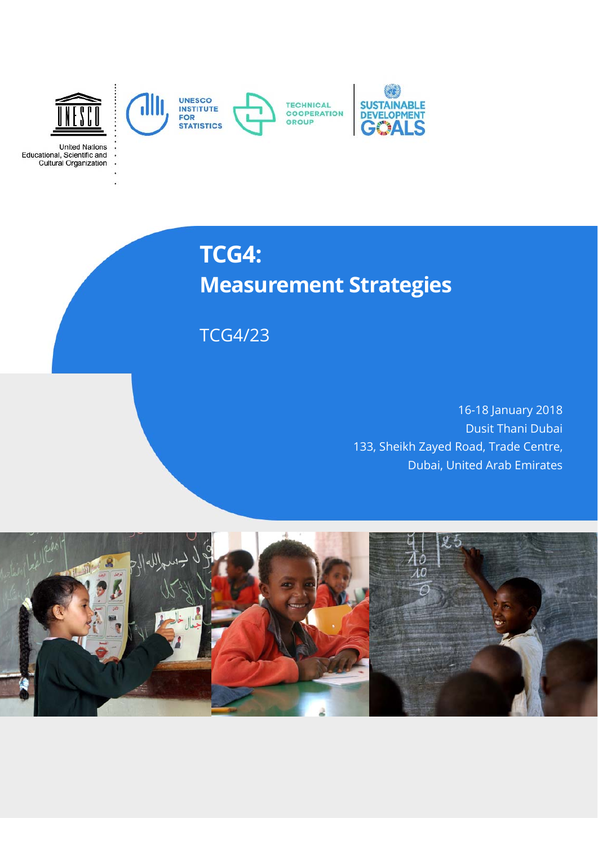

# **TCG4: Measurement Strategies**

TCG4/23

16-18 January 2018 Dusit Thani Dubai 133, Sheikh Zayed Road, Trade Centre, Dubai, United Arab Emirates

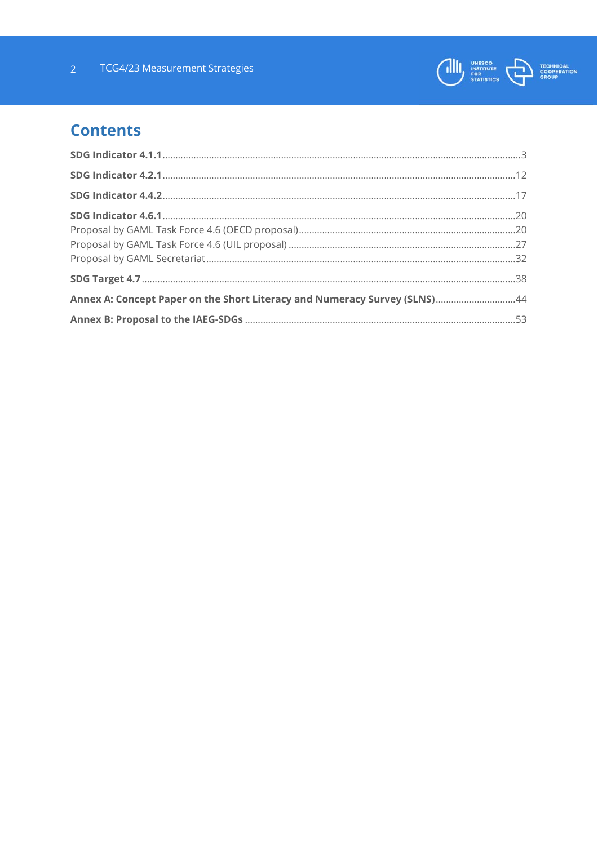

# **Contents**

| Annex A: Concept Paper on the Short Literacy and Numeracy Survey (SLNS)44 |  |
|---------------------------------------------------------------------------|--|
|                                                                           |  |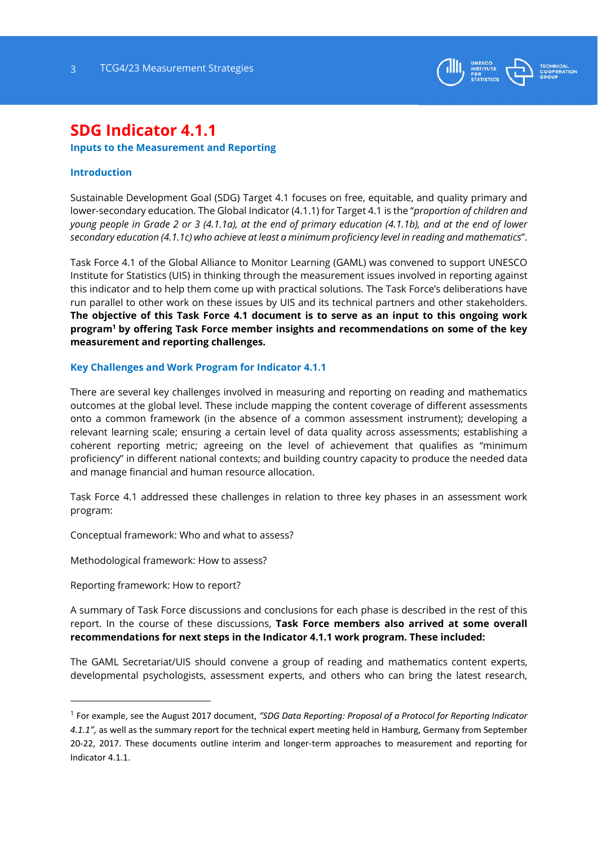

# **SDG Indicator 4.1.1**

## **Inputs to the Measurement and Reporting**

## **Introduction**

Sustainable Development Goal (SDG) Target 4.1 focuses on free, equitable, and quality primary and lower-secondary education. The Global Indicator (4.1.1) for Target 4.1 is the "*proportion of children and young people in Grade 2 or 3 (4.1.1a), at the end of primary education (4.1.1b), and at the end of lower secondary education (4.1.1c) who achieve at least a minimum proficiency level in reading and mathematics*".

Task Force 4.1 of the Global Alliance to Monitor Learning (GAML) was convened to support UNESCO Institute for Statistics (UIS) in thinking through the measurement issues involved in reporting against this indicator and to help them come up with practical solutions. The Task Force's deliberations have run parallel to other work on these issues by UIS and its technical partners and other stakeholders. **The objective of this Task Force 4.1 document is to serve as an input to this ongoing work program1 by offering Task Force member insights and recommendations on some of the key measurement and reporting challenges.**

#### **Key Challenges and Work Program for Indicator 4.1.1**

There are several key challenges involved in measuring and reporting on reading and mathematics outcomes at the global level. These include mapping the content coverage of different assessments onto a common framework (in the absence of a common assessment instrument); developing a relevant learning scale; ensuring a certain level of data quality across assessments; establishing a coherent reporting metric; agreeing on the level of achievement that qualifies as "minimum proficiency" in different national contexts; and building country capacity to produce the needed data and manage financial and human resource allocation.

Task Force 4.1 addressed these challenges in relation to three key phases in an assessment work program:

Conceptual framework: Who and what to assess?

Methodological framework: How to assess?

Reporting framework: How to report?

1

A summary of Task Force discussions and conclusions for each phase is described in the rest of this report. In the course of these discussions, **Task Force members also arrived at some overall recommendations for next steps in the Indicator 4.1.1 work program. These included:**

The GAML Secretariat/UIS should convene a group of reading and mathematics content experts, developmental psychologists, assessment experts, and others who can bring the latest research,

<sup>1</sup> For example, see the August 2017 document, *"SDG Data Reporting: Proposal of a Protocol for Reporting Indicator 4.1.1",* as well as the summary report for the technical expert meeting held in Hamburg, Germany from September 20‐22, 2017. These documents outline interim and longer‐term approaches to measurement and reporting for Indicator 4.1.1.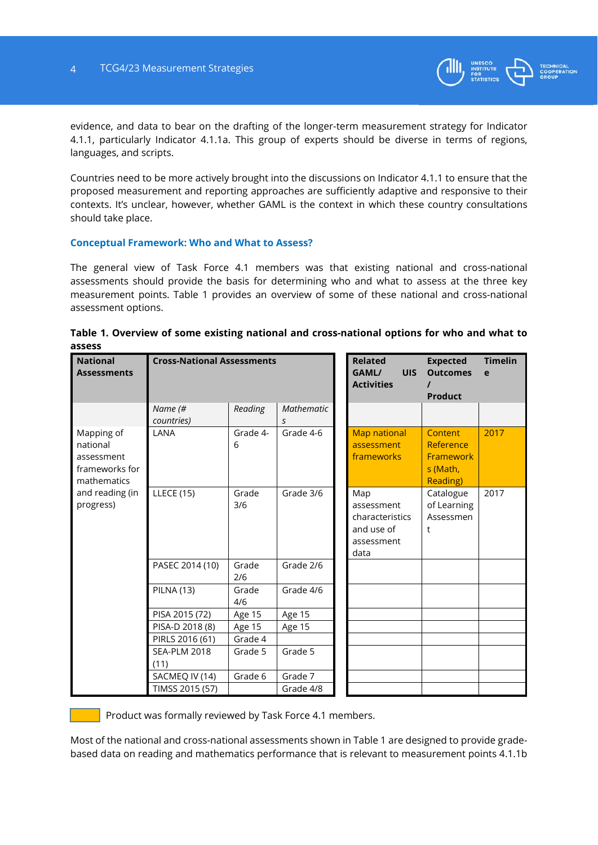

evidence, and data to bear on the drafting of the longer-term measurement strategy for Indicator 4.1.1, particularly Indicator 4.1.1a. This group of experts should be diverse in terms of regions, languages, and scripts.

Countries need to be more actively brought into the discussions on Indicator 4.1.1 to ensure that the proposed measurement and reporting approaches are sufficiently adaptive and responsive to their contexts. It's unclear, however, whether GAML is the context in which these country consultations should take place.

#### **Conceptual Framework: Who and What to Assess?**

The general view of Task Force 4.1 members was that existing national and cross-national assessments should provide the basis for determining who and what to assess at the three key measurement points. Table 1 provides an overview of some of these national and cross-national assessment options.

| <b>National</b><br><b>Assessments</b>                                                                 | <b>Cross-National Assessments</b> |               |                 | <b>Related</b><br><b>UIS</b><br>GAML/<br><b>Activities</b>               | <b>Expected</b><br><b>Outcomes</b><br><b>Product</b>             | <b>Timelin</b><br>e |
|-------------------------------------------------------------------------------------------------------|-----------------------------------|---------------|-----------------|--------------------------------------------------------------------------|------------------------------------------------------------------|---------------------|
|                                                                                                       | Name (#<br>countries)             | Reading       | Mathematic<br>S |                                                                          |                                                                  |                     |
| Mapping of<br>national<br>assessment<br>frameworks for<br>mathematics<br>and reading (in<br>progress) | LANA                              | Grade 4-<br>6 | Grade 4-6       | <b>Map national</b><br>assessment<br>frameworks                          | Content<br>Reference<br>Framework<br>s (Math,<br><b>Reading)</b> | 2017                |
|                                                                                                       | <b>LLECE (15)</b>                 | Grade<br>3/6  | Grade 3/6       | Map<br>assessment<br>characteristics<br>and use of<br>assessment<br>data | Catalogue<br>of Learning<br>Assessmen<br>t                       | 2017                |
|                                                                                                       | PASEC 2014 (10)                   | Grade<br>2/6  | Grade 2/6       |                                                                          |                                                                  |                     |
|                                                                                                       | <b>PILNA (13)</b>                 | Grade<br>4/6  | Grade 4/6       |                                                                          |                                                                  |                     |
|                                                                                                       | PISA 2015 (72)                    | Age 15        | Age 15          |                                                                          |                                                                  |                     |
|                                                                                                       | PISA-D 2018 (8)                   | Age 15        | Age 15          |                                                                          |                                                                  |                     |
|                                                                                                       | PIRLS 2016 (61)                   | Grade 4       |                 |                                                                          |                                                                  |                     |
|                                                                                                       | <b>SEA-PLM 2018</b><br>(11)       | Grade 5       | Grade 5         |                                                                          |                                                                  |                     |
|                                                                                                       | SACMEQ IV (14)                    | Grade 6       | Grade 7         |                                                                          |                                                                  |                     |
|                                                                                                       | TIMSS 2015 (57)                   |               | Grade 4/8       |                                                                          |                                                                  |                     |

| Table 1. Overview of some existing national and cross-national options for who and what to |  |  |
|--------------------------------------------------------------------------------------------|--|--|
| assess                                                                                     |  |  |

Product was formally reviewed by Task Force 4.1 members.

Most of the national and cross-national assessments shown in Table 1 are designed to provide gradebased data on reading and mathematics performance that is relevant to measurement points 4.1.1b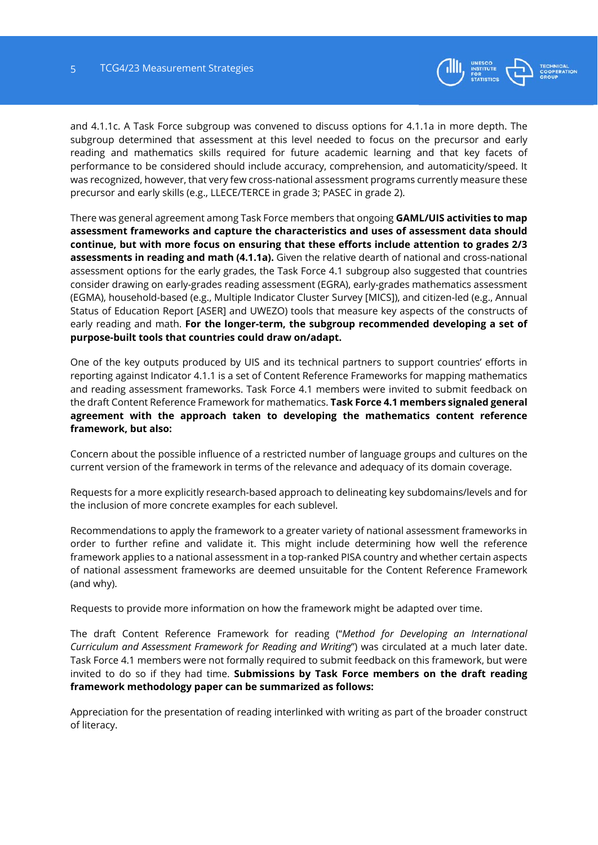

and 4.1.1c. A Task Force subgroup was convened to discuss options for 4.1.1a in more depth. The subgroup determined that assessment at this level needed to focus on the precursor and early reading and mathematics skills required for future academic learning and that key facets of performance to be considered should include accuracy, comprehension, and automaticity/speed. It was recognized, however, that very few cross-national assessment programs currently measure these precursor and early skills (e.g., LLECE/TERCE in grade 3; PASEC in grade 2).

There was general agreement among Task Force members that ongoing **GAML/UIS activities to map assessment frameworks and capture the characteristics and uses of assessment data should continue, but with more focus on ensuring that these efforts include attention to grades 2/3 assessments in reading and math (4.1.1a).** Given the relative dearth of national and cross-national assessment options for the early grades, the Task Force 4.1 subgroup also suggested that countries consider drawing on early-grades reading assessment (EGRA), early-grades mathematics assessment (EGMA), household-based (e.g., Multiple Indicator Cluster Survey [MICS]), and citizen-led (e.g., Annual Status of Education Report [ASER] and UWEZO) tools that measure key aspects of the constructs of early reading and math. **For the longer-term, the subgroup recommended developing a set of purpose-built tools that countries could draw on/adapt.** 

One of the key outputs produced by UIS and its technical partners to support countries' efforts in reporting against Indicator 4.1.1 is a set of Content Reference Frameworks for mapping mathematics and reading assessment frameworks. Task Force 4.1 members were invited to submit feedback on the draft Content Reference Framework for mathematics. **Task Force 4.1 members signaled general agreement with the approach taken to developing the mathematics content reference framework, but also:**

Concern about the possible influence of a restricted number of language groups and cultures on the current version of the framework in terms of the relevance and adequacy of its domain coverage.

Requests for a more explicitly research-based approach to delineating key subdomains/levels and for the inclusion of more concrete examples for each sublevel.

Recommendations to apply the framework to a greater variety of national assessment frameworks in order to further refine and validate it. This might include determining how well the reference framework applies to a national assessment in a top-ranked PISA country and whether certain aspects of national assessment frameworks are deemed unsuitable for the Content Reference Framework (and why).

Requests to provide more information on how the framework might be adapted over time.

The draft Content Reference Framework for reading ("*Method for Developing an International Curriculum and Assessment Framework for Reading and Writing*") was circulated at a much later date. Task Force 4.1 members were not formally required to submit feedback on this framework, but were invited to do so if they had time. **Submissions by Task Force members on the draft reading framework methodology paper can be summarized as follows:**

Appreciation for the presentation of reading interlinked with writing as part of the broader construct of literacy.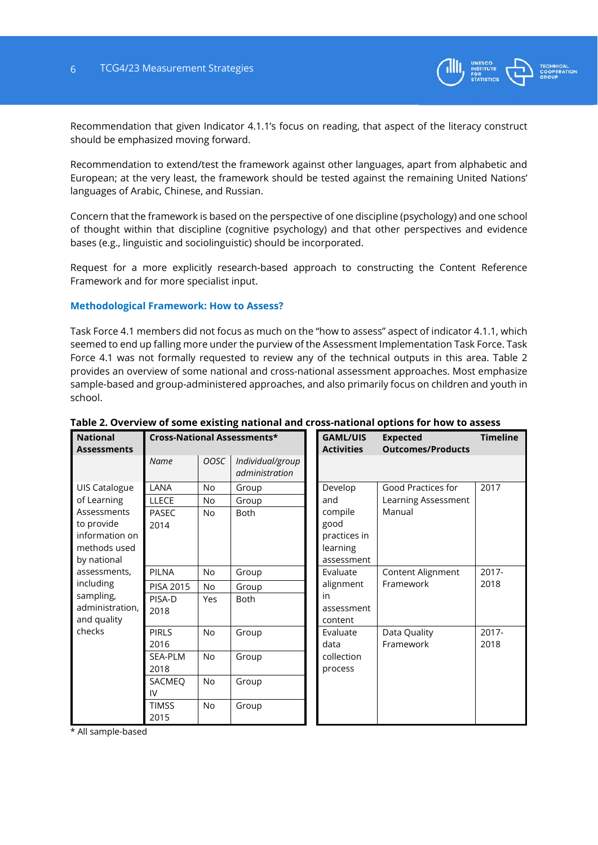

Recommendation that given Indicator 4.1.1's focus on reading, that aspect of the literacy construct should be emphasized moving forward.

Recommendation to extend/test the framework against other languages, apart from alphabetic and European; at the very least, the framework should be tested against the remaining United Nations' languages of Arabic, Chinese, and Russian.

Concern that the framework is based on the perspective of one discipline (psychology) and one school of thought within that discipline (cognitive psychology) and that other perspectives and evidence bases (e.g., linguistic and sociolinguistic) should be incorporated.

Request for a more explicitly research-based approach to constructing the Content Reference Framework and for more specialist input.

#### **Methodological Framework: How to Assess?**

Task Force 4.1 members did not focus as much on the "how to assess" aspect of indicator 4.1.1, which seemed to end up falling more under the purview of the Assessment Implementation Task Force. Task Force 4.1 was not formally requested to review any of the technical outputs in this area. Table 2 provides an overview of some national and cross-national assessment approaches. Most emphasize sample-based and group-administered approaches, and also primarily focus on children and youth in school.

| <b>National</b><br><b>Assessments</b>                                                                                                                                |                                                                                        |                                                      | Cross-National Assessments*        |                                           | <b>GAML/UIS</b><br><b>Activities</b>                                        | <b>Expected</b><br><b>Outcomes/Products</b>         | <b>Timeline</b> |
|----------------------------------------------------------------------------------------------------------------------------------------------------------------------|----------------------------------------------------------------------------------------|------------------------------------------------------|------------------------------------|-------------------------------------------|-----------------------------------------------------------------------------|-----------------------------------------------------|-----------------|
|                                                                                                                                                                      | Name                                                                                   | OOSC                                                 | Individual/group<br>administration |                                           |                                                                             |                                                     |                 |
| UIS Catalogue<br>of Learning<br>Assessments<br>to provide<br>information on<br>methods used<br>by national                                                           | LANA<br><b>LLECE</b><br><b>PASEC</b><br>2014                                           | <b>No</b><br>No<br><b>No</b>                         | Group<br>Group<br>Both             |                                           | Develop<br>and<br>compile<br>good<br>practices in<br>learning<br>assessment | Good Practices for<br>Learning Assessment<br>Manual | 2017            |
| assessments,<br>PILNA<br>No<br>Group<br>including<br>PISA 2015<br>No<br>Group<br>sampling,<br>PISA-D<br><b>Both</b><br>Yes<br>administration,<br>2018<br>and quality |                                                                                        | Evaluate<br>alignment<br>in<br>assessment<br>content | Content Alignment<br>Framework     | 2017-<br>2018                             |                                                                             |                                                     |                 |
| checks                                                                                                                                                               | <b>PIRLS</b><br>2016<br><b>SEA-PLM</b><br>2018<br>SACMEO<br>IV<br><b>TIMSS</b><br>2015 | No<br>No<br>No<br>No                                 | Group<br>Group<br>Group<br>Group   | Evaluate<br>data<br>collection<br>process | Data Quality<br>Framework                                                   | $2017 -$<br>2018                                    |                 |

## **Table 2. Overview of some existing national and cross-national options for how to assess**

\* All sample-based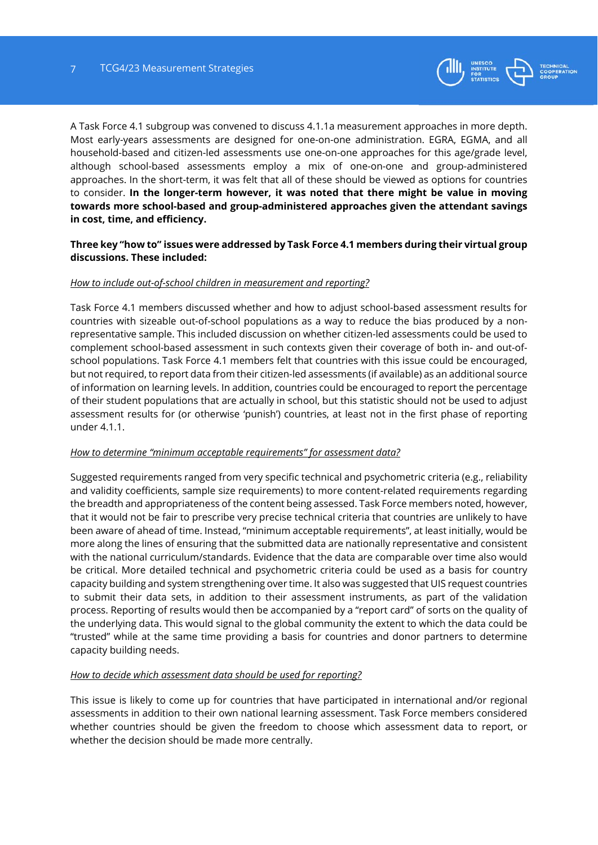

A Task Force 4.1 subgroup was convened to discuss 4.1.1a measurement approaches in more depth. Most early-years assessments are designed for one-on-one administration. EGRA, EGMA, and all household-based and citizen-led assessments use one-on-one approaches for this age/grade level, although school-based assessments employ a mix of one-on-one and group-administered approaches. In the short-term, it was felt that all of these should be viewed as options for countries to consider. **In the longer-term however, it was noted that there might be value in moving towards more school-based and group-administered approaches given the attendant savings in cost, time, and efficiency.**

# **Three key "how to" issues were addressed by Task Force 4.1 members during their virtual group discussions. These included:**

#### *How to include out-of-school children in measurement and reporting?*

Task Force 4.1 members discussed whether and how to adjust school-based assessment results for countries with sizeable out-of-school populations as a way to reduce the bias produced by a nonrepresentative sample. This included discussion on whether citizen-led assessments could be used to complement school-based assessment in such contexts given their coverage of both in- and out-ofschool populations. Task Force 4.1 members felt that countries with this issue could be encouraged, but not required, to report data from their citizen-led assessments (if available) as an additional source of information on learning levels. In addition, countries could be encouraged to report the percentage of their student populations that are actually in school, but this statistic should not be used to adjust assessment results for (or otherwise 'punish') countries, at least not in the first phase of reporting under 4.1.1.

#### *How to determine "minimum acceptable requirements" for assessment data?*

Suggested requirements ranged from very specific technical and psychometric criteria (e.g., reliability and validity coefficients, sample size requirements) to more content-related requirements regarding the breadth and appropriateness of the content being assessed. Task Force members noted, however, that it would not be fair to prescribe very precise technical criteria that countries are unlikely to have been aware of ahead of time. Instead, "minimum acceptable requirements", at least initially, would be more along the lines of ensuring that the submitted data are nationally representative and consistent with the national curriculum/standards. Evidence that the data are comparable over time also would be critical. More detailed technical and psychometric criteria could be used as a basis for country capacity building and system strengthening over time. It also was suggested that UIS request countries to submit their data sets, in addition to their assessment instruments, as part of the validation process. Reporting of results would then be accompanied by a "report card" of sorts on the quality of the underlying data. This would signal to the global community the extent to which the data could be "trusted" while at the same time providing a basis for countries and donor partners to determine capacity building needs.

#### *How to decide which assessment data should be used for reporting?*

This issue is likely to come up for countries that have participated in international and/or regional assessments in addition to their own national learning assessment. Task Force members considered whether countries should be given the freedom to choose which assessment data to report, or whether the decision should be made more centrally.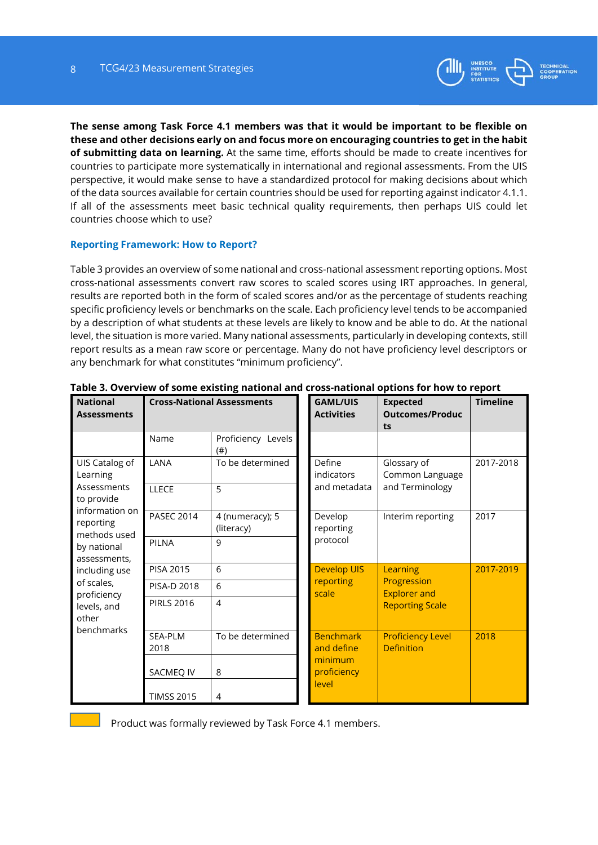

**The sense among Task Force 4.1 members was that it would be important to be flexible on these and other decisions early on and focus more on encouraging countries to get in the habit of submitting data on learning.** At the same time, efforts should be made to create incentives for countries to participate more systematically in international and regional assessments. From the UIS perspective, it would make sense to have a standardized protocol for making decisions about which of the data sources available for certain countries should be used for reporting against indicator 4.1.1. If all of the assessments meet basic technical quality requirements, then perhaps UIS could let countries choose which to use?

# **Reporting Framework: How to Report?**

Table 3 provides an overview of some national and cross-national assessment reporting options. Most cross-national assessments convert raw scores to scaled scores using IRT approaches. In general, results are reported both in the form of scaled scores and/or as the percentage of students reaching specific proficiency levels or benchmarks on the scale. Each proficiency level tends to be accompanied by a description of what students at these levels are likely to know and be able to do. At the national level, the situation is more varied. Many national assessments, particularly in developing contexts, still report results as a mean raw score or percentage. Many do not have proficiency level descriptors or any benchmark for what constitutes "minimum proficiency".

| <b>National</b><br><b>Assessments</b>                                      |                   | <b>Cross-National Assessments</b> | <b>GAML/UIS</b><br><b>Expected</b><br><b>Activities</b><br><b>Outcomes/Produc</b><br>ts |                                               | <b>Timeline</b> |
|----------------------------------------------------------------------------|-------------------|-----------------------------------|-----------------------------------------------------------------------------------------|-----------------------------------------------|-----------------|
|                                                                            | Name              | Proficiency Levels<br>(# )        |                                                                                         |                                               |                 |
| UIS Catalog of<br>Learning                                                 | LANA              | To be determined                  | Define<br>indicators                                                                    | Glossary of<br>Common Language                | 2017-2018       |
| Assessments<br>to provide                                                  | LLECE             | 5                                 | and metadata                                                                            | and Terminology                               |                 |
| information on<br>reporting<br>methods used<br>by national<br>assessments, | <b>PASEC 2014</b> | 4 (numeracy); 5<br>(literacy)     | Develop<br>reporting                                                                    | Interim reporting                             | 2017            |
|                                                                            | <b>PILNA</b>      | 9                                 | protocol                                                                                |                                               |                 |
| including use                                                              | PISA 2015         | 6                                 | <b>Develop UIS</b>                                                                      | Learning                                      | 2017-2019       |
| of scales,<br>proficiency                                                  | PISA-D 2018       | 6                                 | reporting<br>scale                                                                      | Progression<br><b>Explorer and</b>            |                 |
| levels, and<br>other<br>benchmarks                                         | <b>PIRLS 2016</b> | $\overline{4}$                    |                                                                                         | <b>Reporting Scale</b>                        |                 |
|                                                                            | SEA-PLM<br>2018   | To be determined                  | <b>Benchmark</b><br>and define                                                          | <b>Proficiency Level</b><br><b>Definition</b> | 2018            |
|                                                                            | SACMEQ IV         | 8                                 | minimum<br>proficiency                                                                  |                                               |                 |
|                                                                            | <b>TIMSS 2015</b> | $\overline{4}$                    | level                                                                                   |                                               |                 |

## **Table 3. Overview of some existing national and cross-national options for how to report**

Product was formally reviewed by Task Force 4.1 members.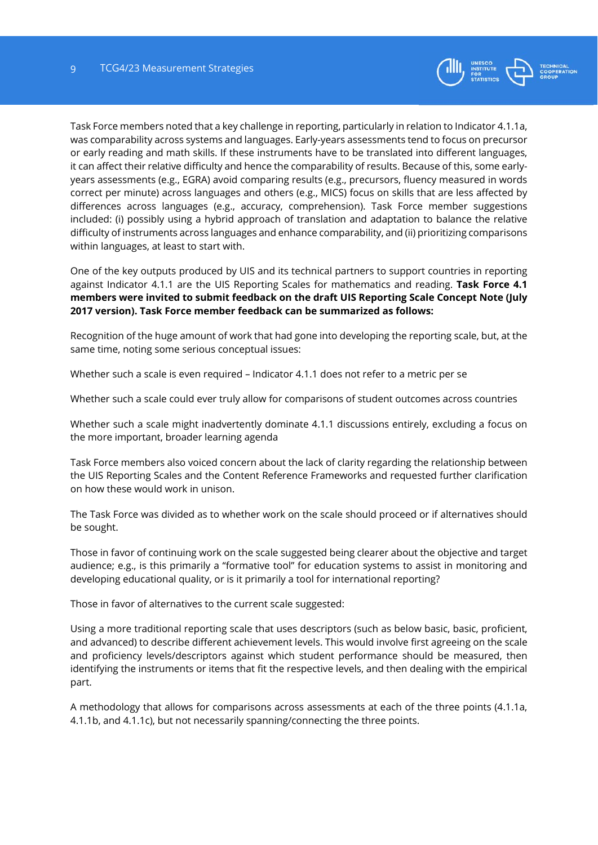

Task Force members noted that a key challenge in reporting, particularly in relation to Indicator 4.1.1a, was comparability across systems and languages. Early-years assessments tend to focus on precursor or early reading and math skills. If these instruments have to be translated into different languages, it can affect their relative difficulty and hence the comparability of results. Because of this, some earlyyears assessments (e.g., EGRA) avoid comparing results (e.g., precursors, fluency measured in words correct per minute) across languages and others (e.g., MICS) focus on skills that are less affected by differences across languages (e.g., accuracy, comprehension). Task Force member suggestions included: (i) possibly using a hybrid approach of translation and adaptation to balance the relative difficulty of instruments across languages and enhance comparability, and (ii) prioritizing comparisons within languages, at least to start with.

One of the key outputs produced by UIS and its technical partners to support countries in reporting against Indicator 4.1.1 are the UIS Reporting Scales for mathematics and reading. **Task Force 4.1 members were invited to submit feedback on the draft UIS Reporting Scale Concept Note (July 2017 version). Task Force member feedback can be summarized as follows:** 

Recognition of the huge amount of work that had gone into developing the reporting scale, but, at the same time, noting some serious conceptual issues:

Whether such a scale is even required – Indicator 4.1.1 does not refer to a metric per se

Whether such a scale could ever truly allow for comparisons of student outcomes across countries

Whether such a scale might inadvertently dominate 4.1.1 discussions entirely, excluding a focus on the more important, broader learning agenda

Task Force members also voiced concern about the lack of clarity regarding the relationship between the UIS Reporting Scales and the Content Reference Frameworks and requested further clarification on how these would work in unison.

The Task Force was divided as to whether work on the scale should proceed or if alternatives should be sought.

Those in favor of continuing work on the scale suggested being clearer about the objective and target audience; e.g., is this primarily a "formative tool" for education systems to assist in monitoring and developing educational quality, or is it primarily a tool for international reporting?

Those in favor of alternatives to the current scale suggested:

Using a more traditional reporting scale that uses descriptors (such as below basic, basic, proficient, and advanced) to describe different achievement levels. This would involve first agreeing on the scale and proficiency levels/descriptors against which student performance should be measured, then identifying the instruments or items that fit the respective levels, and then dealing with the empirical part.

A methodology that allows for comparisons across assessments at each of the three points (4.1.1a, 4.1.1b, and 4.1.1c), but not necessarily spanning/connecting the three points.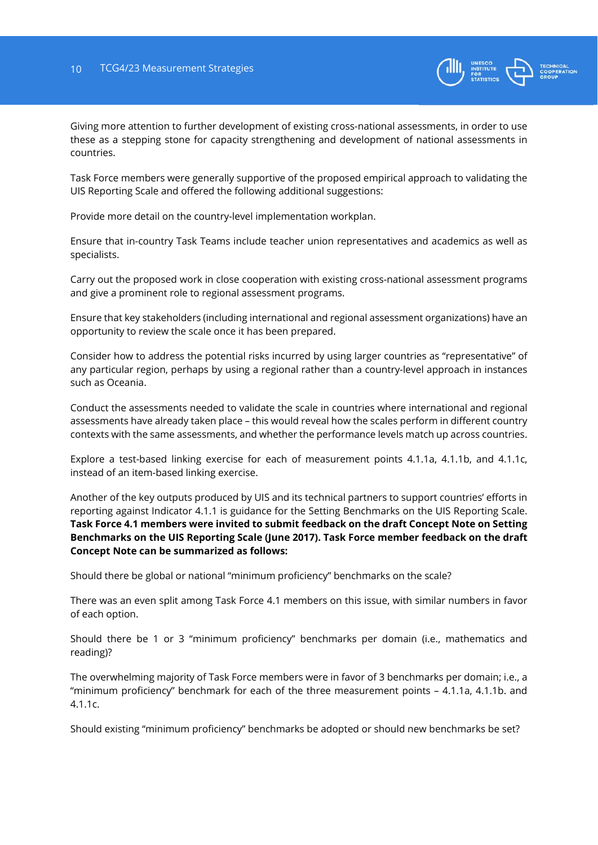

Giving more attention to further development of existing cross-national assessments, in order to use these as a stepping stone for capacity strengthening and development of national assessments in countries.

Task Force members were generally supportive of the proposed empirical approach to validating the UIS Reporting Scale and offered the following additional suggestions:

Provide more detail on the country-level implementation workplan.

Ensure that in-country Task Teams include teacher union representatives and academics as well as specialists.

Carry out the proposed work in close cooperation with existing cross-national assessment programs and give a prominent role to regional assessment programs.

Ensure that key stakeholders (including international and regional assessment organizations) have an opportunity to review the scale once it has been prepared.

Consider how to address the potential risks incurred by using larger countries as "representative" of any particular region, perhaps by using a regional rather than a country-level approach in instances such as Oceania.

Conduct the assessments needed to validate the scale in countries where international and regional assessments have already taken place – this would reveal how the scales perform in different country contexts with the same assessments, and whether the performance levels match up across countries.

Explore a test-based linking exercise for each of measurement points 4.1.1a, 4.1.1b, and 4.1.1c, instead of an item-based linking exercise.

Another of the key outputs produced by UIS and its technical partners to support countries' efforts in reporting against Indicator 4.1.1 is guidance for the Setting Benchmarks on the UIS Reporting Scale. **Task Force 4.1 members were invited to submit feedback on the draft Concept Note on Setting Benchmarks on the UIS Reporting Scale (June 2017). Task Force member feedback on the draft Concept Note can be summarized as follows:** 

Should there be global or national "minimum proficiency" benchmarks on the scale?

There was an even split among Task Force 4.1 members on this issue, with similar numbers in favor of each option.

Should there be 1 or 3 "minimum proficiency" benchmarks per domain (i.e., mathematics and reading)?

The overwhelming majority of Task Force members were in favor of 3 benchmarks per domain; i.e., a "minimum proficiency" benchmark for each of the three measurement points – 4.1.1a, 4.1.1b. and 4.1.1c.

Should existing "minimum proficiency" benchmarks be adopted or should new benchmarks be set?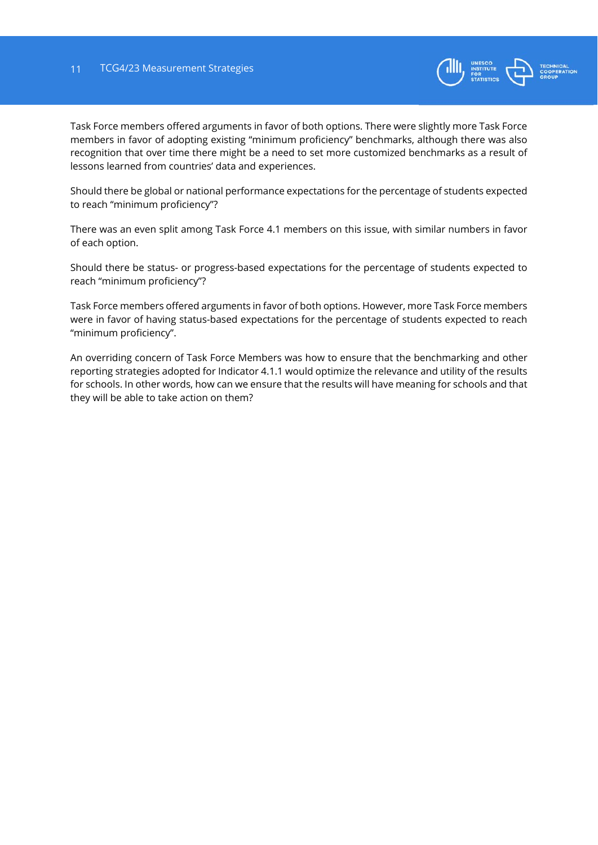

Task Force members offered arguments in favor of both options. There were slightly more Task Force members in favor of adopting existing "minimum proficiency" benchmarks, although there was also recognition that over time there might be a need to set more customized benchmarks as a result of lessons learned from countries' data and experiences.

Should there be global or national performance expectations for the percentage of students expected to reach "minimum proficiency"?

There was an even split among Task Force 4.1 members on this issue, with similar numbers in favor of each option.

Should there be status- or progress-based expectations for the percentage of students expected to reach "minimum proficiency"?

Task Force members offered arguments in favor of both options. However, more Task Force members were in favor of having status-based expectations for the percentage of students expected to reach "minimum proficiency".

An overriding concern of Task Force Members was how to ensure that the benchmarking and other reporting strategies adopted for Indicator 4.1.1 would optimize the relevance and utility of the results for schools. In other words, how can we ensure that the results will have meaning for schools and that they will be able to take action on them?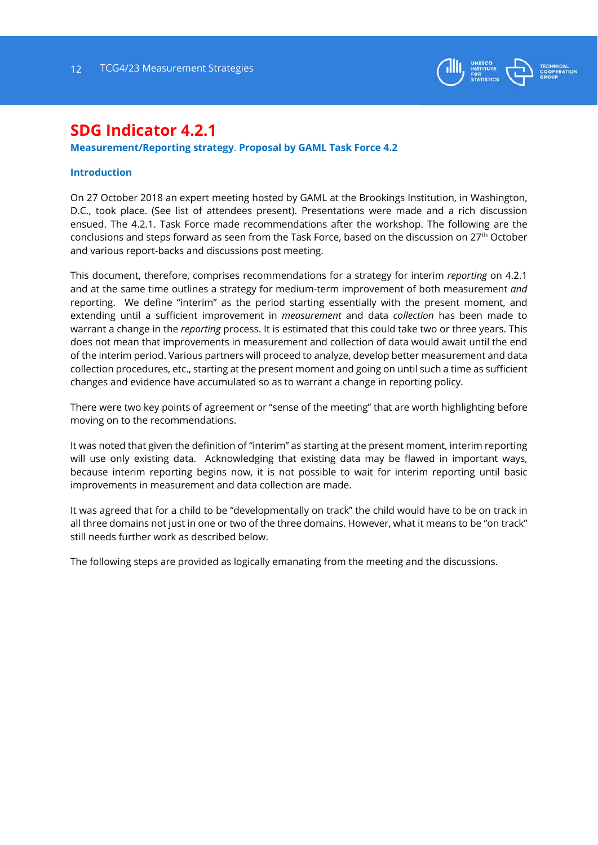

# **SDG Indicator 4.2.1**

## **Measurement/Reporting strategy**. **Proposal by GAML Task Force 4.2**.2

### **Introduction**

On 27 October 2018 an expert meeting hosted by GAML at the Brookings Institution, in Washington, D.C., took place. (See list of attendees present). Presentations were made and a rich discussion ensued. The 4.2.1. Task Force made recommendations after the workshop. The following are the conclusions and steps forward as seen from the Task Force, based on the discussion on 27th October and various report-backs and discussions post meeting.

This document, therefore, comprises recommendations for a strategy for interim *reporting* on 4.2.1 and at the same time outlines a strategy for medium-term improvement of both measurement *and* reporting. We define "interim" as the period starting essentially with the present moment, and extending until a sufficient improvement in *measurement* and data *collection* has been made to warrant a change in the *reporting* process. It is estimated that this could take two or three years. This does not mean that improvements in measurement and collection of data would await until the end of the interim period. Various partners will proceed to analyze, develop better measurement and data collection procedures, etc., starting at the present moment and going on until such a time as sufficient changes and evidence have accumulated so as to warrant a change in reporting policy.

There were two key points of agreement or "sense of the meeting" that are worth highlighting before moving on to the recommendations.

It was noted that given the definition of "interim" as starting at the present moment, interim reporting will use only existing data. Acknowledging that existing data may be flawed in important ways, because interim reporting begins now, it is not possible to wait for interim reporting until basic improvements in measurement and data collection are made.

It was agreed that for a child to be "developmentally on track" the child would have to be on track in all three domains not just in one or two of the three domains. However, what it means to be "on track" still needs further work as described below.

The following steps are provided as logically emanating from the meeting and the discussions.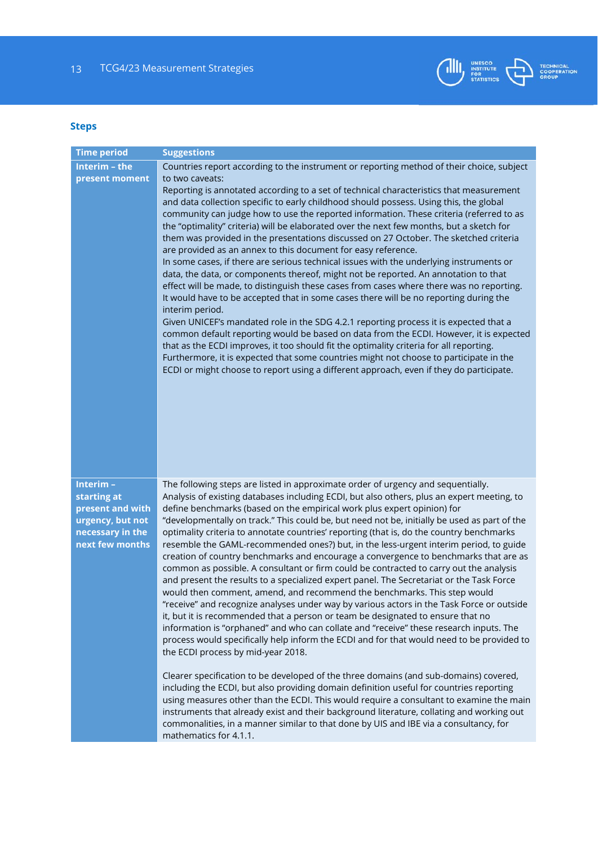

# **Steps**

| <b>Time period</b>                                                                                     | <b>Suggestions</b>                                                                                                                                                                                                                                                                                                                                                                                                                                                                                                                                                                                                                                                                                                                                                                                                                                                                                                                                                                                                                                                                                                                                                                                                                                                                                                                                                                                                                                                                                                                                                                                   |
|--------------------------------------------------------------------------------------------------------|------------------------------------------------------------------------------------------------------------------------------------------------------------------------------------------------------------------------------------------------------------------------------------------------------------------------------------------------------------------------------------------------------------------------------------------------------------------------------------------------------------------------------------------------------------------------------------------------------------------------------------------------------------------------------------------------------------------------------------------------------------------------------------------------------------------------------------------------------------------------------------------------------------------------------------------------------------------------------------------------------------------------------------------------------------------------------------------------------------------------------------------------------------------------------------------------------------------------------------------------------------------------------------------------------------------------------------------------------------------------------------------------------------------------------------------------------------------------------------------------------------------------------------------------------------------------------------------------------|
| Interim - the                                                                                          | Countries report according to the instrument or reporting method of their choice, subject                                                                                                                                                                                                                                                                                                                                                                                                                                                                                                                                                                                                                                                                                                                                                                                                                                                                                                                                                                                                                                                                                                                                                                                                                                                                                                                                                                                                                                                                                                            |
| present moment                                                                                         | to two caveats:                                                                                                                                                                                                                                                                                                                                                                                                                                                                                                                                                                                                                                                                                                                                                                                                                                                                                                                                                                                                                                                                                                                                                                                                                                                                                                                                                                                                                                                                                                                                                                                      |
|                                                                                                        | Reporting is annotated according to a set of technical characteristics that measurement<br>and data collection specific to early childhood should possess. Using this, the global<br>community can judge how to use the reported information. These criteria (referred to as<br>the "optimality" criteria) will be elaborated over the next few months, but a sketch for<br>them was provided in the presentations discussed on 27 October. The sketched criteria<br>are provided as an annex to this document for easy reference.<br>In some cases, if there are serious technical issues with the underlying instruments or<br>data, the data, or components thereof, might not be reported. An annotation to that<br>effect will be made, to distinguish these cases from cases where there was no reporting.<br>It would have to be accepted that in some cases there will be no reporting during the<br>interim period.<br>Given UNICEF's mandated role in the SDG 4.2.1 reporting process it is expected that a<br>common default reporting would be based on data from the ECDI. However, it is expected<br>that as the ECDI improves, it too should fit the optimality criteria for all reporting.<br>Furthermore, it is expected that some countries might not choose to participate in the<br>ECDI or might choose to report using a different approach, even if they do participate.                                                                                                                                                                                                      |
| Interim-<br>starting at<br>present and with<br>urgency, but not<br>necessary in the<br>next few months | The following steps are listed in approximate order of urgency and sequentially.<br>Analysis of existing databases including ECDI, but also others, plus an expert meeting, to<br>define benchmarks (based on the empirical work plus expert opinion) for<br>"developmentally on track." This could be, but need not be, initially be used as part of the<br>optimality criteria to annotate countries' reporting (that is, do the country benchmarks<br>resemble the GAML-recommended ones?) but, in the less-urgent interim period, to guide<br>creation of country benchmarks and encourage a convergence to benchmarks that are as<br>common as possible. A consultant or firm could be contracted to carry out the analysis<br>and present the results to a specialized expert panel. The Secretariat or the Task Force<br>would then comment, amend, and recommend the benchmarks. This step would<br>"receive" and recognize analyses under way by various actors in the Task Force or outside<br>it, but it is recommended that a person or team be designated to ensure that no<br>information is "orphaned" and who can collate and "receive" these research inputs. The<br>process would specifically help inform the ECDI and for that would need to be provided to<br>the ECDI process by mid-year 2018.<br>Clearer specification to be developed of the three domains (and sub-domains) covered,<br>including the ECDI, but also providing domain definition useful for countries reporting<br>using measures other than the ECDI. This would require a consultant to examine the main |
|                                                                                                        | instruments that already exist and their background literature, collating and working out<br>commonalities, in a manner similar to that done by UIS and IBE via a consultancy, for<br>mathematics for 4.1.1.                                                                                                                                                                                                                                                                                                                                                                                                                                                                                                                                                                                                                                                                                                                                                                                                                                                                                                                                                                                                                                                                                                                                                                                                                                                                                                                                                                                         |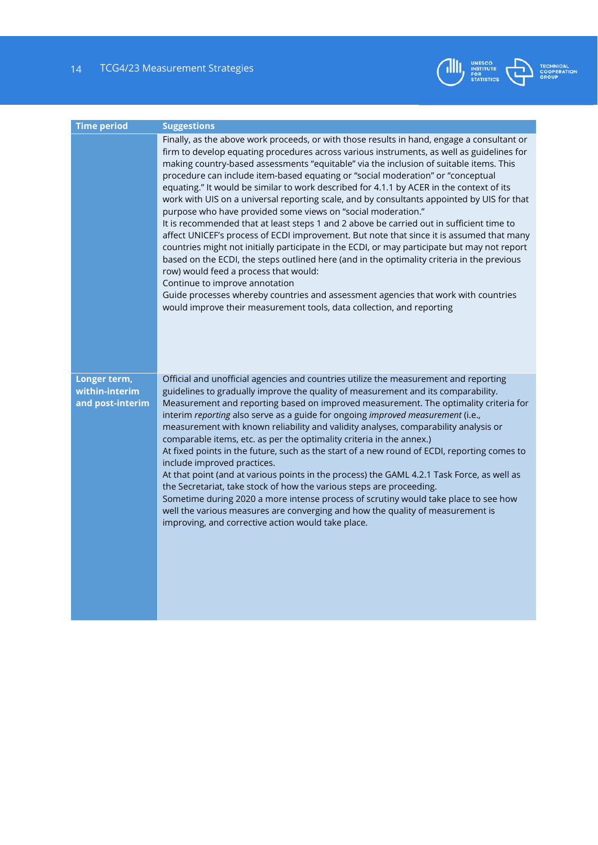14 TCG4/23 Measurement Strategies



| <b>Time period</b>                                 | <b>Suggestions</b>                                                                                                                                                                                                                                                                                                                                                                                                                                                                                                                                                                                                                                                                                                                                                                                                                                                                                                                                                                                                                                                                                                                                                                                                                                             |
|----------------------------------------------------|----------------------------------------------------------------------------------------------------------------------------------------------------------------------------------------------------------------------------------------------------------------------------------------------------------------------------------------------------------------------------------------------------------------------------------------------------------------------------------------------------------------------------------------------------------------------------------------------------------------------------------------------------------------------------------------------------------------------------------------------------------------------------------------------------------------------------------------------------------------------------------------------------------------------------------------------------------------------------------------------------------------------------------------------------------------------------------------------------------------------------------------------------------------------------------------------------------------------------------------------------------------|
|                                                    | Finally, as the above work proceeds, or with those results in hand, engage a consultant or<br>firm to develop equating procedures across various instruments, as well as guidelines for<br>making country-based assessments "equitable" via the inclusion of suitable items. This<br>procedure can include item-based equating or "social moderation" or "conceptual<br>equating." It would be similar to work described for 4.1.1 by ACER in the context of its<br>work with UIS on a universal reporting scale, and by consultants appointed by UIS for that<br>purpose who have provided some views on "social moderation."<br>It is recommended that at least steps 1 and 2 above be carried out in sufficient time to<br>affect UNICEF's process of ECDI improvement. But note that since it is assumed that many<br>countries might not initially participate in the ECDI, or may participate but may not report<br>based on the ECDI, the steps outlined here (and in the optimality criteria in the previous<br>row) would feed a process that would:<br>Continue to improve annotation<br>Guide processes whereby countries and assessment agencies that work with countries<br>would improve their measurement tools, data collection, and reporting |
| Longer term,<br>within-interim<br>and post-interim | Official and unofficial agencies and countries utilize the measurement and reporting<br>guidelines to gradually improve the quality of measurement and its comparability.<br>Measurement and reporting based on improved measurement. The optimality criteria for<br>interim reporting also serve as a guide for ongoing improved measurement (i.e.,<br>measurement with known reliability and validity analyses, comparability analysis or<br>comparable items, etc. as per the optimality criteria in the annex.)<br>At fixed points in the future, such as the start of a new round of ECDI, reporting comes to<br>include improved practices.<br>At that point (and at various points in the process) the GAML 4.2.1 Task Force, as well as<br>the Secretariat, take stock of how the various steps are proceeding.<br>Sometime during 2020 a more intense process of scrutiny would take place to see how<br>well the various measures are converging and how the quality of measurement is<br>improving, and corrective action would take place.                                                                                                                                                                                                         |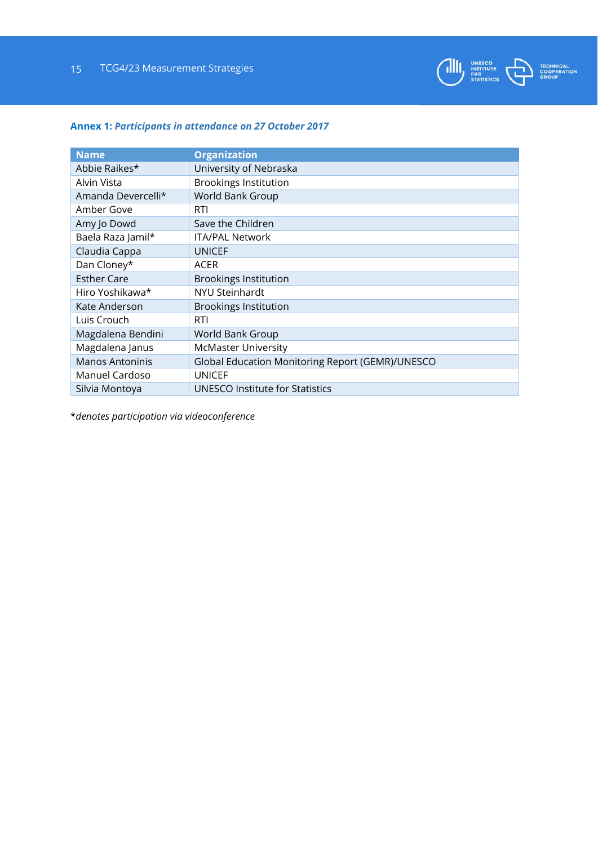

# **Annex 1:** *Participants in attendance on 27 October 2017*

| <b>Name</b>        | <b>Organization</b>                              |
|--------------------|--------------------------------------------------|
| Abbie Raikes*      | University of Nebraska                           |
| Alvin Vista        | <b>Brookings Institution</b>                     |
| Amanda Devercelli* | World Bank Group                                 |
| Amber Gove         | <b>RTI</b>                                       |
| Amy Jo Dowd        | Save the Children                                |
| Baela Raza Jamil*  | <b>ITA/PAL Network</b>                           |
| Claudia Cappa      | <b>UNICEF</b>                                    |
| Dan Cloney*        | <b>ACER</b>                                      |
| <b>Esther Care</b> | <b>Brookings Institution</b>                     |
| Hiro Yoshikawa*    | <b>NYU Steinhardt</b>                            |
| Kate Anderson      | <b>Brookings Institution</b>                     |
| Luis Crouch        | RTI                                              |
| Magdalena Bendini  | World Bank Group                                 |
| Magdalena Janus    | <b>McMaster University</b>                       |
| Manos Antoninis    | Global Education Monitoring Report (GEMR)/UNESCO |
| Manuel Cardoso     | <b>UNICEF</b>                                    |
| Silvia Montoya     | UNESCO Institute for Statistics                  |

\**denotes participation via videoconference*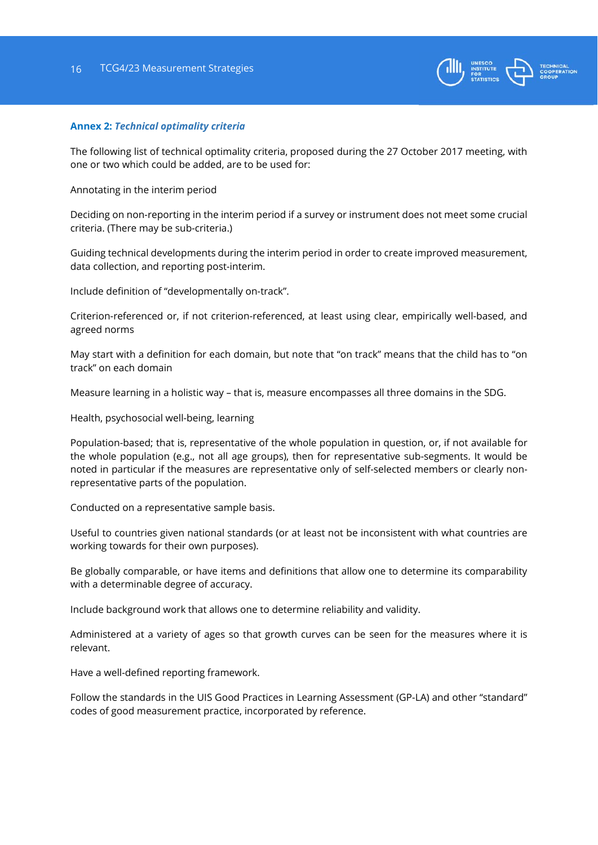

#### **Annex 2:** *Technical optimality criteria*

The following list of technical optimality criteria, proposed during the 27 October 2017 meeting, with one or two which could be added, are to be used for:

Annotating in the interim period

Deciding on non-reporting in the interim period if a survey or instrument does not meet some crucial criteria. (There may be sub-criteria.)

Guiding technical developments during the interim period in order to create improved measurement, data collection, and reporting post-interim.

Include definition of "developmentally on-track".

Criterion-referenced or, if not criterion-referenced, at least using clear, empirically well-based, and agreed norms

May start with a definition for each domain, but note that "on track" means that the child has to "on track" on each domain

Measure learning in a holistic way – that is, measure encompasses all three domains in the SDG.

Health, psychosocial well-being, learning

Population-based; that is, representative of the whole population in question, or, if not available for the whole population (e.g., not all age groups), then for representative sub-segments. It would be noted in particular if the measures are representative only of self-selected members or clearly nonrepresentative parts of the population.

Conducted on a representative sample basis.

Useful to countries given national standards (or at least not be inconsistent with what countries are working towards for their own purposes).

Be globally comparable, or have items and definitions that allow one to determine its comparability with a determinable degree of accuracy.

Include background work that allows one to determine reliability and validity.

Administered at a variety of ages so that growth curves can be seen for the measures where it is relevant.

Have a well-defined reporting framework.

Follow the standards in the UIS Good Practices in Learning Assessment (GP-LA) and other "standard" codes of good measurement practice, incorporated by reference.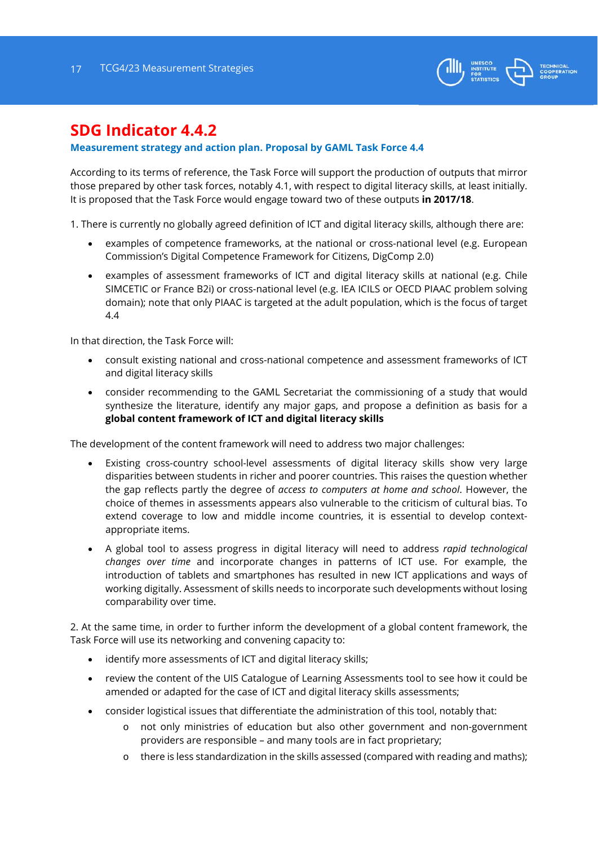

# **SDG Indicator 4.4.2**

# **Measurement strategy and action plan. Proposal by GAML Task Force 4.4**

According to its terms of reference, the Task Force will support the production of outputs that mirror those prepared by other task forces, notably 4.1, with respect to digital literacy skills, at least initially. It is proposed that the Task Force would engage toward two of these outputs **in 2017/18**.

1. There is currently no globally agreed definition of ICT and digital literacy skills, although there are:

- examples of competence frameworks, at the national or cross-national level (e.g. European Commission's Digital Competence Framework for Citizens, DigComp 2.0)
- examples of assessment frameworks of ICT and digital literacy skills at national (e.g. Chile SIMCETIC or France B2i) or cross-national level (e.g. IEA ICILS or OECD PIAAC problem solving domain); note that only PIAAC is targeted at the adult population, which is the focus of target 4.4

In that direction, the Task Force will:

- consult existing national and cross-national competence and assessment frameworks of ICT and digital literacy skills
- consider recommending to the GAML Secretariat the commissioning of a study that would synthesize the literature, identify any major gaps, and propose a definition as basis for a **global content framework of ICT and digital literacy skills**

The development of the content framework will need to address two major challenges:

- Existing cross-country school-level assessments of digital literacy skills show very large disparities between students in richer and poorer countries. This raises the question whether the gap reflects partly the degree of *access to computers at home and school*. However, the choice of themes in assessments appears also vulnerable to the criticism of cultural bias. To extend coverage to low and middle income countries, it is essential to develop contextappropriate items.
- A global tool to assess progress in digital literacy will need to address *rapid technological changes over time* and incorporate changes in patterns of ICT use. For example, the introduction of tablets and smartphones has resulted in new ICT applications and ways of working digitally. Assessment of skills needs to incorporate such developments without losing comparability over time.

2. At the same time, in order to further inform the development of a global content framework, the Task Force will use its networking and convening capacity to:

- identify more assessments of ICT and digital literacy skills;
- review the content of the UIS Catalogue of Learning Assessments tool to see how it could be amended or adapted for the case of ICT and digital literacy skills assessments;
- consider logistical issues that differentiate the administration of this tool, notably that:
	- o not only ministries of education but also other government and non-government providers are responsible – and many tools are in fact proprietary;
	- o there is less standardization in the skills assessed (compared with reading and maths);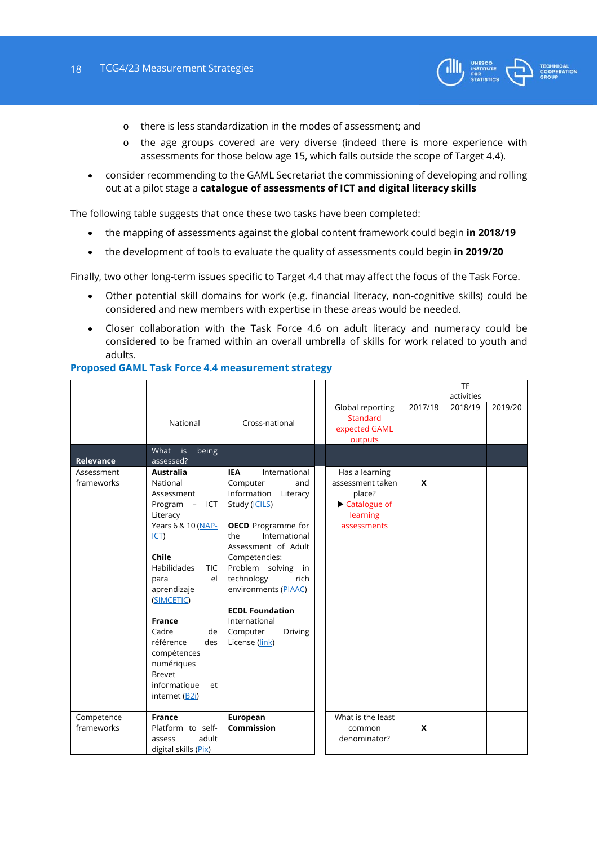

- o there is less standardization in the modes of assessment; and
- o the age groups covered are very diverse (indeed there is more experience with assessments for those below age 15, which falls outside the scope of Target 4.4).
- consider recommending to the GAML Secretariat the commissioning of developing and rolling out at a pilot stage a **catalogue of assessments of ICT and digital literacy skills**

The following table suggests that once these two tasks have been completed:

- the mapping of assessments against the global content framework could begin **in 2018/19**
- the development of tools to evaluate the quality of assessments could begin **in 2019/20**

Finally, two other long-term issues specific to Target 4.4 that may affect the focus of the Task Force.

- Other potential skill domains for work (e.g. financial literacy, non-cognitive skills) could be considered and new members with expertise in these areas would be needed.
- Closer collaboration with the Task Force 4.6 on adult literacy and numeracy could be considered to be framed within an overall umbrella of skills for work related to youth and adults.

#### **Proposed GAML Task Force 4.4 measurement strategy**

|                          |                                                                                                                                                                                                                                                                                                                                          |                                                                                                                                                                                                                                                                                                                                                 |                                                                                         |         | TF         |         |
|--------------------------|------------------------------------------------------------------------------------------------------------------------------------------------------------------------------------------------------------------------------------------------------------------------------------------------------------------------------------------|-------------------------------------------------------------------------------------------------------------------------------------------------------------------------------------------------------------------------------------------------------------------------------------------------------------------------------------------------|-----------------------------------------------------------------------------------------|---------|------------|---------|
|                          |                                                                                                                                                                                                                                                                                                                                          |                                                                                                                                                                                                                                                                                                                                                 |                                                                                         |         | activities |         |
|                          | National                                                                                                                                                                                                                                                                                                                                 | Cross-national                                                                                                                                                                                                                                                                                                                                  | Global reporting<br><b>Standard</b><br>expected GAML<br>outputs                         | 2017/18 | 2018/19    | 2019/20 |
| Relevance                | What is<br>being<br>assessed?                                                                                                                                                                                                                                                                                                            |                                                                                                                                                                                                                                                                                                                                                 |                                                                                         |         |            |         |
| Assessment<br>frameworks | <b>Australia</b><br>National<br>Assessment<br>Program - ICT<br>Literacy<br>Years 6 & 10 (NAP-<br>$ CT\rangle$<br>Chile<br>Habilidades<br><b>TIC</b><br>el<br>para<br>aprendizaje<br>(SIMCETIC)<br><b>France</b><br>Cadre<br>de<br>référence<br>des<br>compétences<br>numériques<br><b>Brevet</b><br>informatique<br>et<br>internet (B2i) | International<br><b>IEA</b><br>Computer<br>and<br>Information<br>Literacy<br>Study (ICILS)<br><b>OECD</b> Programme for<br>International<br>the<br>Assessment of Adult<br>Competencies:<br>Problem solving in<br>technology<br>rich<br>environments (PIAAC)<br><b>ECDL Foundation</b><br>International<br>Computer<br>Driving<br>License (link) | Has a learning<br>assessment taken<br>place?<br>Catalogue of<br>learning<br>assessments | X       |            |         |
| Competence<br>frameworks | <b>France</b><br>Platform to self-<br>adult<br>assess<br>digital skills (Pix)                                                                                                                                                                                                                                                            | European<br><b>Commission</b>                                                                                                                                                                                                                                                                                                                   | What is the least<br>common<br>denominator?                                             | X       |            |         |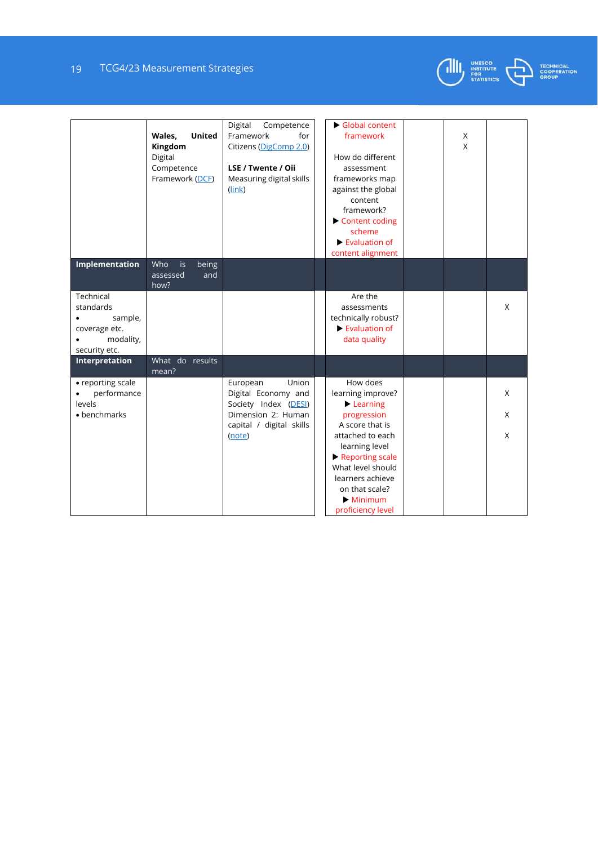# 19 TCG4/23 Measurement Strategies



|                                                                                  | <b>United</b><br>Wales,<br>Kingdom<br>Digital<br>Competence<br>Framework (DCF) | Digital<br>Competence<br>Framework<br>for<br>Citizens (DigComp 2.0)<br>LSE / Twente / Oii<br>Measuring digital skills<br>(link) | Global content<br>framework<br>How do different<br>assessment<br>frameworks map<br>against the global<br>content<br>framework?<br>Content coding<br>scheme<br>$\blacktriangleright$ Evaluation of<br>content alignment | X<br>$\mathsf{x}$ |             |
|----------------------------------------------------------------------------------|--------------------------------------------------------------------------------|---------------------------------------------------------------------------------------------------------------------------------|------------------------------------------------------------------------------------------------------------------------------------------------------------------------------------------------------------------------|-------------------|-------------|
| Implementation                                                                   | Who<br>being<br>is<br>and<br>assessed<br>how?                                  |                                                                                                                                 |                                                                                                                                                                                                                        |                   |             |
| Technical<br>standards<br>sample,<br>coverage etc.<br>modality,<br>security etc. |                                                                                |                                                                                                                                 | Are the<br>assessments<br>technically robust?<br>$\blacktriangleright$ Evaluation of<br>data quality                                                                                                                   |                   | X           |
| Interpretation                                                                   | What do results<br>mean?                                                       |                                                                                                                                 |                                                                                                                                                                                                                        |                   |             |
| • reporting scale<br>performance<br>levels<br>• benchmarks                       |                                                                                | European<br>Union<br>Digital Economy and<br>Society Index (DESI)<br>Dimension 2: Human<br>capital / digital skills<br>(note)    | How does<br>learning improve?<br>Learning<br>progression<br>A score that is<br>attached to each<br>learning level<br>Reporting scale<br>What level should                                                              |                   | X<br>X<br>X |
|                                                                                  |                                                                                |                                                                                                                                 | learners achieve<br>on that scale?<br>$\blacktriangleright$ Minimum<br>proficiency level                                                                                                                               |                   |             |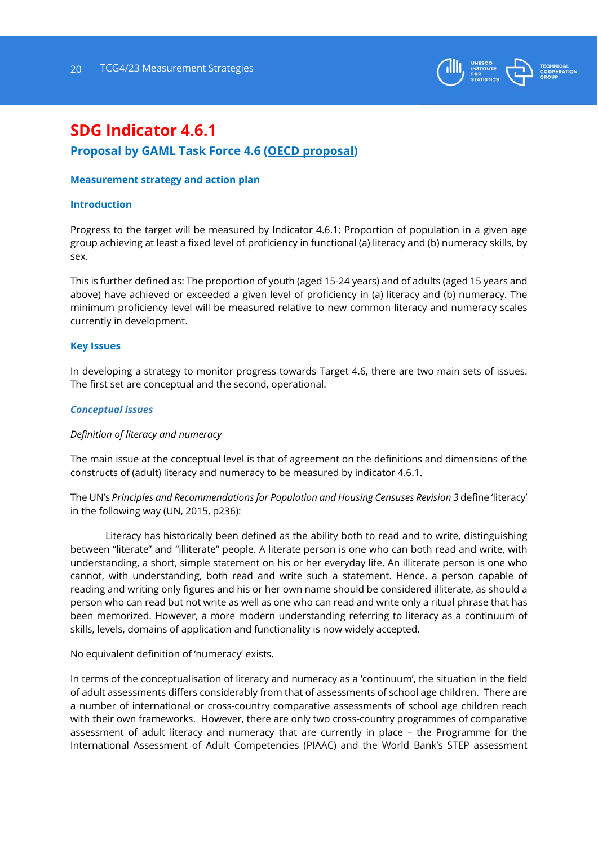

# **SDG Indicator 4.6.1**

# **Proposal by GAML Task Force 4.6 (OECD proposal)**

#### **Measurement strategy and action plan**

#### **Introduction**

Progress to the target will be measured by Indicator 4.6.1: Proportion of population in a given age group achieving at least a fixed level of proficiency in functional (a) literacy and (b) numeracy skills, by sex.

This is further defined as: The proportion of youth (aged 15-24 years) and of adults (aged 15 years and above) have achieved or exceeded a given level of proficiency in (a) literacy and (b) numeracy. The minimum proficiency level will be measured relative to new common literacy and numeracy scales currently in development.

#### **Key Issues**

In developing a strategy to monitor progress towards Target 4.6, there are two main sets of issues. The first set are conceptual and the second, operational.

#### *Conceptual issues*

#### *Definition of literacy and numeracy*

The main issue at the conceptual level is that of agreement on the definitions and dimensions of the constructs of (adult) literacy and numeracy to be measured by indicator 4.6.1.

The UN's *Principles and Recommendations for Population and Housing Censuses Revision 3* define 'literacy' in the following way (UN, 2015, p236):

 Literacy has historically been defined as the ability both to read and to write, distinguishing between "literate" and "illiterate" people. A literate person is one who can both read and write, with understanding, a short, simple statement on his or her everyday life. An illiterate person is one who cannot, with understanding, both read and write such a statement. Hence, a person capable of reading and writing only figures and his or her own name should be considered illiterate, as should a person who can read but not write as well as one who can read and write only a ritual phrase that has been memorized. However, a more modern understanding referring to literacy as a continuum of skills, levels, domains of application and functionality is now widely accepted.

No equivalent definition of 'numeracy' exists.

In terms of the conceptualisation of literacy and numeracy as a 'continuum', the situation in the field of adult assessments differs considerably from that of assessments of school age children. There are a number of international or cross-country comparative assessments of school age children reach with their own frameworks. However, there are only two cross-country programmes of comparative assessment of adult literacy and numeracy that are currently in place – the Programme for the International Assessment of Adult Competencies (PIAAC) and the World Bank's STEP assessment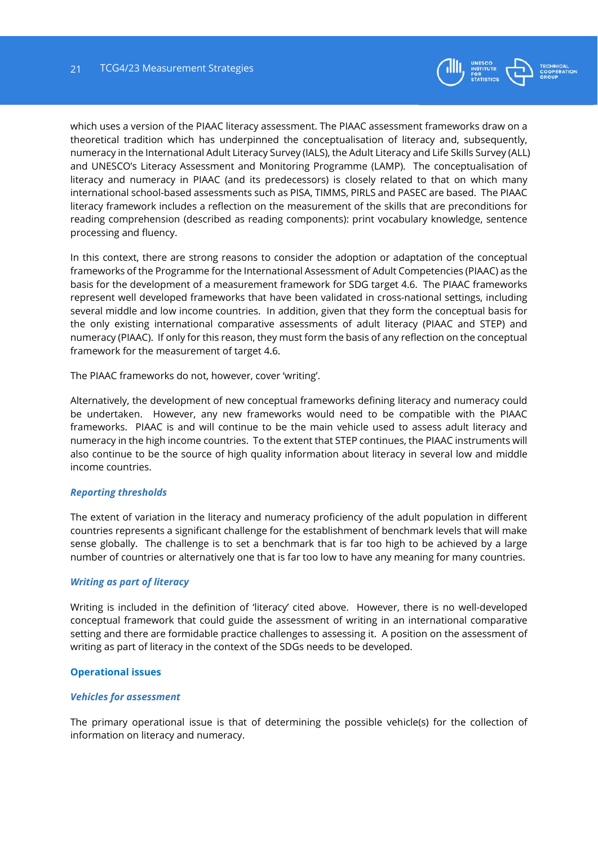

which uses a version of the PIAAC literacy assessment. The PIAAC assessment frameworks draw on a theoretical tradition which has underpinned the conceptualisation of literacy and, subsequently, numeracy in the International Adult Literacy Survey (IALS), the Adult Literacy and Life Skills Survey (ALL) and UNESCO's Literacy Assessment and Monitoring Programme (LAMP). The conceptualisation of literacy and numeracy in PIAAC (and its predecessors) is closely related to that on which many international school-based assessments such as PISA, TIMMS, PIRLS and PASEC are based. The PIAAC literacy framework includes a reflection on the measurement of the skills that are preconditions for reading comprehension (described as reading components): print vocabulary knowledge, sentence processing and fluency.

In this context, there are strong reasons to consider the adoption or adaptation of the conceptual frameworks of the Programme for the International Assessment of Adult Competencies (PIAAC) as the basis for the development of a measurement framework for SDG target 4.6. The PIAAC frameworks represent well developed frameworks that have been validated in cross-national settings, including several middle and low income countries. In addition, given that they form the conceptual basis for the only existing international comparative assessments of adult literacy (PIAAC and STEP) and numeracy (PIAAC). If only for this reason, they must form the basis of any reflection on the conceptual framework for the measurement of target 4.6.

The PIAAC frameworks do not, however, cover 'writing'.

Alternatively, the development of new conceptual frameworks defining literacy and numeracy could be undertaken. However, any new frameworks would need to be compatible with the PIAAC frameworks. PIAAC is and will continue to be the main vehicle used to assess adult literacy and numeracy in the high income countries. To the extent that STEP continues, the PIAAC instruments will also continue to be the source of high quality information about literacy in several low and middle income countries.

#### *Reporting thresholds*

The extent of variation in the literacy and numeracy proficiency of the adult population in different countries represents a significant challenge for the establishment of benchmark levels that will make sense globally. The challenge is to set a benchmark that is far too high to be achieved by a large number of countries or alternatively one that is far too low to have any meaning for many countries.

# *Writing as part of literacy*

Writing is included in the definition of 'literacy' cited above. However, there is no well-developed conceptual framework that could guide the assessment of writing in an international comparative setting and there are formidable practice challenges to assessing it. A position on the assessment of writing as part of literacy in the context of the SDGs needs to be developed.

# **Operational issues**

#### *Vehicles for assessment*

The primary operational issue is that of determining the possible vehicle(s) for the collection of information on literacy and numeracy.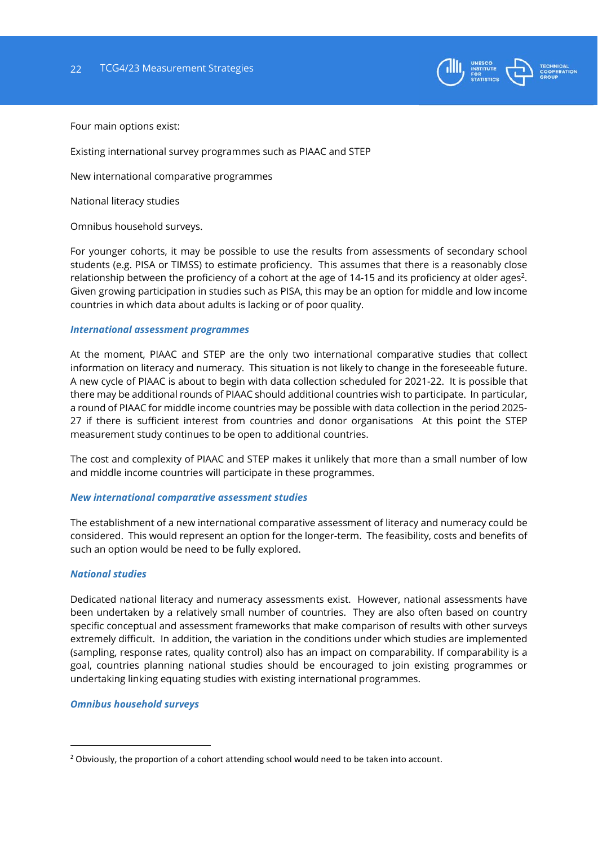

Four main options exist:

Existing international survey programmes such as PIAAC and STEP

New international comparative programmes

National literacy studies

Omnibus household surveys.

For younger cohorts, it may be possible to use the results from assessments of secondary school students (e.g. PISA or TIMSS) to estimate proficiency. This assumes that there is a reasonably close relationship between the proficiency of a cohort at the age of 14-15 and its proficiency at older ages<sup>2</sup>. Given growing participation in studies such as PISA, this may be an option for middle and low income countries in which data about adults is lacking or of poor quality.

#### *International assessment programmes*

At the moment, PIAAC and STEP are the only two international comparative studies that collect information on literacy and numeracy. This situation is not likely to change in the foreseeable future. A new cycle of PIAAC is about to begin with data collection scheduled for 2021-22. It is possible that there may be additional rounds of PIAAC should additional countries wish to participate. In particular, a round of PIAAC for middle income countries may be possible with data collection in the period 2025- 27 if there is sufficient interest from countries and donor organisations At this point the STEP measurement study continues to be open to additional countries.

The cost and complexity of PIAAC and STEP makes it unlikely that more than a small number of low and middle income countries will participate in these programmes.

#### *New international comparative assessment studies*

The establishment of a new international comparative assessment of literacy and numeracy could be considered. This would represent an option for the longer-term. The feasibility, costs and benefits of such an option would be need to be fully explored.

#### *National studies*

1

Dedicated national literacy and numeracy assessments exist. However, national assessments have been undertaken by a relatively small number of countries. They are also often based on country specific conceptual and assessment frameworks that make comparison of results with other surveys extremely difficult. In addition, the variation in the conditions under which studies are implemented (sampling, response rates, quality control) also has an impact on comparability. If comparability is a goal, countries planning national studies should be encouraged to join existing programmes or undertaking linking equating studies with existing international programmes.

#### *Omnibus household surveys*

<sup>&</sup>lt;sup>2</sup> Obviously, the proportion of a cohort attending school would need to be taken into account.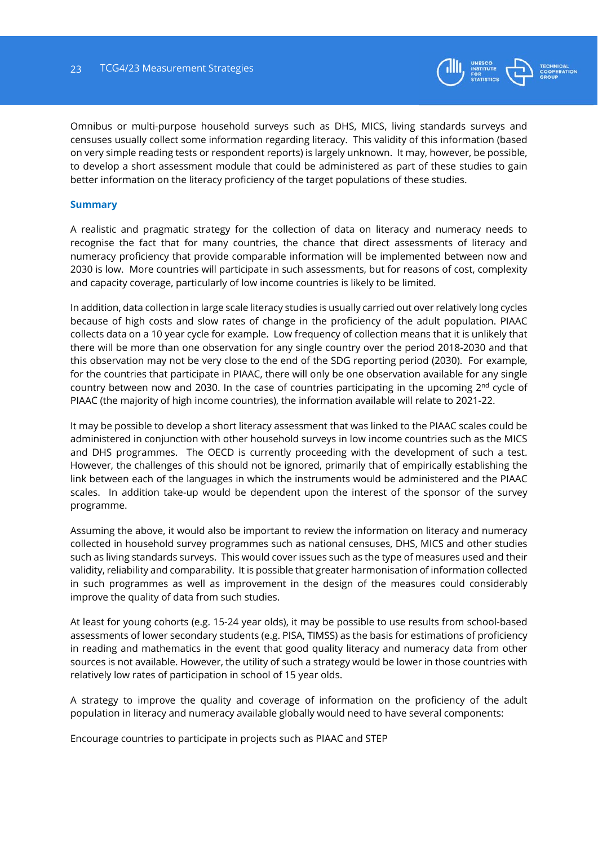

Omnibus or multi-purpose household surveys such as DHS, MICS, living standards surveys and censuses usually collect some information regarding literacy. This validity of this information (based on very simple reading tests or respondent reports) is largely unknown. It may, however, be possible, to develop a short assessment module that could be administered as part of these studies to gain better information on the literacy proficiency of the target populations of these studies.

#### **Summary**

A realistic and pragmatic strategy for the collection of data on literacy and numeracy needs to recognise the fact that for many countries, the chance that direct assessments of literacy and numeracy proficiency that provide comparable information will be implemented between now and 2030 is low. More countries will participate in such assessments, but for reasons of cost, complexity and capacity coverage, particularly of low income countries is likely to be limited.

In addition, data collection in large scale literacy studies is usually carried out over relatively long cycles because of high costs and slow rates of change in the proficiency of the adult population. PIAAC collects data on a 10 year cycle for example. Low frequency of collection means that it is unlikely that there will be more than one observation for any single country over the period 2018-2030 and that this observation may not be very close to the end of the SDG reporting period (2030). For example, for the countries that participate in PIAAC, there will only be one observation available for any single country between now and 2030. In the case of countries participating in the upcoming 2<sup>nd</sup> cycle of PIAAC (the majority of high income countries), the information available will relate to 2021-22.

It may be possible to develop a short literacy assessment that was linked to the PIAAC scales could be administered in conjunction with other household surveys in low income countries such as the MICS and DHS programmes. The OECD is currently proceeding with the development of such a test. However, the challenges of this should not be ignored, primarily that of empirically establishing the link between each of the languages in which the instruments would be administered and the PIAAC scales. In addition take-up would be dependent upon the interest of the sponsor of the survey programme.

Assuming the above, it would also be important to review the information on literacy and numeracy collected in household survey programmes such as national censuses, DHS, MICS and other studies such as living standards surveys. This would cover issues such as the type of measures used and their validity, reliability and comparability. It is possible that greater harmonisation of information collected in such programmes as well as improvement in the design of the measures could considerably improve the quality of data from such studies.

At least for young cohorts (e.g. 15-24 year olds), it may be possible to use results from school-based assessments of lower secondary students (e.g. PISA, TIMSS) as the basis for estimations of proficiency in reading and mathematics in the event that good quality literacy and numeracy data from other sources is not available. However, the utility of such a strategy would be lower in those countries with relatively low rates of participation in school of 15 year olds.

A strategy to improve the quality and coverage of information on the proficiency of the adult population in literacy and numeracy available globally would need to have several components:

Encourage countries to participate in projects such as PIAAC and STEP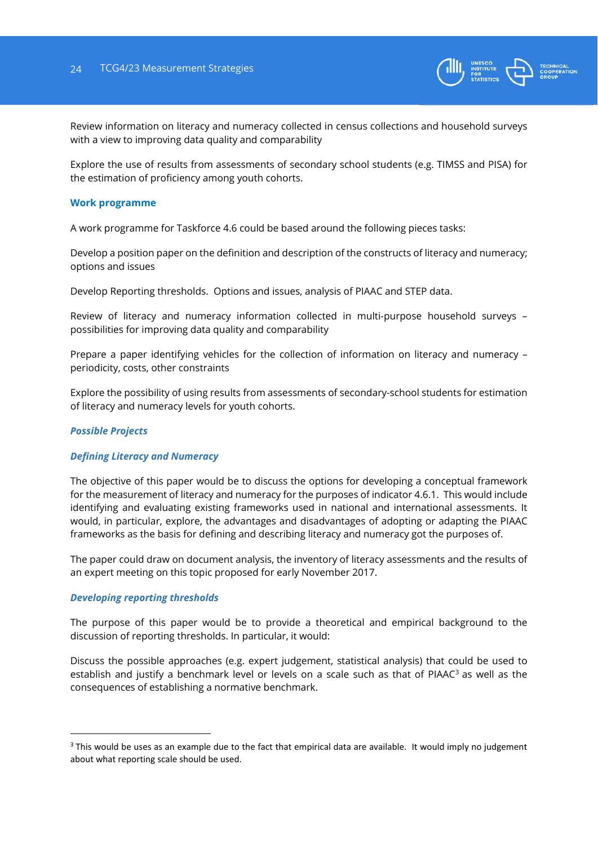

Review information on literacy and numeracy collected in census collections and household surveys with a view to improving data quality and comparability

Explore the use of results from assessments of secondary school students (e.g. TIMSS and PISA) for the estimation of proficiency among youth cohorts.

#### **Work programme**

A work programme for Taskforce 4.6 could be based around the following pieces tasks:

Develop a position paper on the definition and description of the constructs of literacy and numeracy; options and issues

Develop Reporting thresholds. Options and issues, analysis of PIAAC and STEP data.

Review of literacy and numeracy information collected in multi-purpose household surveys – possibilities for improving data quality and comparability

Prepare a paper identifying vehicles for the collection of information on literacy and numeracy – periodicity, costs, other constraints

Explore the possibility of using results from assessments of secondary-school students for estimation of literacy and numeracy levels for youth cohorts.

#### *Possible Projects*

-

#### *Defining Literacy and Numeracy*

The objective of this paper would be to discuss the options for developing a conceptual framework for the measurement of literacy and numeracy for the purposes of indicator 4.6.1. This would include identifying and evaluating existing frameworks used in national and international assessments. It would, in particular, explore, the advantages and disadvantages of adopting or adapting the PIAAC frameworks as the basis for defining and describing literacy and numeracy got the purposes of.

The paper could draw on document analysis, the inventory of literacy assessments and the results of an expert meeting on this topic proposed for early November 2017.

#### *Developing reporting thresholds*

The purpose of this paper would be to provide a theoretical and empirical background to the discussion of reporting thresholds. In particular, it would:

Discuss the possible approaches (e.g. expert judgement, statistical analysis) that could be used to establish and justify a benchmark level or levels on a scale such as that of PIAAC<sup>3</sup> as well as the consequences of establishing a normative benchmark.

 $3$  This would be uses as an example due to the fact that empirical data are available. It would imply no judgement about what reporting scale should be used.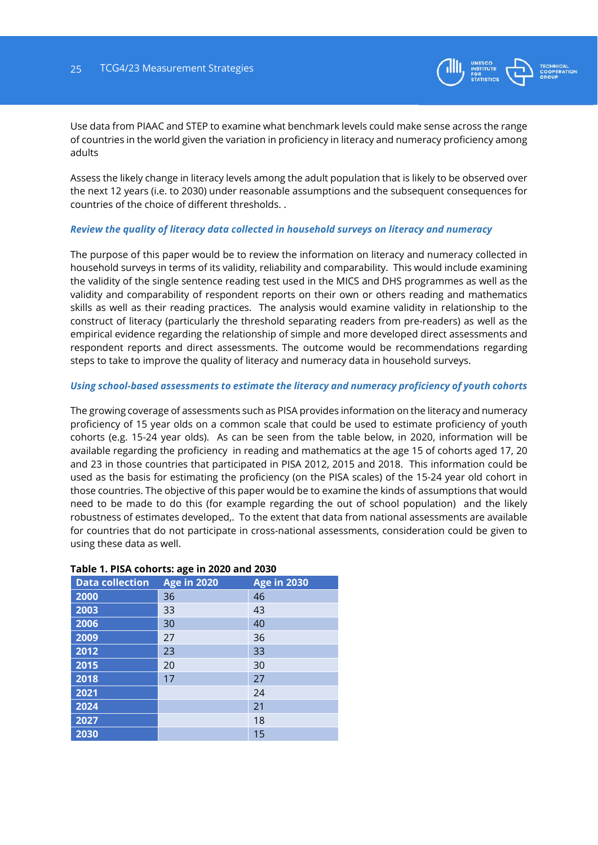

Use data from PIAAC and STEP to examine what benchmark levels could make sense across the range of countries in the world given the variation in proficiency in literacy and numeracy proficiency among adults

Assess the likely change in literacy levels among the adult population that is likely to be observed over the next 12 years (i.e. to 2030) under reasonable assumptions and the subsequent consequences for countries of the choice of different thresholds. .

#### *Review the quality of literacy data collected in household surveys on literacy and numeracy*

The purpose of this paper would be to review the information on literacy and numeracy collected in household surveys in terms of its validity, reliability and comparability. This would include examining the validity of the single sentence reading test used in the MICS and DHS programmes as well as the validity and comparability of respondent reports on their own or others reading and mathematics skills as well as their reading practices. The analysis would examine validity in relationship to the construct of literacy (particularly the threshold separating readers from pre-readers) as well as the empirical evidence regarding the relationship of simple and more developed direct assessments and respondent reports and direct assessments. The outcome would be recommendations regarding steps to take to improve the quality of literacy and numeracy data in household surveys.

#### *Using school-based assessments to estimate the literacy and numeracy proficiency of youth cohorts*

The growing coverage of assessments such as PISA provides information on the literacy and numeracy proficiency of 15 year olds on a common scale that could be used to estimate proficiency of youth cohorts (e.g. 15-24 year olds). As can be seen from the table below, in 2020, information will be available regarding the proficiency in reading and mathematics at the age 15 of cohorts aged 17, 20 and 23 in those countries that participated in PISA 2012, 2015 and 2018. This information could be used as the basis for estimating the proficiency (on the PISA scales) of the 15-24 year old cohort in those countries. The objective of this paper would be to examine the kinds of assumptions that would need to be made to do this (for example regarding the out of school population) and the likely robustness of estimates developed,. To the extent that data from national assessments are available for countries that do not participate in cross-national assessments, consideration could be given to using these data as well.

| <b>Data collection</b> | ັ<br><b>Age in 2020</b> | <b>Age in 2030</b> |
|------------------------|-------------------------|--------------------|
| 2000                   | 36                      | 46                 |
| 2003                   | 33                      | 43                 |
| 2006                   | 30                      | 40                 |
| 2009                   | 27                      | 36                 |
| 2012                   | 23                      | 33                 |
| 2015                   | 20                      | 30                 |
| 2018                   | 17                      | 27                 |
| 2021                   |                         | 24                 |
| 2024                   |                         | 21                 |
| 2027                   |                         | 18                 |
| 2030                   |                         | 15                 |

#### **Table 1. PISA cohorts: age in 2020 and 2030**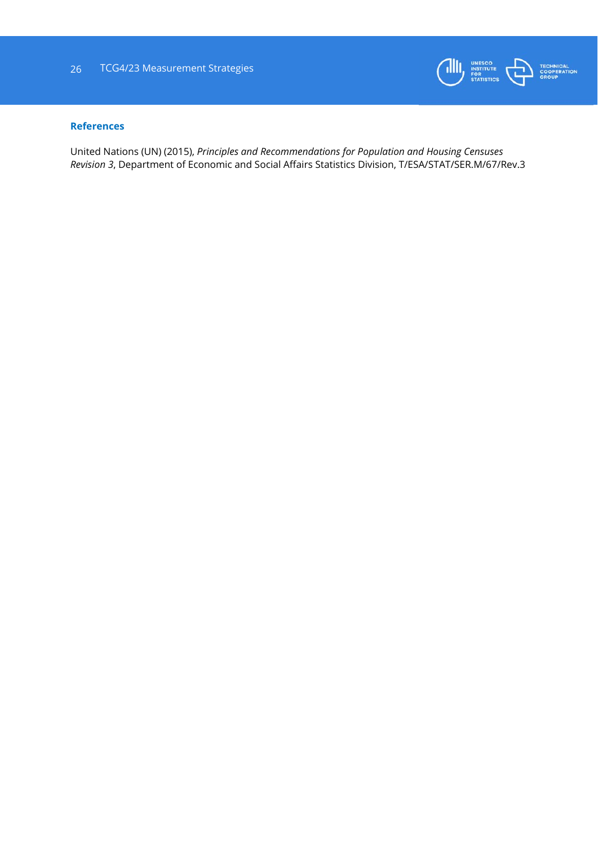

#### **References**

United Nations (UN) (2015), *Principles and Recommendations for Population and Housing Censuses Revision 3*, Department of Economic and Social Affairs Statistics Division, T/ESA/STAT/SER.M/67/Rev.3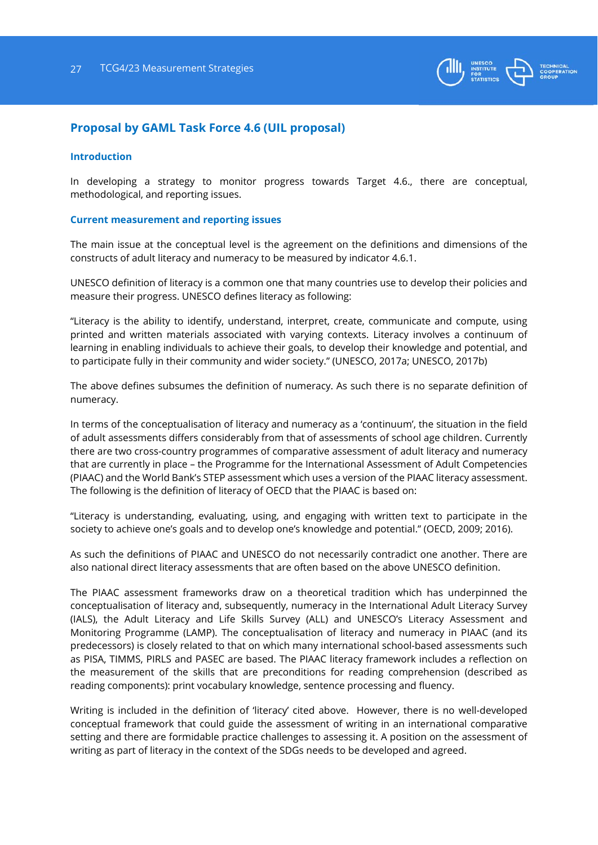

# **Proposal by GAML Task Force 4.6 (UIL proposal)**

#### **Introduction**

In developing a strategy to monitor progress towards Target 4.6., there are conceptual, methodological, and reporting issues.

#### **Current measurement and reporting issues**

The main issue at the conceptual level is the agreement on the definitions and dimensions of the constructs of adult literacy and numeracy to be measured by indicator 4.6.1.

UNESCO definition of literacy is a common one that many countries use to develop their policies and measure their progress. UNESCO defines literacy as following:

"Literacy is the ability to identify, understand, interpret, create, communicate and compute, using printed and written materials associated with varying contexts. Literacy involves a continuum of learning in enabling individuals to achieve their goals, to develop their knowledge and potential, and to participate fully in their community and wider society." (UNESCO, 2017a; UNESCO, 2017b)

The above defines subsumes the definition of numeracy. As such there is no separate definition of numeracy.

In terms of the conceptualisation of literacy and numeracy as a 'continuum', the situation in the field of adult assessments differs considerably from that of assessments of school age children. Currently there are two cross-country programmes of comparative assessment of adult literacy and numeracy that are currently in place – the Programme for the International Assessment of Adult Competencies (PIAAC) and the World Bank's STEP assessment which uses a version of the PIAAC literacy assessment. The following is the definition of literacy of OECD that the PIAAC is based on:

"Literacy is understanding, evaluating, using, and engaging with written text to participate in the society to achieve one's goals and to develop one's knowledge and potential." (OECD, 2009; 2016).

As such the definitions of PIAAC and UNESCO do not necessarily contradict one another. There are also national direct literacy assessments that are often based on the above UNESCO definition.

The PIAAC assessment frameworks draw on a theoretical tradition which has underpinned the conceptualisation of literacy and, subsequently, numeracy in the International Adult Literacy Survey (IALS), the Adult Literacy and Life Skills Survey (ALL) and UNESCO's Literacy Assessment and Monitoring Programme (LAMP). The conceptualisation of literacy and numeracy in PIAAC (and its predecessors) is closely related to that on which many international school-based assessments such as PISA, TIMMS, PIRLS and PASEC are based. The PIAAC literacy framework includes a reflection on the measurement of the skills that are preconditions for reading comprehension (described as reading components): print vocabulary knowledge, sentence processing and fluency.

Writing is included in the definition of 'literacy' cited above. However, there is no well-developed conceptual framework that could guide the assessment of writing in an international comparative setting and there are formidable practice challenges to assessing it. A position on the assessment of writing as part of literacy in the context of the SDGs needs to be developed and agreed.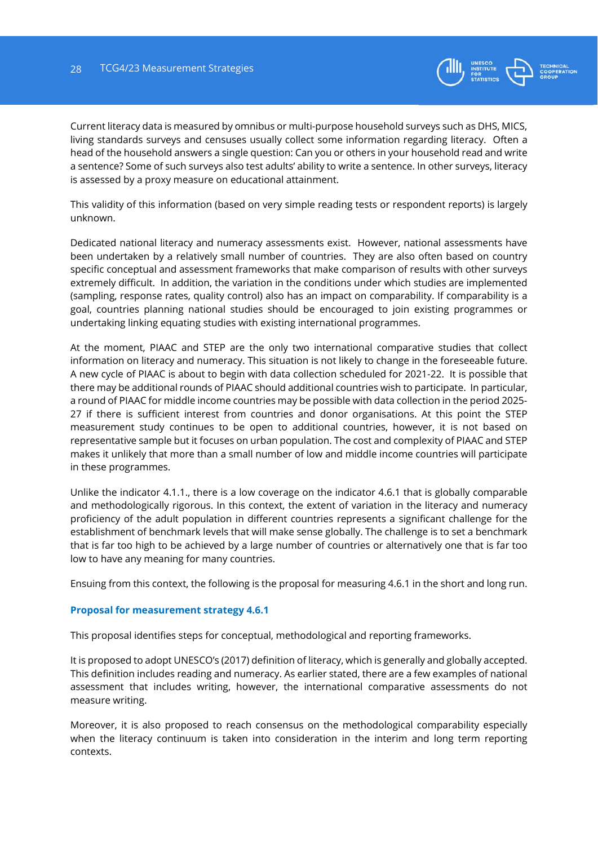

Current literacy data is measured by omnibus or multi-purpose household surveys such as DHS, MICS, living standards surveys and censuses usually collect some information regarding literacy. Often a head of the household answers a single question: Can you or others in your household read and write a sentence? Some of such surveys also test adults' ability to write a sentence. In other surveys, literacy is assessed by a proxy measure on educational attainment.

This validity of this information (based on very simple reading tests or respondent reports) is largely unknown.

Dedicated national literacy and numeracy assessments exist. However, national assessments have been undertaken by a relatively small number of countries. They are also often based on country specific conceptual and assessment frameworks that make comparison of results with other surveys extremely difficult. In addition, the variation in the conditions under which studies are implemented (sampling, response rates, quality control) also has an impact on comparability. If comparability is a goal, countries planning national studies should be encouraged to join existing programmes or undertaking linking equating studies with existing international programmes.

At the moment, PIAAC and STEP are the only two international comparative studies that collect information on literacy and numeracy. This situation is not likely to change in the foreseeable future. A new cycle of PIAAC is about to begin with data collection scheduled for 2021-22. It is possible that there may be additional rounds of PIAAC should additional countries wish to participate. In particular, a round of PIAAC for middle income countries may be possible with data collection in the period 2025- 27 if there is sufficient interest from countries and donor organisations. At this point the STEP measurement study continues to be open to additional countries, however, it is not based on representative sample but it focuses on urban population. The cost and complexity of PIAAC and STEP makes it unlikely that more than a small number of low and middle income countries will participate in these programmes.

Unlike the indicator 4.1.1., there is a low coverage on the indicator 4.6.1 that is globally comparable and methodologically rigorous. In this context, the extent of variation in the literacy and numeracy proficiency of the adult population in different countries represents a significant challenge for the establishment of benchmark levels that will make sense globally. The challenge is to set a benchmark that is far too high to be achieved by a large number of countries or alternatively one that is far too low to have any meaning for many countries.

Ensuing from this context, the following is the proposal for measuring 4.6.1 in the short and long run.

# **Proposal for measurement strategy 4.6.1**

This proposal identifies steps for conceptual, methodological and reporting frameworks.

It is proposed to adopt UNESCO's (2017) definition of literacy, which is generally and globally accepted. This definition includes reading and numeracy. As earlier stated, there are a few examples of national assessment that includes writing, however, the international comparative assessments do not measure writing.

Moreover, it is also proposed to reach consensus on the methodological comparability especially when the literacy continuum is taken into consideration in the interim and long term reporting contexts.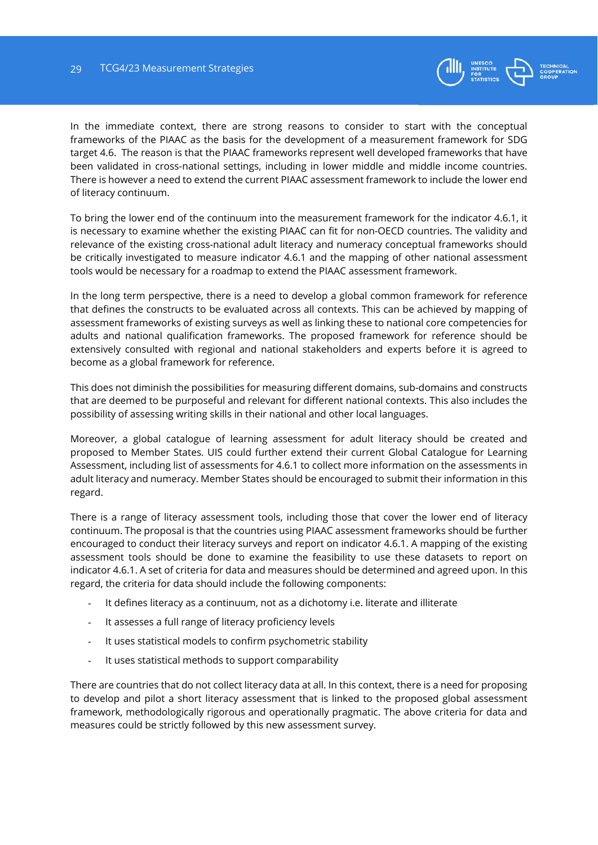

In the immediate context, there are strong reasons to consider to start with the conceptual frameworks of the PIAAC as the basis for the development of a measurement framework for SDG target 4.6. The reason is that the PIAAC frameworks represent well developed frameworks that have been validated in cross-national settings, including in lower middle and middle income countries. There is however a need to extend the current PIAAC assessment framework to include the lower end of literacy continuum.

To bring the lower end of the continuum into the measurement framework for the indicator 4.6.1, it is necessary to examine whether the existing PIAAC can fit for non-OECD countries. The validity and relevance of the existing cross-national adult literacy and numeracy conceptual frameworks should be critically investigated to measure indicator 4.6.1 and the mapping of other national assessment tools would be necessary for a roadmap to extend the PIAAC assessment framework.

In the long term perspective, there is a need to develop a global common framework for reference that defines the constructs to be evaluated across all contexts. This can be achieved by mapping of assessment frameworks of existing surveys as well as linking these to national core competencies for adults and national qualification frameworks. The proposed framework for reference should be extensively consulted with regional and national stakeholders and experts before it is agreed to become as a global framework for reference.

This does not diminish the possibilities for measuring different domains, sub-domains and constructs that are deemed to be purposeful and relevant for different national contexts. This also includes the possibility of assessing writing skills in their national and other local languages.

Moreover, a global catalogue of learning assessment for adult literacy should be created and proposed to Member States. UIS could further extend their current Global Catalogue for Learning Assessment, including list of assessments for 4.6.1 to collect more information on the assessments in adult literacy and numeracy. Member States should be encouraged to submit their information in this regard.

There is a range of literacy assessment tools, including those that cover the lower end of literacy continuum. The proposal is that the countries using PIAAC assessment frameworks should be further encouraged to conduct their literacy surveys and report on indicator 4.6.1. A mapping of the existing assessment tools should be done to examine the feasibility to use these datasets to report on indicator 4.6.1. A set of criteria for data and measures should be determined and agreed upon. In this regard, the criteria for data should include the following components:

- It defines literacy as a continuum, not as a dichotomy i.e. literate and illiterate
- It assesses a full range of literacy proficiency levels
- It uses statistical models to confirm psychometric stability
- It uses statistical methods to support comparability

There are countries that do not collect literacy data at all. In this context, there is a need for proposing to develop and pilot a short literacy assessment that is linked to the proposed global assessment framework, methodologically rigorous and operationally pragmatic. The above criteria for data and measures could be strictly followed by this new assessment survey.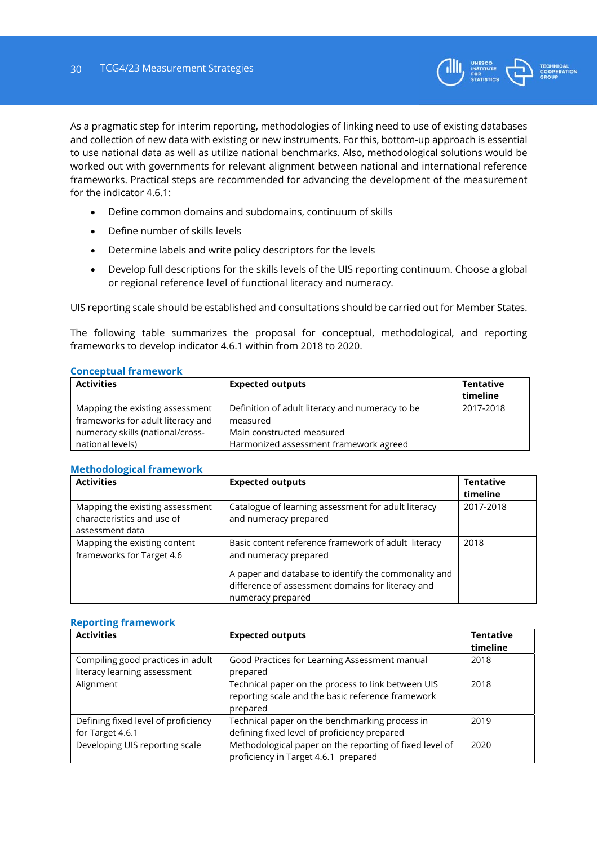

As a pragmatic step for interim reporting, methodologies of linking need to use of existing databases and collection of new data with existing or new instruments. For this, bottom-up approach is essential to use national data as well as utilize national benchmarks. Also, methodological solutions would be worked out with governments for relevant alignment between national and international reference frameworks. Practical steps are recommended for advancing the development of the measurement for the indicator 4.6.1:

- Define common domains and subdomains, continuum of skills
- Define number of skills levels
- Determine labels and write policy descriptors for the levels
- Develop full descriptions for the skills levels of the UIS reporting continuum. Choose a global or regional reference level of functional literacy and numeracy.

UIS reporting scale should be established and consultations should be carried out for Member States.

The following table summarizes the proposal for conceptual, methodological, and reporting frameworks to develop indicator 4.6.1 within from 2018 to 2020.

#### **Conceptual framework**

| <b>Activities</b>                                                    | <b>Expected outputs</b>                                             | Tentative<br>timeline |
|----------------------------------------------------------------------|---------------------------------------------------------------------|-----------------------|
| Mapping the existing assessment<br>frameworks for adult literacy and | Definition of adult literacy and numeracy to be<br>measured         | 2017-2018             |
| numeracy skills (national/cross-<br>national levels)                 | Main constructed measured<br>Harmonized assessment framework agreed |                       |

#### **Methodological framework**

| <b>Activities</b>                                                                | <b>Expected outputs</b>                                                                                                        | <b>Tentative</b><br>timeline |
|----------------------------------------------------------------------------------|--------------------------------------------------------------------------------------------------------------------------------|------------------------------|
| Mapping the existing assessment<br>characteristics and use of<br>assessment data | Catalogue of learning assessment for adult literacy<br>and numeracy prepared                                                   | 2017-2018                    |
| Mapping the existing content<br>frameworks for Target 4.6                        | Basic content reference framework of adult literacy<br>and numeracy prepared                                                   | 2018                         |
|                                                                                  | A paper and database to identify the commonality and<br>difference of assessment domains for literacy and<br>numeracy prepared |                              |

## **Reporting framework**

| <b>Activities</b>                                                 | <b>Expected outputs</b>                                                                                             | <b>Tentative</b><br>timeline |
|-------------------------------------------------------------------|---------------------------------------------------------------------------------------------------------------------|------------------------------|
| Compiling good practices in adult<br>literacy learning assessment | Good Practices for Learning Assessment manual<br>prepared                                                           | 2018                         |
| Alignment                                                         | Technical paper on the process to link between UIS<br>reporting scale and the basic reference framework<br>prepared | 2018                         |
| Defining fixed level of proficiency<br>for Target 4.6.1           | Technical paper on the benchmarking process in<br>defining fixed level of proficiency prepared                      | 2019                         |
| Developing UIS reporting scale                                    | Methodological paper on the reporting of fixed level of<br>proficiency in Target 4.6.1 prepared                     | 2020                         |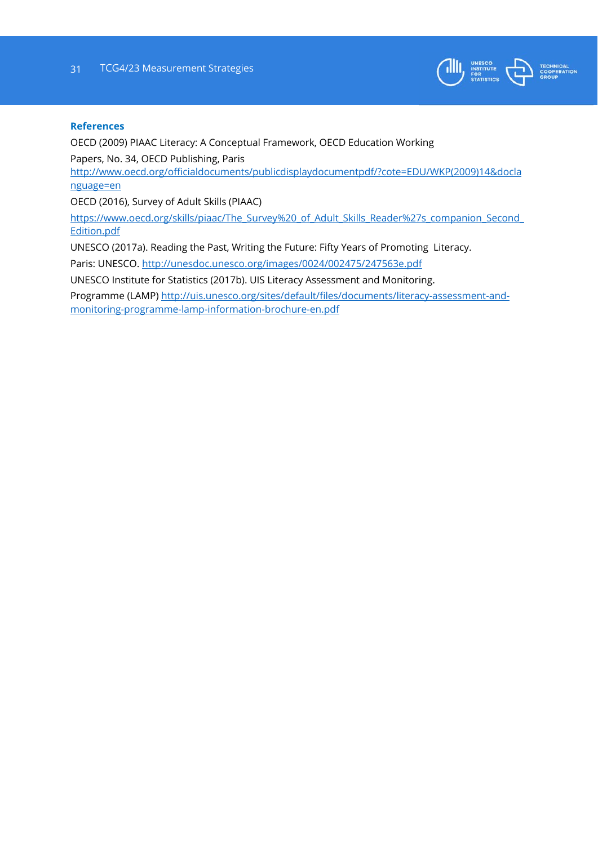

#### **References**

OECD (2009) PIAAC Literacy: A Conceptual Framework, OECD Education Working Papers, No. 34, OECD Publishing, Paris http://www.oecd.org/officialdocuments/publicdisplaydocumentpdf/?cote=EDU/WKP(2009)14&docla nguage=en OECD (2016), Survey of Adult Skills (PIAAC) https://www.oecd.org/skills/piaac/The\_Survey%20\_of\_Adult\_Skills\_Reader%27s\_companion\_Second Edition.pdf UNESCO (2017a). Reading the Past, Writing the Future: Fifty Years of Promoting Literacy. Paris: UNESCO. http://unesdoc.unesco.org/images/0024/002475/247563e.pdf

UNESCO Institute for Statistics (2017b). UIS Literacy Assessment and Monitoring.

Programme (LAMP) http://uis.unesco.org/sites/default/files/documents/literacy-assessment-andmonitoring-programme-lamp-information-brochure-en.pdf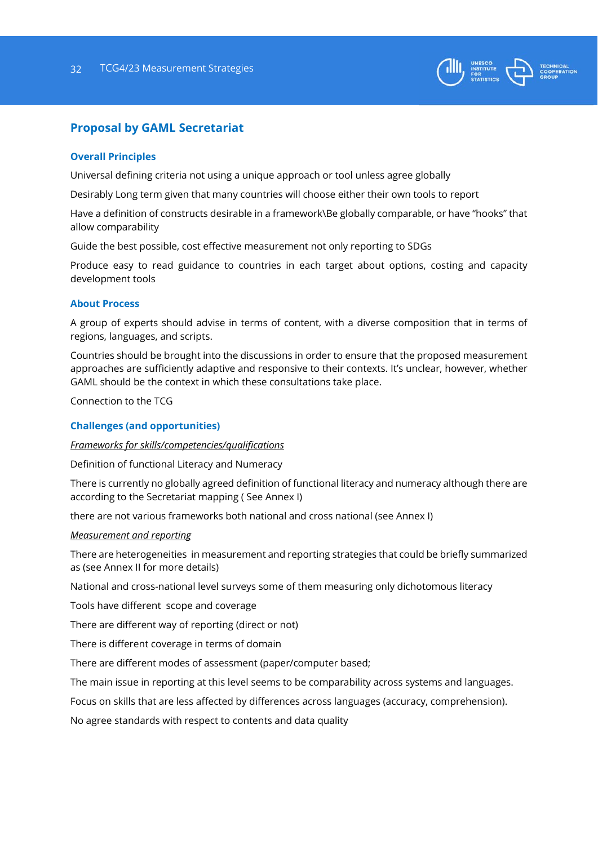

# **Proposal by GAML Secretariat**

### **Overall Principles**

Universal defining criteria not using a unique approach or tool unless agree globally

Desirably Long term given that many countries will choose either their own tools to report

Have a definition of constructs desirable in a framework\Be globally comparable, or have "hooks" that allow comparability

Guide the best possible, cost effective measurement not only reporting to SDGs

Produce easy to read guidance to countries in each target about options, costing and capacity development tools

#### **About Process**

A group of experts should advise in terms of content, with a diverse composition that in terms of regions, languages, and scripts.

Countries should be brought into the discussions in order to ensure that the proposed measurement approaches are sufficiently adaptive and responsive to their contexts. It's unclear, however, whether GAML should be the context in which these consultations take place.

Connection to the TCG

#### **Challenges (and opportunities)**

#### *Frameworks for skills/competencies/qualifications*

Definition of functional Literacy and Numeracy

There is currently no globally agreed definition of functional literacy and numeracy although there are according to the Secretariat mapping ( See Annex I)

there are not various frameworks both national and cross national (see Annex I)

#### *Measurement and reporting*

There are heterogeneities in measurement and reporting strategies that could be briefly summarized as (see Annex II for more details)

National and cross-national level surveys some of them measuring only dichotomous literacy

Tools have different scope and coverage

There are different way of reporting (direct or not)

There is different coverage in terms of domain

There are different modes of assessment (paper/computer based;

The main issue in reporting at this level seems to be comparability across systems and languages.

Focus on skills that are less affected by differences across languages (accuracy, comprehension).

No agree standards with respect to contents and data quality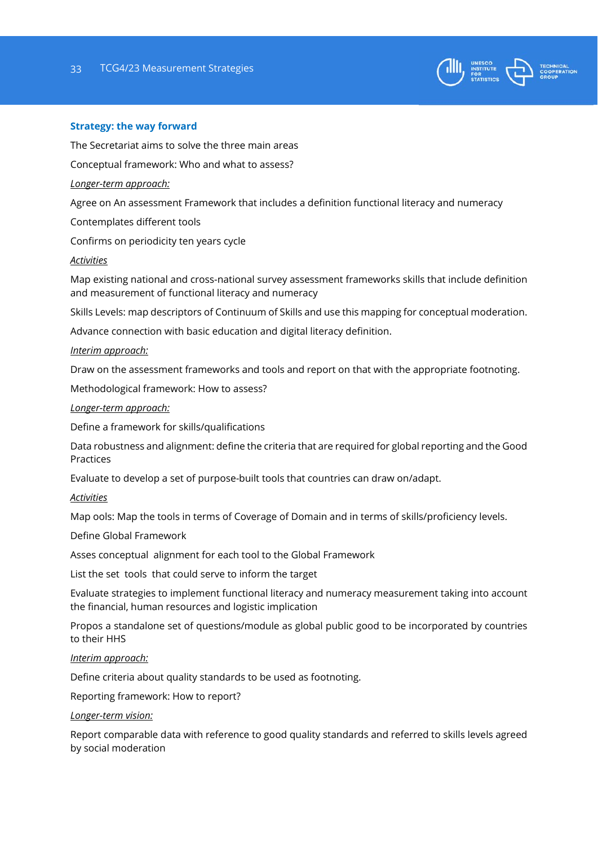

#### **Strategy: the way forward**

The Secretariat aims to solve the three main areas

Conceptual framework: Who and what to assess?

#### *Longer-term approach:*

Agree on An assessment Framework that includes a definition functional literacy and numeracy

Contemplates different tools

Confirms on periodicity ten years cycle

#### *Activities*

Map existing national and cross-national survey assessment frameworks skills that include definition and measurement of functional literacy and numeracy

Skills Levels: map descriptors of Continuum of Skills and use this mapping for conceptual moderation.

Advance connection with basic education and digital literacy definition.

#### *Interim approach:*

Draw on the assessment frameworks and tools and report on that with the appropriate footnoting.

Methodological framework: How to assess?

#### *Longer-term approach:*

Define a framework for skills/qualifications

Data robustness and alignment: define the criteria that are required for global reporting and the Good Practices

Evaluate to develop a set of purpose-built tools that countries can draw on/adapt.

#### *Activities*

Map ools: Map the tools in terms of Coverage of Domain and in terms of skills/proficiency levels.

Define Global Framework

Asses conceptual alignment for each tool to the Global Framework

List the set tools that could serve to inform the target

Evaluate strategies to implement functional literacy and numeracy measurement taking into account the financial, human resources and logistic implication

Propos a standalone set of questions/module as global public good to be incorporated by countries to their HHS

#### *Interim approach:*

Define criteria about quality standards to be used as footnoting.

Reporting framework: How to report?

#### *Longer-term vision:*

Report comparable data with reference to good quality standards and referred to skills levels agreed by social moderation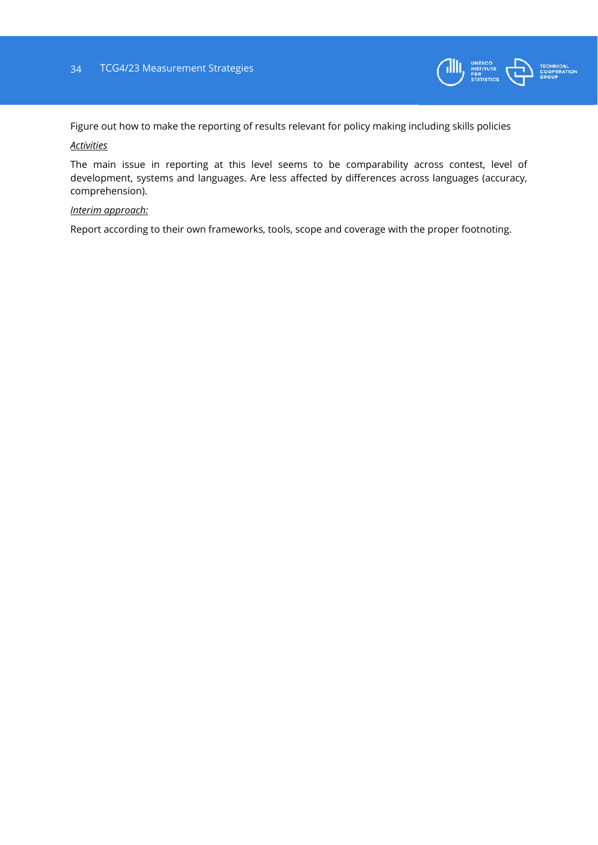![](_page_33_Picture_1.jpeg)

Figure out how to make the reporting of results relevant for policy making including skills policies

### *Activities*

The main issue in reporting at this level seems to be comparability across contest, level of development, systems and languages. Are less affected by differences across languages (accuracy, comprehension).

#### *Interim approach:*

Report according to their own frameworks, tools, scope and coverage with the proper footnoting.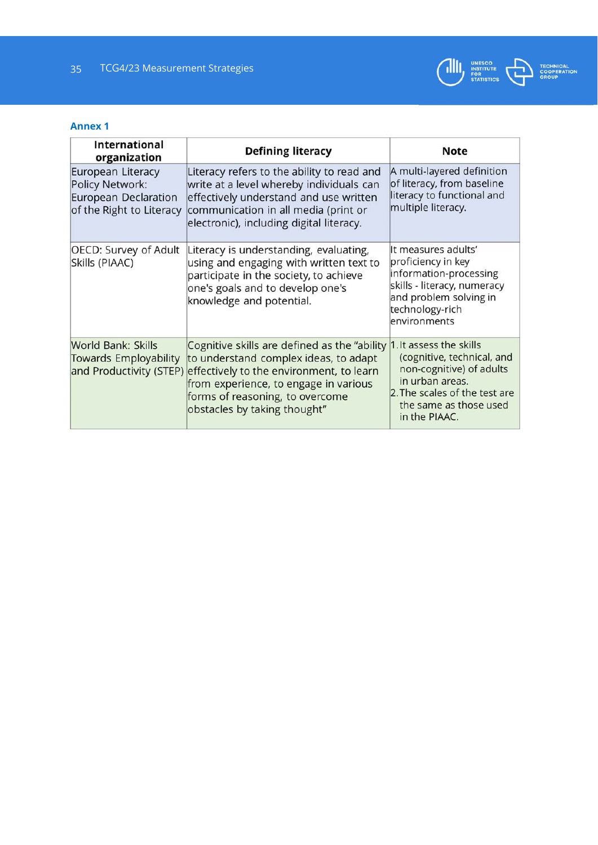![](_page_34_Picture_1.jpeg)

## **Annex 1**

| <b>International</b><br>organization                                                            | <b>Defining literacy</b>                                                                                                                                                                                                                                              | <b>Note</b>                                                                                                                                                     |
|-------------------------------------------------------------------------------------------------|-----------------------------------------------------------------------------------------------------------------------------------------------------------------------------------------------------------------------------------------------------------------------|-----------------------------------------------------------------------------------------------------------------------------------------------------------------|
| European Literacy<br><b>Policy Network:</b><br>European Declaration<br>of the Right to Literacy | Literacy refers to the ability to read and<br>write at a level whereby individuals can<br>effectively understand and use written<br>communication in all media (print or<br>electronic), including digital literacy.                                                  | A multi-layered definition<br>of literacy, from baseline<br>literacy to functional and<br>multiple literacy.                                                    |
| OECD: Survey of Adult<br>Skills (PIAAC)                                                         | Literacy is understanding, evaluating,<br>using and engaging with written text to<br>participate in the society, to achieve<br>one's goals and to develop one's<br>knowledge and potential.                                                                           | It measures adults'<br>proficiency in key<br>information-processing<br>skills - literacy, numeracy<br>and problem solving in<br>technology-rich<br>environments |
| <b>World Bank: Skills</b><br><b>Towards Employability</b><br>and Productivity (STEP)            | Cognitive skills are defined as the "ability 1. It assess the skills<br>to understand complex ideas, to adapt<br>effectively to the environment, to learn<br>from experience, to engage in various<br>forms of reasoning, to overcome<br>obstacles by taking thought" | (cognitive, technical, and<br>non-cognitive) of adults<br>in urban areas.<br>2. The scales of the test are<br>the same as those used<br>in the PIAAC.           |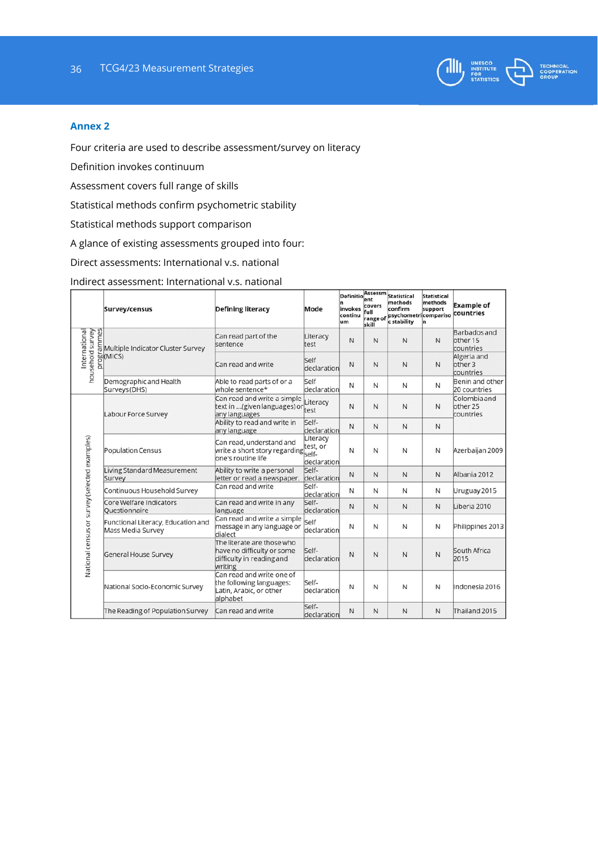![](_page_35_Picture_1.jpeg)

#### **Annex 2**

Four criteria are used to describe assessment/survey on literacy

Definition invokes continuum

Assessment covers full range of skills

Statistical methods confirm psychometric stability

Statistical methods support comparison

A glance of existing assessments grouped into four:

Direct assessments: International v.s. national

Indirect assessment: International v.s. national

|                                               | Survey/census                                           | <b>Defining literacy</b>                                                                                               | Mode                 | Definitionssessm<br>invokes<br>continu<br>um | ent<br>covers<br>full<br>range of<br>skill | <b>Statistical</b><br>methods<br>confirm<br>psychometricompariso<br>c stability | <b>Statistical</b><br>methods<br>support | <b>Example of</b><br>countries                   |  |
|-----------------------------------------------|---------------------------------------------------------|------------------------------------------------------------------------------------------------------------------------|----------------------|----------------------------------------------|--------------------------------------------|---------------------------------------------------------------------------------|------------------------------------------|--------------------------------------------------|--|
| household survey<br>International             | EMultiple Indicator Cluster Survey                      | Can read part of the<br>sentence                                                                                       | Literacy<br>test     | N                                            | N                                          | N                                                                               | N                                        | <b>Barbados</b> and<br>other 15<br>countries     |  |
|                                               | bol(MICS)                                               | Can read and write                                                                                                     | Self<br>declaration  | N                                            | $\mathsf{N}$                               | $\mathsf{N}$                                                                    | N                                        | Algeria and<br>other <sub>3</sub><br>countries   |  |
|                                               | Demographic and Health<br>Surveys (DHS)                 | Able to read parts of or a<br>whole sentence*                                                                          | Self<br>declaration  | N                                            | N                                          | N                                                                               | N                                        | Benin and other<br>20 countries                  |  |
|                                               | Labour Force Survey                                     | Can read and write a simple<br>text in  (given languages) or<br>any languages                                          | Literacy<br>test     | N                                            | N                                          | N                                                                               | N                                        | Colombia and<br>other <sub>25</sub><br>countries |  |
|                                               |                                                         | Ability to read and write in<br>any language                                                                           | Self-<br>declaration | N                                            | N                                          | N                                                                               | N                                        |                                                  |  |
|                                               | Population Census                                       | Can read, understand and<br>Laff read, understand and<br>write a short story regarding<br>self-<br>lone's routine life |                      |                                              |                                            | N                                                                               | N                                        | Azerbaijan 2009                                  |  |
|                                               | Living Standard Measurement<br>Survey                   | Ability to write a personal<br>letter or read a newspaper.                                                             | Self-<br>declaration | N                                            | N                                          | N                                                                               | N                                        | Albania 2012                                     |  |
|                                               | Continuous Household Survey                             | Can read and write                                                                                                     | Self-<br>declaration | N                                            | N                                          | N                                                                               | N                                        | Uruguay 2015                                     |  |
|                                               | Core Welfare Indicators<br>Ouestionnaire                | Can read and write in any<br>language                                                                                  | Self-<br>declaration | $\mathsf{N}$                                 | $\mathsf{N}$                               | $\mathsf{N}$                                                                    | $\mathsf{N}$                             | Liberia 2010                                     |  |
|                                               | Functional Literacy, Education and<br>Mass Media Survey | Can read and write a simple<br>message in any language or<br>dialect                                                   | Self<br>declaration  | N                                            | N                                          | N                                                                               | N                                        | Philippines 2013                                 |  |
| National census or survey (selected examples) | General House Survey                                    | The literate are those who<br>have no difficulty or some<br>difficulty in reading and<br>writing                       | Self-<br>declaration | N                                            | N                                          | N                                                                               | N                                        | South Africa<br>2015                             |  |
|                                               | National Socio-Economic Survey                          | Can read and write one of<br>the following languages:<br>Latin, Arabic, or other<br>alphabet                           | Self-<br>declaration | N                                            | N                                          | N                                                                               | N                                        | Indonesia 2016                                   |  |
|                                               | The Reading of Population Survey                        | Can read and write                                                                                                     | Self-<br>declaration | N                                            | N                                          | N                                                                               | N                                        | Thailand 2015                                    |  |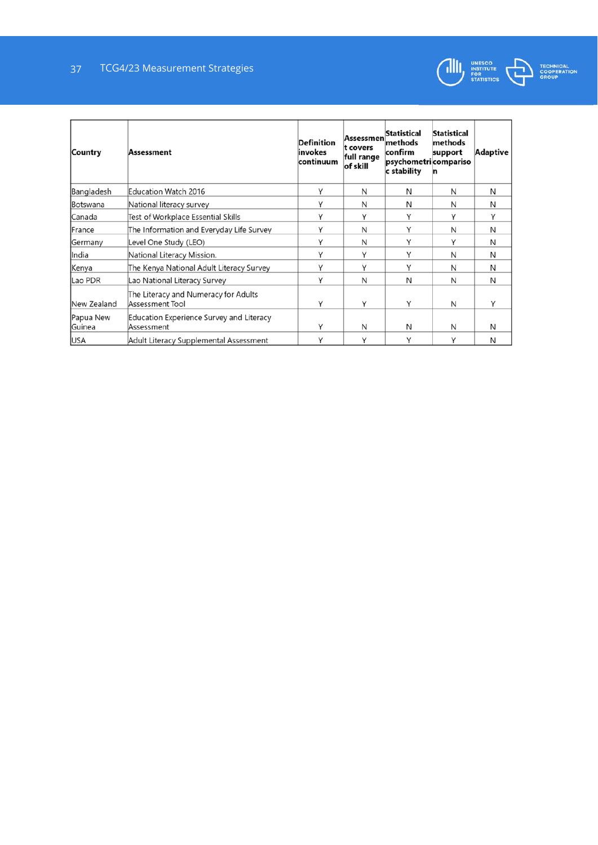![](_page_36_Picture_1.jpeg)

| Country                     | Assessment                                                    | <b>Definition</b><br>invokes<br>continuum | Assessmen<br>t covers<br>full range<br>of skill | Statistical<br>methods<br>confirm<br>psychometri compariso<br>c stability | <b>Statistical</b><br>methods<br>support | Adaptive |
|-----------------------------|---------------------------------------------------------------|-------------------------------------------|-------------------------------------------------|---------------------------------------------------------------------------|------------------------------------------|----------|
| Bangladesh                  | <b>Education Watch 2016</b>                                   | Υ                                         | N                                               | N                                                                         | N                                        | N        |
| <b>Botswana</b>             | National literacy survey                                      | Υ                                         | N                                               | N                                                                         | N                                        | N        |
| Canada                      | Test of Workplace Essential Skills                            | Υ                                         | Υ                                               | Υ                                                                         | Y                                        | Υ        |
| France                      | The Information and Everyday Life Survey                      | Υ                                         | N                                               | Y                                                                         | N                                        | N        |
| Germany                     | Level One Study (LEO)                                         | Υ                                         | N                                               | Υ                                                                         | Y                                        | N        |
| lIndia                      | National Literacy Mission.                                    | Υ                                         | Υ                                               | Υ                                                                         | N                                        | N        |
| Kenya                       | The Kenya National Adult Literacy Survey                      | Υ                                         | Υ                                               | Υ                                                                         | N                                        | N        |
| Lao PDR                     | Lao National Literacy Survey                                  | Υ                                         | N                                               | N                                                                         | N                                        | N        |
| New Zealand                 | The Literacy and Numeracy for Adults<br>Assessment Tool       | Υ                                         | Y                                               | Υ                                                                         | N                                        | Υ        |
| Papua New<br><b>IGuinea</b> | <b>Education Experience Survey and Literacy</b><br>Assessment | γ                                         | N                                               | N                                                                         | N                                        | N        |
| <b>USA</b>                  | Adult Literacy Supplemental Assessment                        | ٧                                         | Υ                                               | Υ                                                                         | Υ                                        | N        |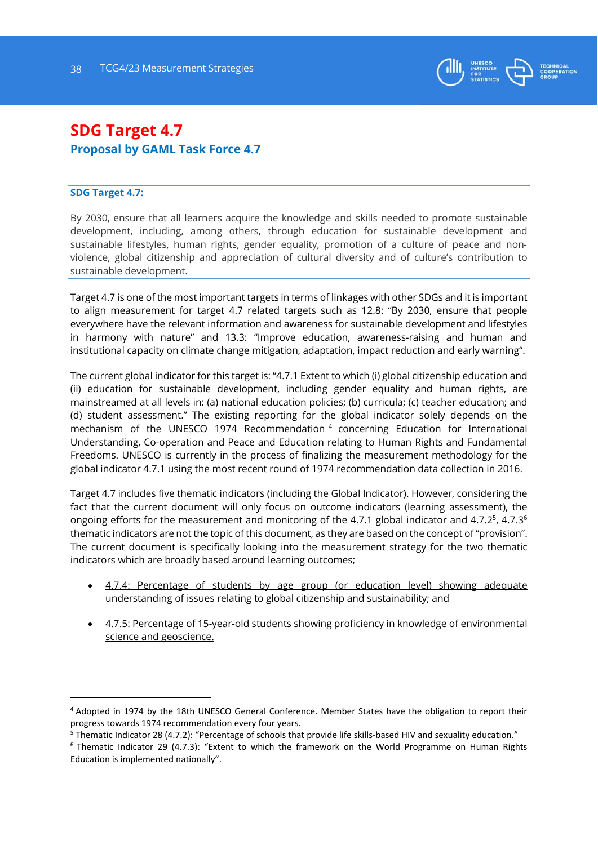![](_page_37_Picture_1.jpeg)

# **SDG Target 4.7 Proposal by GAML Task Force 4.7**

#### **SDG Target 4.7:**

-

By 2030, ensure that all learners acquire the knowledge and skills needed to promote sustainable development, including, among others, through education for sustainable development and sustainable lifestyles, human rights, gender equality, promotion of a culture of peace and non‐ violence, global citizenship and appreciation of cultural diversity and of culture's contribution to sustainable development.

Target 4.7 is one of the most important targets in terms of linkages with other SDGs and it is important to align measurement for target 4.7 related targets such as 12.8: "By 2030, ensure that people everywhere have the relevant information and awareness for sustainable development and lifestyles in harmony with nature" and 13.3: "Improve education, awareness-raising and human and institutional capacity on climate change mitigation, adaptation, impact reduction and early warning".

The current global indicator for this target is: "4.7.1 Extent to which (i) global citizenship education and (ii) education for sustainable development, including gender equality and human rights, are mainstreamed at all levels in: (a) national education policies; (b) curricula; (c) teacher education; and (d) student assessment." The existing reporting for the global indicator solely depends on the mechanism of the UNESCO 1974 Recommendation 4 concerning Education for International Understanding, Co-operation and Peace and Education relating to Human Rights and Fundamental Freedoms. UNESCO is currently in the process of finalizing the measurement methodology for the global indicator 4.7.1 using the most recent round of 1974 recommendation data collection in 2016.

Target 4.7 includes five thematic indicators (including the Global Indicator). However, considering the fact that the current document will only focus on outcome indicators (learning assessment), the ongoing efforts for the measurement and monitoring of the 4.7.1 global indicator and  $4.7.2^5$ ,  $4.7.3^6$ thematic indicators are not the topic of this document, as they are based on the concept of "provision". The current document is specifically looking into the measurement strategy for the two thematic indicators which are broadly based around learning outcomes;

- 4.7.4: Percentage of students by age group (or education level) showing adequate understanding of issues relating to global citizenship and sustainability; and
- 4.7.5: Percentage of 15-year-old students showing proficiency in knowledge of environmental science and geoscience.

<sup>4</sup> Adopted in 1974 by the 18th UNESCO General Conference. Member States have the obligation to report their progress towards 1974 recommendation every four years.

<sup>&</sup>lt;sup>5</sup> Thematic Indicator 28 (4.7.2): "Percentage of schools that provide life skills-based HIV and sexuality education."

 $6$  Thematic Indicator 29 (4.7.3): "Extent to which the framework on the World Programme on Human Rights Education is implemented nationally".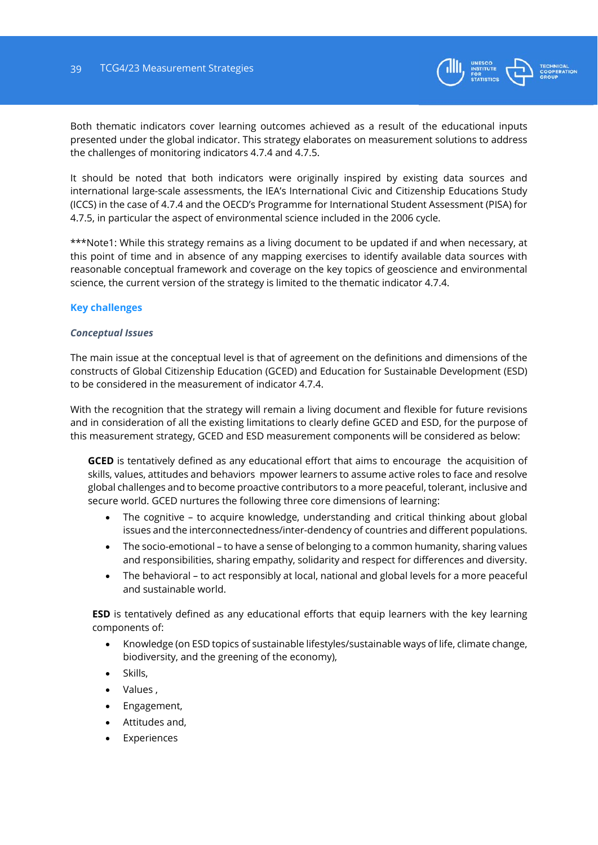![](_page_38_Picture_1.jpeg)

Both thematic indicators cover learning outcomes achieved as a result of the educational inputs presented under the global indicator. This strategy elaborates on measurement solutions to address the challenges of monitoring indicators 4.7.4 and 4.7.5.

It should be noted that both indicators were originally inspired by existing data sources and international large-scale assessments, the IEA's International Civic and Citizenship Educations Study (ICCS) in the case of 4.7.4 and the OECD's Programme for International Student Assessment (PISA) for 4.7.5, in particular the aspect of environmental science included in the 2006 cycle.

\*\*\*Note1: While this strategy remains as a living document to be updated if and when necessary, at this point of time and in absence of any mapping exercises to identify available data sources with reasonable conceptual framework and coverage on the key topics of geoscience and environmental science, the current version of the strategy is limited to the thematic indicator 4.7.4.

# **Key challenges**

#### *Conceptual Issues*

The main issue at the conceptual level is that of agreement on the definitions and dimensions of the constructs of Global Citizenship Education (GCED) and Education for Sustainable Development (ESD) to be considered in the measurement of indicator 4.7.4.

With the recognition that the strategy will remain a living document and flexible for future revisions and in consideration of all the existing limitations to clearly define GCED and ESD, for the purpose of this measurement strategy, GCED and ESD measurement components will be considered as below:

**GCED** is tentatively defined as any educational effort that aims to encourage the acquisition of skills, values, attitudes and behaviors mpower learners to assume active roles to face and resolve global challenges and to become proactive contributors to a more peaceful, tolerant, inclusive and secure world. GCED nurtures the following three core dimensions of learning:

- The cognitive to acquire knowledge, understanding and critical thinking about global issues and the interconnectedness/inter-dendency of countries and different populations.
- The socio-emotional to have a sense of belonging to a common humanity, sharing values and responsibilities, sharing empathy, solidarity and respect for differences and diversity.
- The behavioral to act responsibly at local, national and global levels for a more peaceful and sustainable world.

**ESD** is tentatively defined as any educational efforts that equip learners with the key learning components of:

- Knowledge (on ESD topics of sustainable lifestyles/sustainable ways of life, climate change, biodiversity, and the greening of the economy),
- Skills,
- Values ,
- Engagement,
- Attitudes and,
- Experiences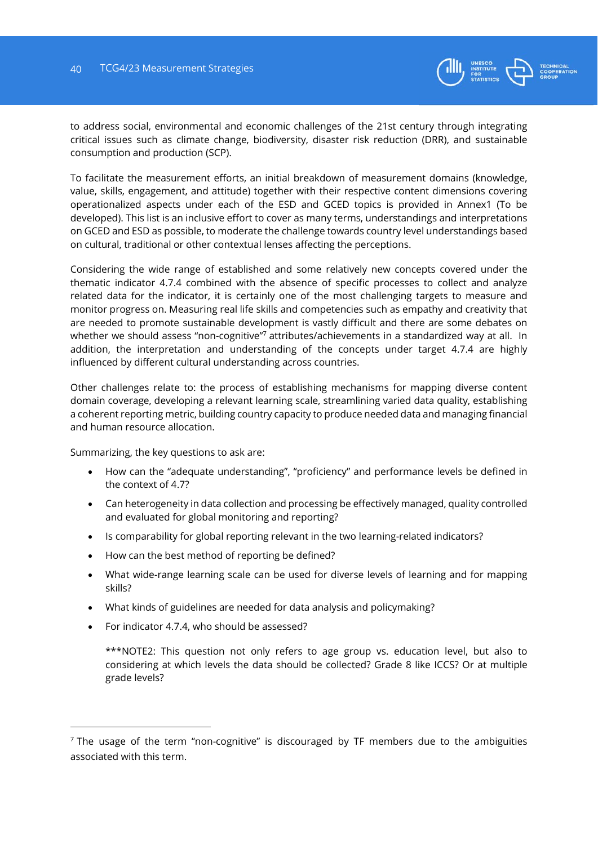![](_page_39_Picture_1.jpeg)

to address social, environmental and economic challenges of the 21st century through integrating critical issues such as climate change, biodiversity, disaster risk reduction (DRR), and sustainable consumption and production (SCP).

To facilitate the measurement efforts, an initial breakdown of measurement domains (knowledge, value, skills, engagement, and attitude) together with their respective content dimensions covering operationalized aspects under each of the ESD and GCED topics is provided in Annex1 (To be developed). This list is an inclusive effort to cover as many terms, understandings and interpretations on GCED and ESD as possible, to moderate the challenge towards country level understandings based on cultural, traditional or other contextual lenses affecting the perceptions.

Considering the wide range of established and some relatively new concepts covered under the thematic indicator 4.7.4 combined with the absence of specific processes to collect and analyze related data for the indicator, it is certainly one of the most challenging targets to measure and monitor progress on. Measuring real life skills and competencies such as empathy and creativity that are needed to promote sustainable development is vastly difficult and there are some debates on whether we should assess "non-cognitive"<sup>7</sup> attributes/achievements in a standardized way at all. In addition, the interpretation and understanding of the concepts under target 4.7.4 are highly influenced by different cultural understanding across countries.

Other challenges relate to: the process of establishing mechanisms for mapping diverse content domain coverage, developing a relevant learning scale, streamlining varied data quality, establishing a coherent reporting metric, building country capacity to produce needed data and managing financial and human resource allocation.

Summarizing, the key questions to ask are:

- How can the "adequate understanding", "proficiency" and performance levels be defined in the context of 4.7?
- Can heterogeneity in data collection and processing be effectively managed, quality controlled and evaluated for global monitoring and reporting?
- Is comparability for global reporting relevant in the two learning-related indicators?
- How can the best method of reporting be defined?
- What wide-range learning scale can be used for diverse levels of learning and for mapping skills?
- What kinds of guidelines are needed for data analysis and policymaking?
- For indicator 4.7.4, who should be assessed?

-

\*\*\*NOTE2: This question not only refers to age group vs. education level, but also to considering at which levels the data should be collected? Grade 8 like ICCS? Or at multiple grade levels?

 $<sup>7</sup>$  The usage of the term "non-cognitive" is discouraged by TF members due to the ambiguities</sup> associated with this term.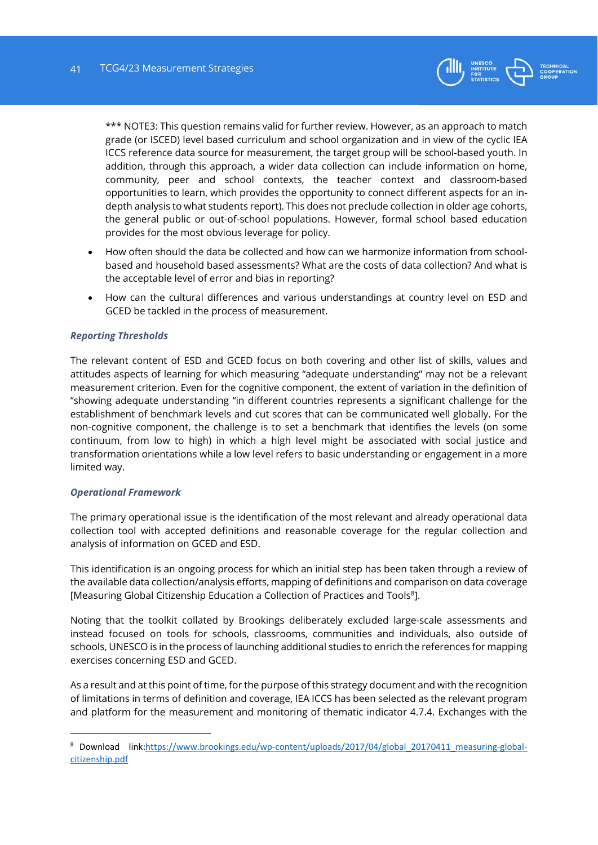![](_page_40_Picture_1.jpeg)

\*\*\* NOTE3: This question remains valid for further review. However, as an approach to match grade (or ISCED) level based curriculum and school organization and in view of the cyclic IEA ICCS reference data source for measurement, the target group will be school-based youth. In addition, through this approach, a wider data collection can include information on home, community, peer and school contexts, the teacher context and classroom-based opportunities to learn, which provides the opportunity to connect different aspects for an indepth analysis to what students report). This does not preclude collection in older age cohorts, the general public or out-of-school populations. However, formal school based education provides for the most obvious leverage for policy.

- How often should the data be collected and how can we harmonize information from schoolbased and household based assessments? What are the costs of data collection? And what is the acceptable level of error and bias in reporting?
- How can the cultural differences and various understandings at country level on ESD and GCED be tackled in the process of measurement.

#### *Reporting Thresholds*

The relevant content of ESD and GCED focus on both covering and other list of skills, values and attitudes aspects of learning for which measuring "adequate understanding" may not be a relevant measurement criterion. Even for the cognitive component, the extent of variation in the definition of "showing adequate understanding "in different countries represents a significant challenge for the establishment of benchmark levels and cut scores that can be communicated well globally. For the non-cognitive component, the challenge is to set a benchmark that identifies the levels (on some continuum, from low to high) in which a high level might be associated with social justice and transformation orientations while a low level refers to basic understanding or engagement in a more limited way.

#### *Operational Framework*

-

The primary operational issue is the identification of the most relevant and already operational data collection tool with accepted definitions and reasonable coverage for the regular collection and analysis of information on GCED and ESD.

This identification is an ongoing process for which an initial step has been taken through a review of the available data collection/analysis efforts, mapping of definitions and comparison on data coverage [Measuring Global Citizenship Education a Collection of Practices and Tools<sup>8</sup>].

Noting that the toolkit collated by Brookings deliberately excluded large-scale assessments and instead focused on tools for schools, classrooms, communities and individuals, also outside of schools, UNESCO is in the process of launching additional studies to enrich the references for mapping exercises concerning ESD and GCED.

As a result and at this point of time, for the purpose of this strategy document and with the recognition of limitations in terms of definition and coverage, IEA ICCS has been selected as the relevant program and platform for the measurement and monitoring of thematic indicator 4.7.4. Exchanges with the

<sup>8</sup> Download link:https://www.brookings.edu/wp-content/uploads/2017/04/global 20170411 measuring-globalcitizenship.pdf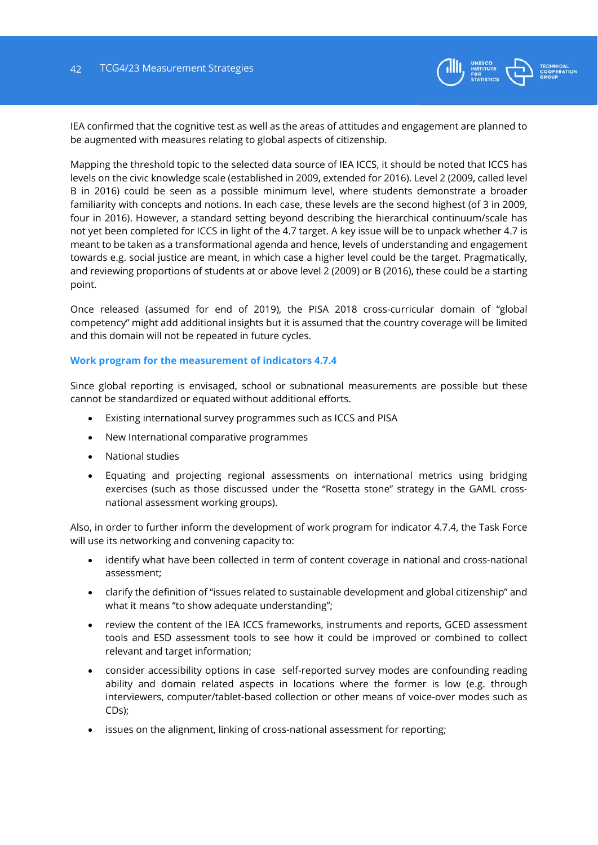![](_page_41_Picture_1.jpeg)

IEA confirmed that the cognitive test as well as the areas of attitudes and engagement are planned to be augmented with measures relating to global aspects of citizenship.

Mapping the threshold topic to the selected data source of IEA ICCS, it should be noted that ICCS has levels on the civic knowledge scale (established in 2009, extended for 2016). Level 2 (2009, called level B in 2016) could be seen as a possible minimum level, where students demonstrate a broader familiarity with concepts and notions. In each case, these levels are the second highest (of 3 in 2009, four in 2016). However, a standard setting beyond describing the hierarchical continuum/scale has not yet been completed for ICCS in light of the 4.7 target. A key issue will be to unpack whether 4.7 is meant to be taken as a transformational agenda and hence, levels of understanding and engagement towards e.g. social justice are meant, in which case a higher level could be the target. Pragmatically, and reviewing proportions of students at or above level 2 (2009) or B (2016), these could be a starting point.

Once released (assumed for end of 2019), the PISA 2018 cross-curricular domain of "global competency" might add additional insights but it is assumed that the country coverage will be limited and this domain will not be repeated in future cycles.

#### **Work program for the measurement of indicators 4.7.4**

Since global reporting is envisaged, school or subnational measurements are possible but these cannot be standardized or equated without additional efforts.

- Existing international survey programmes such as ICCS and PISA
- New International comparative programmes
- National studies
- Equating and projecting regional assessments on international metrics using bridging exercises (such as those discussed under the "Rosetta stone" strategy in the GAML crossnational assessment working groups).

Also, in order to further inform the development of work program for indicator 4.7.4, the Task Force will use its networking and convening capacity to:

- identify what have been collected in term of content coverage in national and cross-national assessment;
- clarify the definition of "issues related to sustainable development and global citizenship" and what it means "to show adequate understanding";
- review the content of the IEA ICCS frameworks, instruments and reports, GCED assessment tools and ESD assessment tools to see how it could be improved or combined to collect relevant and target information;
- consider accessibility options in case self-reported survey modes are confounding reading ability and domain related aspects in locations where the former is low (e.g. through interviewers, computer/tablet-based collection or other means of voice-over modes such as CDs);
- issues on the alignment, linking of cross-national assessment for reporting;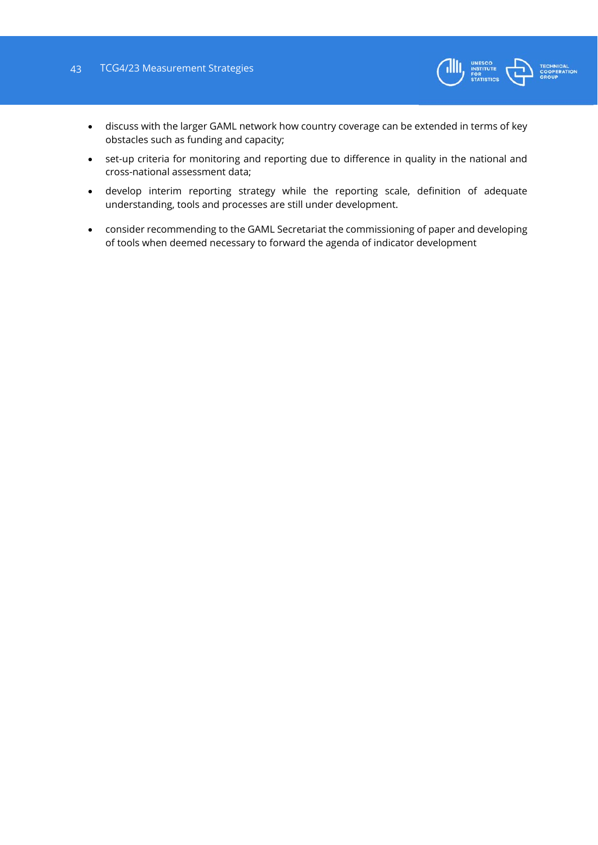### 43 TCG4/23 Measurement Strategies

![](_page_42_Picture_1.jpeg)

- discuss with the larger GAML network how country coverage can be extended in terms of key obstacles such as funding and capacity;
- set-up criteria for monitoring and reporting due to difference in quality in the national and cross-national assessment data;
- develop interim reporting strategy while the reporting scale, definition of adequate understanding, tools and processes are still under development.
- consider recommending to the GAML Secretariat the commissioning of paper and developing of tools when deemed necessary to forward the agenda of indicator development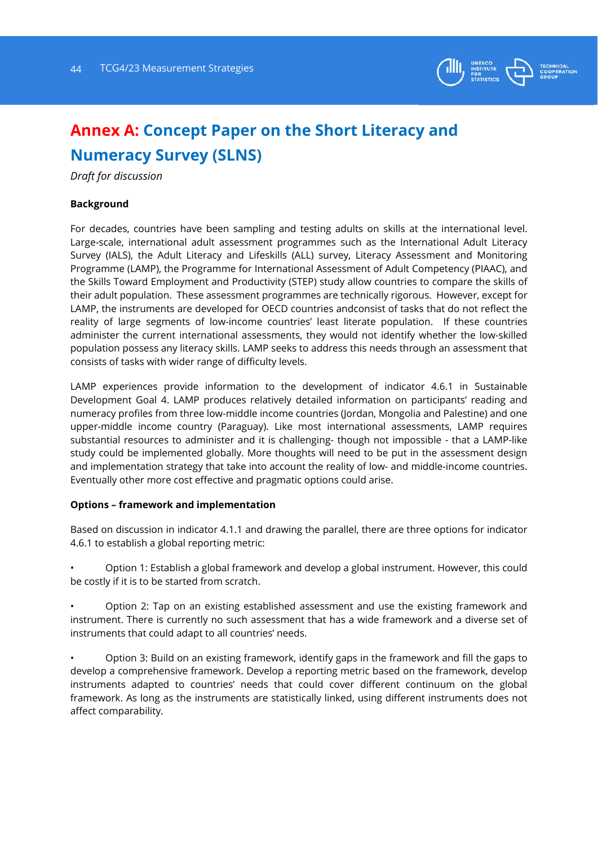![](_page_43_Picture_1.jpeg)

# **Annex A: Concept Paper on the Short Literacy and Numeracy Survey (SLNS)**

*Draft for discussion* 

## **Background**

For decades, countries have been sampling and testing adults on skills at the international level. Large-scale, international adult assessment programmes such as the International Adult Literacy Survey (IALS), the Adult Literacy and Lifeskills (ALL) survey, Literacy Assessment and Monitoring Programme (LAMP), the Programme for International Assessment of Adult Competency (PIAAC), and the Skills Toward Employment and Productivity (STEP) study allow countries to compare the skills of their adult population. These assessment programmes are technically rigorous. However, except for LAMP, the instruments are developed for OECD countries andconsist of tasks that do not reflect the reality of large segments of low-income countries' least literate population. If these countries administer the current international assessments, they would not identify whether the low-skilled population possess any literacy skills. LAMP seeks to address this needs through an assessment that consists of tasks with wider range of difficulty levels.

LAMP experiences provide information to the development of indicator 4.6.1 in Sustainable Development Goal 4. LAMP produces relatively detailed information on participants' reading and numeracy profiles from three low-middle income countries (Jordan, Mongolia and Palestine) and one upper-middle income country (Paraguay). Like most international assessments, LAMP requires substantial resources to administer and it is challenging- though not impossible - that a LAMP-like study could be implemented globally. More thoughts will need to be put in the assessment design and implementation strategy that take into account the reality of low- and middle-income countries. Eventually other more cost effective and pragmatic options could arise.

# **Options – framework and implementation**

Based on discussion in indicator 4.1.1 and drawing the parallel, there are three options for indicator 4.6.1 to establish a global reporting metric:

• Option 1: Establish a global framework and develop a global instrument. However, this could be costly if it is to be started from scratch.

• Option 2: Tap on an existing established assessment and use the existing framework and instrument. There is currently no such assessment that has a wide framework and a diverse set of instruments that could adapt to all countries' needs.

• Option 3: Build on an existing framework, identify gaps in the framework and fill the gaps to develop a comprehensive framework. Develop a reporting metric based on the framework, develop instruments adapted to countries' needs that could cover different continuum on the global framework. As long as the instruments are statistically linked, using different instruments does not affect comparability.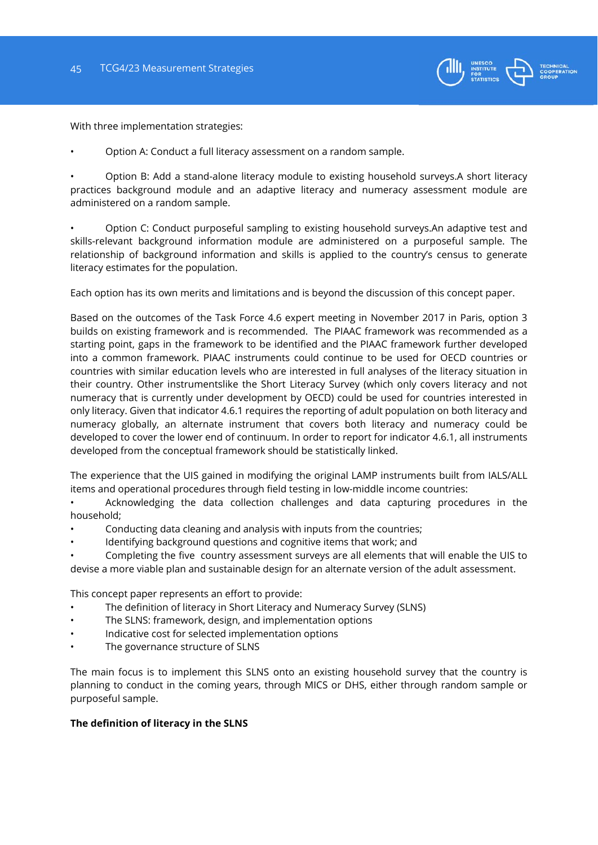![](_page_44_Picture_1.jpeg)

With three implementation strategies:

• Option A: Conduct a full literacy assessment on a random sample.

• Option B: Add a stand-alone literacy module to existing household surveys.A short literacy practices background module and an adaptive literacy and numeracy assessment module are administered on a random sample.

• Option C: Conduct purposeful sampling to existing household surveys.An adaptive test and skills-relevant background information module are administered on a purposeful sample. The relationship of background information and skills is applied to the country's census to generate literacy estimates for the population.

Each option has its own merits and limitations and is beyond the discussion of this concept paper.

Based on the outcomes of the Task Force 4.6 expert meeting in November 2017 in Paris, option 3 builds on existing framework and is recommended. The PIAAC framework was recommended as a starting point, gaps in the framework to be identified and the PIAAC framework further developed into a common framework. PIAAC instruments could continue to be used for OECD countries or countries with similar education levels who are interested in full analyses of the literacy situation in their country. Other instrumentslike the Short Literacy Survey (which only covers literacy and not numeracy that is currently under development by OECD) could be used for countries interested in only literacy. Given that indicator 4.6.1 requires the reporting of adult population on both literacy and numeracy globally, an alternate instrument that covers both literacy and numeracy could be developed to cover the lower end of continuum. In order to report for indicator 4.6.1, all instruments developed from the conceptual framework should be statistically linked.

The experience that the UIS gained in modifying the original LAMP instruments built from IALS/ALL items and operational procedures through field testing in low-middle income countries:

• Acknowledging the data collection challenges and data capturing procedures in the household;

- Conducting data cleaning and analysis with inputs from the countries;
- Identifying background questions and cognitive items that work; and

• Completing the five country assessment surveys are all elements that will enable the UIS to devise a more viable plan and sustainable design for an alternate version of the adult assessment.

This concept paper represents an effort to provide:

- The definition of literacy in Short Literacy and Numeracy Survey (SLNS)
- The SLNS: framework, design, and implementation options
- Indicative cost for selected implementation options
- The governance structure of SLNS

The main focus is to implement this SLNS onto an existing household survey that the country is planning to conduct in the coming years, through MICS or DHS, either through random sample or purposeful sample.

#### **The definition of literacy in the SLNS**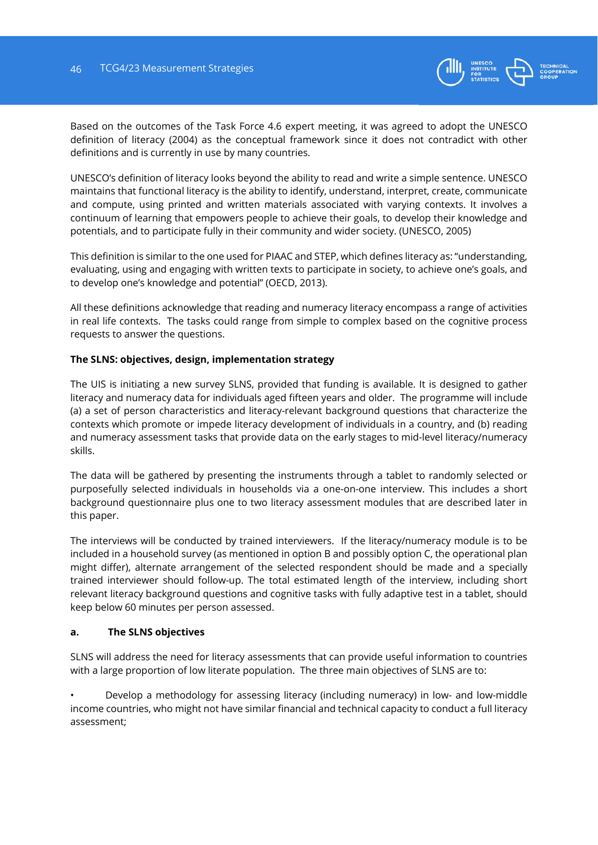![](_page_45_Picture_1.jpeg)

Based on the outcomes of the Task Force 4.6 expert meeting, it was agreed to adopt the UNESCO definition of literacy (2004) as the conceptual framework since it does not contradict with other definitions and is currently in use by many countries.

UNESCO's definition of literacy looks beyond the ability to read and write a simple sentence. UNESCO maintains that functional literacy is the ability to identify, understand, interpret, create, communicate and compute, using printed and written materials associated with varying contexts. It involves a continuum of learning that empowers people to achieve their goals, to develop their knowledge and potentials, and to participate fully in their community and wider society. (UNESCO, 2005)

This definition is similar to the one used for PIAAC and STEP, which defines literacy as: "understanding, evaluating, using and engaging with written texts to participate in society, to achieve one's goals, and to develop one's knowledge and potential" (OECD, 2013).

All these definitions acknowledge that reading and numeracy literacy encompass a range of activities in real life contexts. The tasks could range from simple to complex based on the cognitive process requests to answer the questions.

# **The SLNS: objectives, design, implementation strategy**

The UIS is initiating a new survey SLNS, provided that funding is available. It is designed to gather literacy and numeracy data for individuals aged fifteen years and older. The programme will include (a) a set of person characteristics and literacy-relevant background questions that characterize the contexts which promote or impede literacy development of individuals in a country, and (b) reading and numeracy assessment tasks that provide data on the early stages to mid-level literacy/numeracy skills.

The data will be gathered by presenting the instruments through a tablet to randomly selected or purposefully selected individuals in households via a one-on-one interview. This includes a short background questionnaire plus one to two literacy assessment modules that are described later in this paper.

The interviews will be conducted by trained interviewers. If the literacy/numeracy module is to be included in a household survey (as mentioned in option B and possibly option C, the operational plan might differ), alternate arrangement of the selected respondent should be made and a specially trained interviewer should follow-up. The total estimated length of the interview, including short relevant literacy background questions and cognitive tasks with fully adaptive test in a tablet, should keep below 60 minutes per person assessed.

#### **a. The SLNS objectives**

SLNS will address the need for literacy assessments that can provide useful information to countries with a large proportion of low literate population. The three main objectives of SLNS are to:

• Develop a methodology for assessing literacy (including numeracy) in low- and low-middle income countries, who might not have similar financial and technical capacity to conduct a full literacy assessment;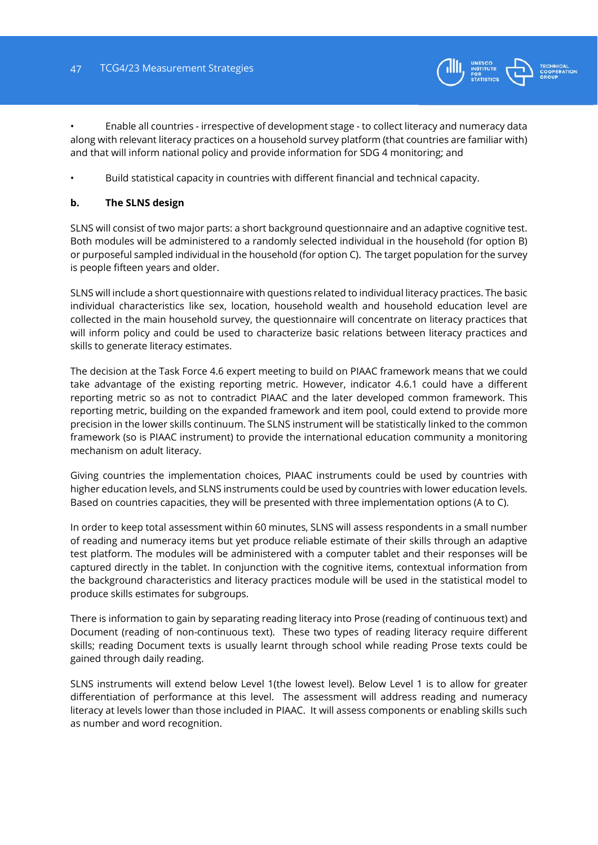![](_page_46_Picture_1.jpeg)

• Enable all countries - irrespective of development stage - to collect literacy and numeracy data along with relevant literacy practices on a household survey platform (that countries are familiar with) and that will inform national policy and provide information for SDG 4 monitoring; and

• Build statistical capacity in countries with different financial and technical capacity.

# **b. The SLNS design**

SLNS will consist of two major parts: a short background questionnaire and an adaptive cognitive test. Both modules will be administered to a randomly selected individual in the household (for option B) or purposeful sampled individual in the household (for option C). The target population for the survey is people fifteen years and older.

SLNS will include a short questionnaire with questions related to individual literacy practices. The basic individual characteristics like sex, location, household wealth and household education level are collected in the main household survey, the questionnaire will concentrate on literacy practices that will inform policy and could be used to characterize basic relations between literacy practices and skills to generate literacy estimates.

The decision at the Task Force 4.6 expert meeting to build on PIAAC framework means that we could take advantage of the existing reporting metric. However, indicator 4.6.1 could have a different reporting metric so as not to contradict PIAAC and the later developed common framework. This reporting metric, building on the expanded framework and item pool, could extend to provide more precision in the lower skills continuum. The SLNS instrument will be statistically linked to the common framework (so is PIAAC instrument) to provide the international education community a monitoring mechanism on adult literacy.

Giving countries the implementation choices, PIAAC instruments could be used by countries with higher education levels, and SLNS instruments could be used by countries with lower education levels. Based on countries capacities, they will be presented with three implementation options (A to C).

In order to keep total assessment within 60 minutes, SLNS will assess respondents in a small number of reading and numeracy items but yet produce reliable estimate of their skills through an adaptive test platform. The modules will be administered with a computer tablet and their responses will be captured directly in the tablet. In conjunction with the cognitive items, contextual information from the background characteristics and literacy practices module will be used in the statistical model to produce skills estimates for subgroups.

There is information to gain by separating reading literacy into Prose (reading of continuous text) and Document (reading of non-continuous text). These two types of reading literacy require different skills; reading Document texts is usually learnt through school while reading Prose texts could be gained through daily reading.

SLNS instruments will extend below Level 1(the lowest level). Below Level 1 is to allow for greater differentiation of performance at this level. The assessment will address reading and numeracy literacy at levels lower than those included in PIAAC. It will assess components or enabling skills such as number and word recognition.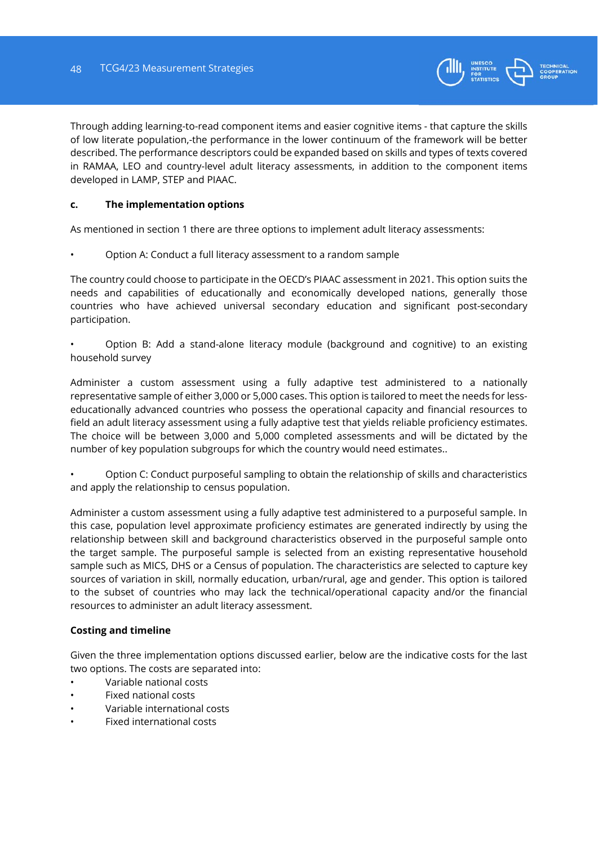![](_page_47_Picture_1.jpeg)

Through adding learning-to-read component items and easier cognitive items - that capture the skills of low literate population,-the performance in the lower continuum of the framework will be better described. The performance descriptors could be expanded based on skills and types of texts covered in RAMAA, LEO and country-level adult literacy assessments, in addition to the component items developed in LAMP, STEP and PIAAC.

# **c. The implementation options**

As mentioned in section 1 there are three options to implement adult literacy assessments:

• Option A: Conduct a full literacy assessment to a random sample

The country could choose to participate in the OECD's PIAAC assessment in 2021. This option suits the needs and capabilities of educationally and economically developed nations, generally those countries who have achieved universal secondary education and significant post-secondary participation.

• Option B: Add a stand-alone literacy module (background and cognitive) to an existing household survey

Administer a custom assessment using a fully adaptive test administered to a nationally representative sample of either 3,000 or 5,000 cases. This option is tailored to meet the needs for lesseducationally advanced countries who possess the operational capacity and financial resources to field an adult literacy assessment using a fully adaptive test that yields reliable proficiency estimates. The choice will be between 3,000 and 5,000 completed assessments and will be dictated by the number of key population subgroups for which the country would need estimates..

• Option C: Conduct purposeful sampling to obtain the relationship of skills and characteristics and apply the relationship to census population.

Administer a custom assessment using a fully adaptive test administered to a purposeful sample. In this case, population level approximate proficiency estimates are generated indirectly by using the relationship between skill and background characteristics observed in the purposeful sample onto the target sample. The purposeful sample is selected from an existing representative household sample such as MICS, DHS or a Census of population. The characteristics are selected to capture key sources of variation in skill, normally education, urban/rural, age and gender. This option is tailored to the subset of countries who may lack the technical/operational capacity and/or the financial resources to administer an adult literacy assessment.

# **Costing and timeline**

Given the three implementation options discussed earlier, below are the indicative costs for the last two options. The costs are separated into:

- Variable national costs
- Fixed national costs
- Variable international costs
- Fixed international costs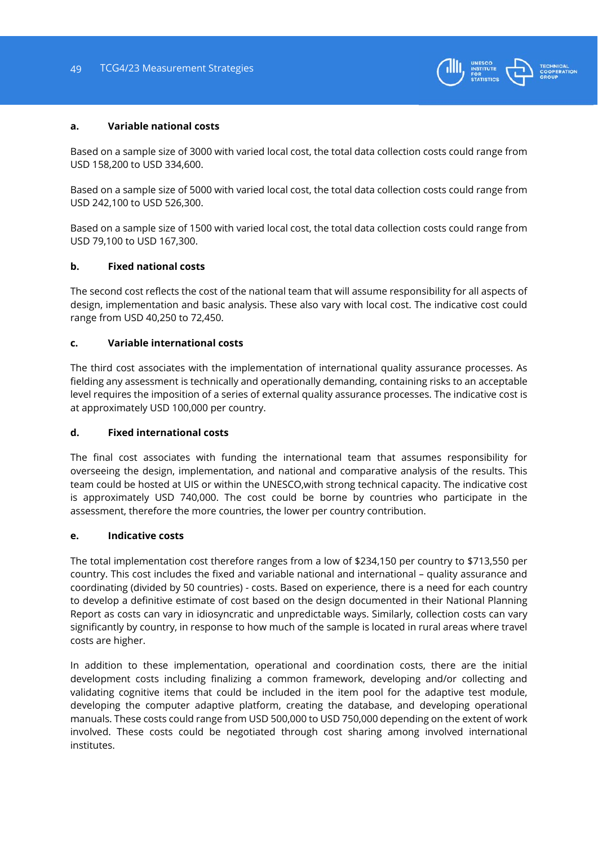![](_page_48_Picture_1.jpeg)

#### **a. Variable national costs**

Based on a sample size of 3000 with varied local cost, the total data collection costs could range from USD 158,200 to USD 334,600.

Based on a sample size of 5000 with varied local cost, the total data collection costs could range from USD 242,100 to USD 526,300.

Based on a sample size of 1500 with varied local cost, the total data collection costs could range from USD 79,100 to USD 167,300.

#### **b. Fixed national costs**

The second cost reflects the cost of the national team that will assume responsibility for all aspects of design, implementation and basic analysis. These also vary with local cost. The indicative cost could range from USD 40,250 to 72,450.

#### **c. Variable international costs**

The third cost associates with the implementation of international quality assurance processes. As fielding any assessment is technically and operationally demanding, containing risks to an acceptable level requires the imposition of a series of external quality assurance processes. The indicative cost is at approximately USD 100,000 per country.

# **d. Fixed international costs**

The final cost associates with funding the international team that assumes responsibility for overseeing the design, implementation, and national and comparative analysis of the results. This team could be hosted at UIS or within the UNESCO,with strong technical capacity. The indicative cost is approximately USD 740,000. The cost could be borne by countries who participate in the assessment, therefore the more countries, the lower per country contribution.

#### **e. Indicative costs**

The total implementation cost therefore ranges from a low of \$234,150 per country to \$713,550 per country. This cost includes the fixed and variable national and international – quality assurance and coordinating (divided by 50 countries) - costs. Based on experience, there is a need for each country to develop a definitive estimate of cost based on the design documented in their National Planning Report as costs can vary in idiosyncratic and unpredictable ways. Similarly, collection costs can vary significantly by country, in response to how much of the sample is located in rural areas where travel costs are higher.

In addition to these implementation, operational and coordination costs, there are the initial development costs including finalizing a common framework, developing and/or collecting and validating cognitive items that could be included in the item pool for the adaptive test module, developing the computer adaptive platform, creating the database, and developing operational manuals. These costs could range from USD 500,000 to USD 750,000 depending on the extent of work involved. These costs could be negotiated through cost sharing among involved international institutes.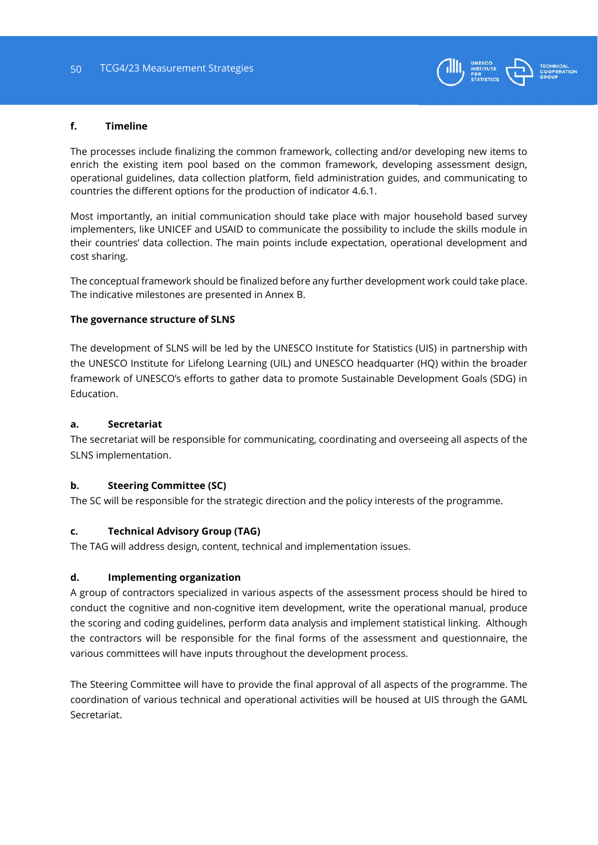![](_page_49_Picture_1.jpeg)

## **f. Timeline**

The processes include finalizing the common framework, collecting and/or developing new items to enrich the existing item pool based on the common framework, developing assessment design, operational guidelines, data collection platform, field administration guides, and communicating to countries the different options for the production of indicator 4.6.1.

Most importantly, an initial communication should take place with major household based survey implementers, like UNICEF and USAID to communicate the possibility to include the skills module in their countries' data collection. The main points include expectation, operational development and cost sharing.

The conceptual framework should be finalized before any further development work could take place. The indicative milestones are presented in Annex B.

#### **The governance structure of SLNS**

The development of SLNS will be led by the UNESCO Institute for Statistics (UIS) in partnership with the UNESCO Institute for Lifelong Learning (UIL) and UNESCO headquarter (HQ) within the broader framework of UNESCO's efforts to gather data to promote Sustainable Development Goals (SDG) in Education.

# **a. Secretariat**

The secretariat will be responsible for communicating, coordinating and overseeing all aspects of the SLNS implementation.

# **b. Steering Committee (SC)**

The SC will be responsible for the strategic direction and the policy interests of the programme.

# **c. Technical Advisory Group (TAG)**

The TAG will address design, content, technical and implementation issues.

# **d. Implementing organization**

A group of contractors specialized in various aspects of the assessment process should be hired to conduct the cognitive and non-cognitive item development, write the operational manual, produce the scoring and coding guidelines, perform data analysis and implement statistical linking. Although the contractors will be responsible for the final forms of the assessment and questionnaire, the various committees will have inputs throughout the development process.

The Steering Committee will have to provide the final approval of all aspects of the programme. The coordination of various technical and operational activities will be housed at UIS through the GAML Secretariat.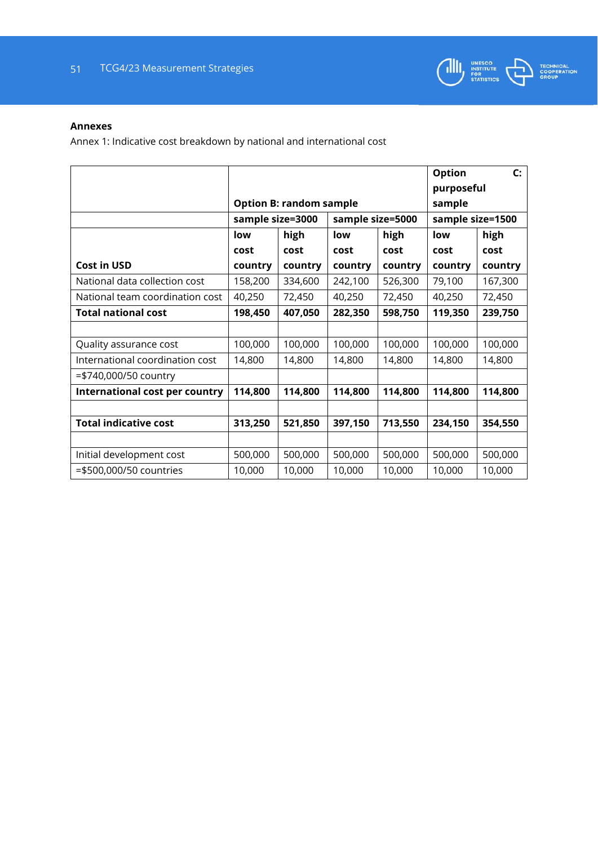![](_page_50_Picture_1.jpeg)

## **Annexes**

Annex 1: Indicative cost breakdown by national and international cost

|                                 |                  |                                |                  | <b>Option</b> | $\mathsf{C}$ :   |         |  |
|---------------------------------|------------------|--------------------------------|------------------|---------------|------------------|---------|--|
|                                 |                  |                                |                  |               | purposeful       |         |  |
|                                 |                  | <b>Option B: random sample</b> |                  |               | sample           |         |  |
|                                 | sample size=3000 |                                | sample size=5000 |               | sample size=1500 |         |  |
|                                 | high<br>low      |                                | low              | high          | low              | high    |  |
|                                 | cost             | cost                           | cost             | cost          | cost             | cost    |  |
| <b>Cost in USD</b>              | country          | country                        | country          | country       | country          | country |  |
| National data collection cost   | 158,200          | 334,600                        | 242,100          | 526,300       | 79,100           | 167,300 |  |
| National team coordination cost | 40,250           | 72,450                         | 40,250           | 72,450        | 40,250           | 72,450  |  |
| <b>Total national cost</b>      | 198,450          | 407,050                        | 282,350          | 598,750       | 119,350          | 239,750 |  |
|                                 |                  |                                |                  |               |                  |         |  |
| Quality assurance cost          | 100,000          | 100,000                        | 100,000          | 100,000       | 100,000          | 100,000 |  |
| International coordination cost | 14,800           | 14,800                         | 14,800           | 14,800        | 14,800           | 14,800  |  |
| =\$740,000/50 country           |                  |                                |                  |               |                  |         |  |
| International cost per country  | 114,800          | 114,800                        | 114,800          | 114,800       | 114,800          | 114,800 |  |
|                                 |                  |                                |                  |               |                  |         |  |
| <b>Total indicative cost</b>    | 313,250          | 521,850                        | 397,150          | 713,550       | 234,150          | 354,550 |  |
|                                 |                  |                                |                  |               |                  |         |  |
| Initial development cost        | 500,000          | 500,000                        | 500,000          | 500,000       | 500,000          | 500,000 |  |
| =\$500,000/50 countries         | 10,000           | 10,000                         | 10,000           | 10,000        | 10,000           | 10,000  |  |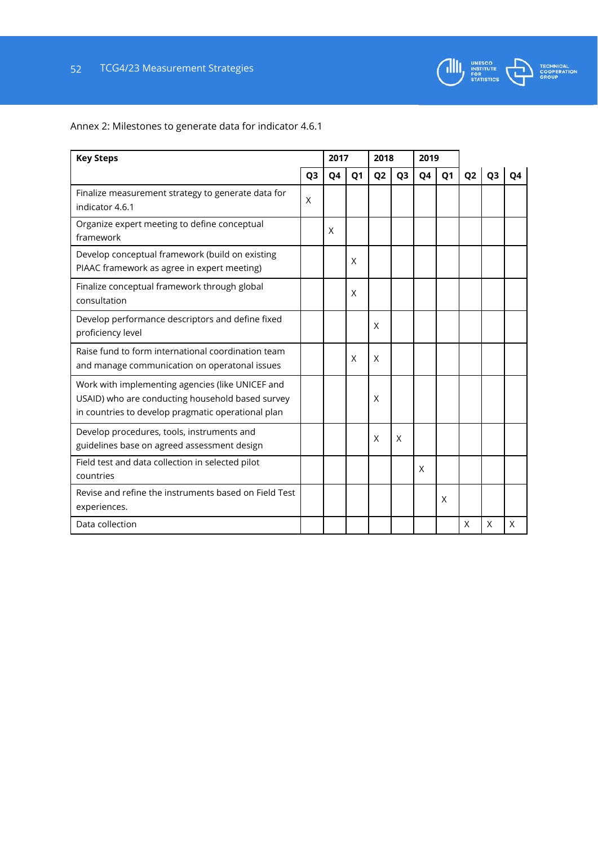![](_page_51_Picture_1.jpeg)

Annex 2: Milestones to generate data for indicator 4.6.1

| <b>Key Steps</b>                                                                                                                                           |                | 2017 |                | 2018           |                | 2019           |                |                |                |    |
|------------------------------------------------------------------------------------------------------------------------------------------------------------|----------------|------|----------------|----------------|----------------|----------------|----------------|----------------|----------------|----|
|                                                                                                                                                            | Q <sub>3</sub> | Q4   | Q <sub>1</sub> | Q <sub>2</sub> | Q <sub>3</sub> | Q <sub>4</sub> | Q <sub>1</sub> | Q <sub>2</sub> | Q <sub>3</sub> | Q4 |
| Finalize measurement strategy to generate data for<br>indicator 4.6.1                                                                                      | X              |      |                |                |                |                |                |                |                |    |
| Organize expert meeting to define conceptual<br>framework                                                                                                  |                | X    |                |                |                |                |                |                |                |    |
| Develop conceptual framework (build on existing<br>PIAAC framework as agree in expert meeting)                                                             |                |      | X              |                |                |                |                |                |                |    |
| Finalize conceptual framework through global<br>consultation                                                                                               |                |      | X              |                |                |                |                |                |                |    |
| Develop performance descriptors and define fixed<br>proficiency level                                                                                      |                |      |                | X              |                |                |                |                |                |    |
| Raise fund to form international coordination team<br>and manage communication on operatonal issues                                                        |                |      | X              | X              |                |                |                |                |                |    |
| Work with implementing agencies (like UNICEF and<br>USAID) who are conducting household based survey<br>in countries to develop pragmatic operational plan |                |      |                | X              |                |                |                |                |                |    |
| Develop procedures, tools, instruments and<br>guidelines base on agreed assessment design                                                                  |                |      |                | X              | X              |                |                |                |                |    |
| Field test and data collection in selected pilot<br>countries                                                                                              |                |      |                |                |                | X              |                |                |                |    |
| Revise and refine the instruments based on Field Test<br>experiences.                                                                                      |                |      |                |                |                |                | X              |                |                |    |
| Data collection                                                                                                                                            |                |      |                |                |                |                |                | X              | X              | X  |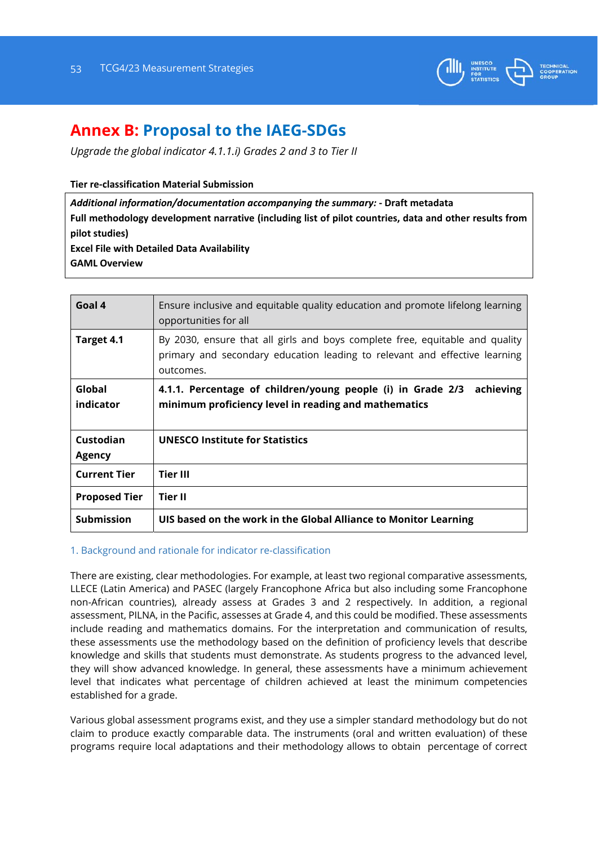![](_page_52_Picture_1.jpeg)

# **Annex B: Proposal to the IAEG-SDGs**

*Upgrade the global indicator 4.1.1.i) Grades 2 and 3 to Tier II* 

**Tier re‐classification Material Submission**

*Additional information/documentation accompanying the summary:* **‐ Draft metadata Full methodology development narrative (including list of pilot countries, data and other results from pilot studies) Excel File with Detailed Data Availability GAML Overview** 

| Goal 4               | Ensure inclusive and equitable quality education and promote lifelong learning<br>opportunities for all                                                                 |
|----------------------|-------------------------------------------------------------------------------------------------------------------------------------------------------------------------|
| Target 4.1           | By 2030, ensure that all girls and boys complete free, equitable and quality<br>primary and secondary education leading to relevant and effective learning<br>outcomes. |
| Global<br>indicator  | 4.1.1. Percentage of children/young people (i) in Grade 2/3<br>achieving<br>minimum proficiency level in reading and mathematics                                        |
| Custodian<br>Agency  | <b>UNESCO Institute for Statistics</b>                                                                                                                                  |
| <b>Current Tier</b>  | <b>Tier III</b>                                                                                                                                                         |
| <b>Proposed Tier</b> | Tier II                                                                                                                                                                 |
| <b>Submission</b>    | UIS based on the work in the Global Alliance to Monitor Learning                                                                                                        |

# 1. Background and rationale for indicator re-classification

There are existing, clear methodologies. For example, at least two regional comparative assessments, LLECE (Latin America) and PASEC (largely Francophone Africa but also including some Francophone non-African countries), already assess at Grades 3 and 2 respectively. In addition, a regional assessment, PILNA, in the Pacific, assesses at Grade 4, and this could be modified. These assessments include reading and mathematics domains. For the interpretation and communication of results, these assessments use the methodology based on the definition of proficiency levels that describe knowledge and skills that students must demonstrate. As students progress to the advanced level, they will show advanced knowledge. In general, these assessments have a minimum achievement level that indicates what percentage of children achieved at least the minimum competencies established for a grade.

Various global assessment programs exist, and they use a simpler standard methodology but do not claim to produce exactly comparable data. The instruments (oral and written evaluation) of these programs require local adaptations and their methodology allows to obtain percentage of correct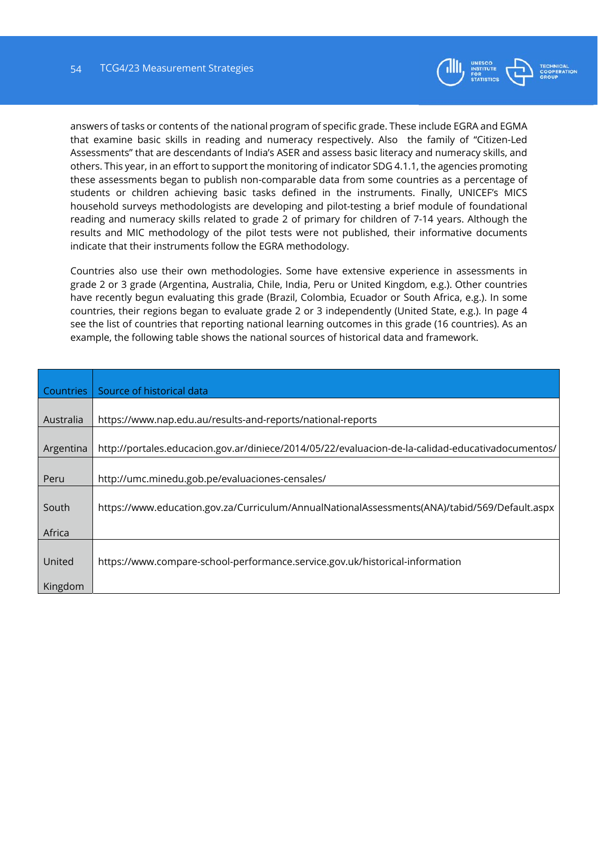![](_page_53_Picture_1.jpeg)

answers of tasks or contents of the national program of specific grade. These include EGRA and EGMA that examine basic skills in reading and numeracy respectively. Also the family of "Citizen-Led Assessments" that are descendants of India's ASER and assess basic literacy and numeracy skills, and others. This year, in an effort to support the monitoring of indicator SDG 4.1.1, the agencies promoting these assessments began to publish non-comparable data from some countries as a percentage of students or children achieving basic tasks defined in the instruments. Finally, UNICEF's MICS household surveys methodologists are developing and pilot-testing a brief module of foundational reading and numeracy skills related to grade 2 of primary for children of 7-14 years. Although the results and MIC methodology of the pilot tests were not published, their informative documents indicate that their instruments follow the EGRA methodology.

Countries also use their own methodologies. Some have extensive experience in assessments in grade 2 or 3 grade (Argentina, Australia, Chile, India, Peru or United Kingdom, e.g.). Other countries have recently begun evaluating this grade (Brazil, Colombia, Ecuador or South Africa, e.g.). In some countries, their regions began to evaluate grade 2 or 3 independently (United State, e.g.). In page 4 see the list of countries that reporting national learning outcomes in this grade (16 countries). As an example, the following table shows the national sources of historical data and framework.

| Countries | Source of historical data                                                                         |
|-----------|---------------------------------------------------------------------------------------------------|
|           |                                                                                                   |
| Australia | https://www.nap.edu.au/results-and-reports/national-reports                                       |
|           |                                                                                                   |
| Argentina | http://portales.educacion.gov.ar/diniece/2014/05/22/evaluacion-de-la-calidad-educativadocumentos/ |
|           |                                                                                                   |
| Peru      | http://umc.minedu.gob.pe/evaluaciones-censales/                                                   |
|           |                                                                                                   |
| South     | https://www.education.gov.za/Curriculum/AnnualNationalAssessments(ANA)/tabid/569/Default.aspx     |
|           |                                                                                                   |
| Africa    |                                                                                                   |
|           |                                                                                                   |
| United    | https://www.compare-school-performance.service.gov.uk/historical-information                      |
|           |                                                                                                   |
| Kingdom   |                                                                                                   |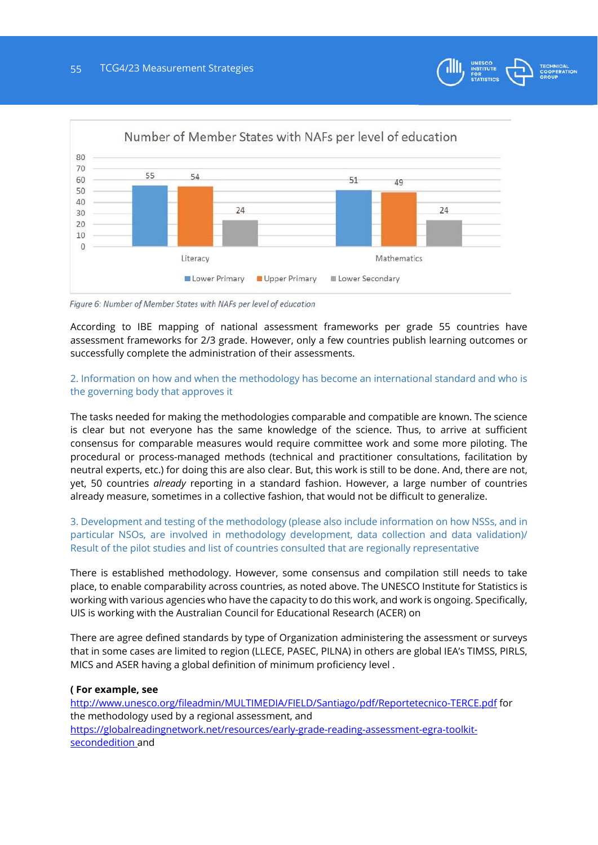![](_page_54_Picture_1.jpeg)

![](_page_54_Figure_2.jpeg)

Figure 6: Number of Member States with NAFs per level of education

According to IBE mapping of national assessment frameworks per grade 55 countries have assessment frameworks for 2/3 grade. However, only a few countries publish learning outcomes or successfully complete the administration of their assessments.

# 2. Information on how and when the methodology has become an international standard and who is the governing body that approves it

The tasks needed for making the methodologies comparable and compatible are known. The science is clear but not everyone has the same knowledge of the science. Thus, to arrive at sufficient consensus for comparable measures would require committee work and some more piloting. The procedural or process-managed methods (technical and practitioner consultations, facilitation by neutral experts, etc.) for doing this are also clear. But, this work is still to be done. And, there are not, yet, 50 countries *already* reporting in a standard fashion. However, a large number of countries already measure, sometimes in a collective fashion, that would not be difficult to generalize.

3. Development and testing of the methodology (please also include information on how NSSs, and in particular NSOs, are involved in methodology development, data collection and data validation)/ Result of the pilot studies and list of countries consulted that are regionally representative

There is established methodology. However, some consensus and compilation still needs to take place, to enable comparability across countries, as noted above. The UNESCO Institute for Statistics is working with various agencies who have the capacity to do this work, and work is ongoing. Specifically, UIS is working with the Australian Council for Educational Research (ACER) on

There are agree defined standards by type of Organization administering the assessment or surveys that in some cases are limited to region (LLECE, PASEC, PILNA) in others are global IEA's TIMSS, PIRLS, MICS and ASER having a global definition of minimum proficiency level .

# **( For example, see**

http://www.unesco.org/fileadmin/MULTIMEDIA/FIELD/Santiago/pdf/Reportetecnico-TERCE.pdf for the methodology used by a regional assessment, and https://globalreadingnetwork.net/resources/early-grade-reading-assessment-egra-toolkitsecondedition and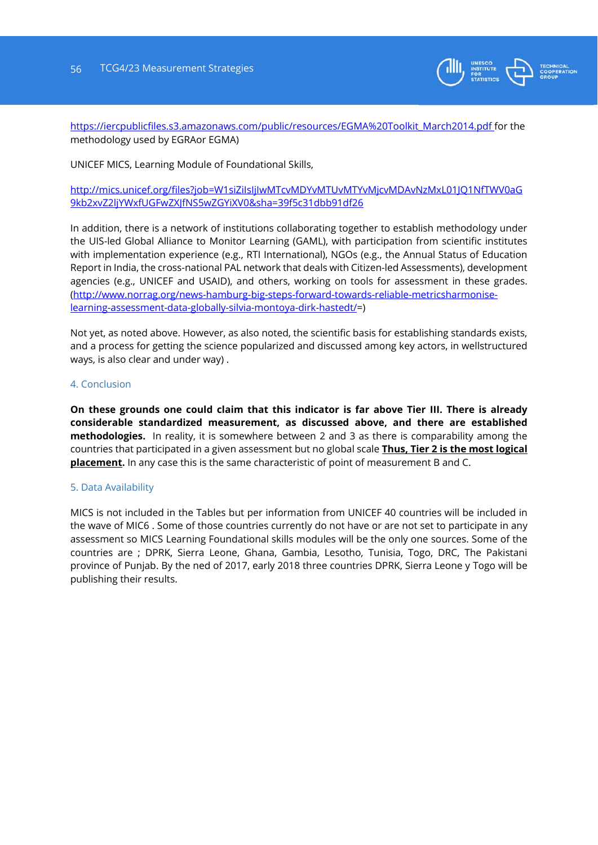![](_page_55_Picture_1.jpeg)

https://iercpublicfiles.s3.amazonaws.com/public/resources/EGMA%20Toolkit\_March2014.pdf for the methodology used by EGRAor EGMA)

UNICEF MICS, Learning Module of Foundational Skills,

http://mics.unicef.org/files?job=W1siZiIsIjIwMTcvMDYvMTUvMTYvMjcvMDAvNzMxL01JQ1NfTWV0aG 9kb2xvZ2ljYWxfUGFwZXJfNS5wZGYiXV0&sha=39f5c31dbb91df26

In addition, there is a network of institutions collaborating together to establish methodology under the UIS-led Global Alliance to Monitor Learning (GAML), with participation from scientific institutes with implementation experience (e.g., RTI International), NGOs (e.g., the Annual Status of Education Report in India, the cross-national PAL network that deals with Citizen-led Assessments), development agencies (e.g., UNICEF and USAID), and others, working on tools for assessment in these grades. (http://www.norrag.org/news-hamburg-big-steps-forward-towards-reliable-metricsharmoniselearning-assessment-data-globally-silvia-montoya-dirk-hastedt/=)

Not yet, as noted above. However, as also noted, the scientific basis for establishing standards exists, and a process for getting the science popularized and discussed among key actors, in wellstructured ways, is also clear and under way) .

#### 4. Conclusion

**On these grounds one could claim that this indicator is far above Tier III. There is already considerable standardized measurement, as discussed above, and there are established methodologies.** In reality, it is somewhere between 2 and 3 as there is comparability among the countries that participated in a given assessment but no global scale **Thus, Tier 2 is the most logical placement.** In any case this is the same characteristic of point of measurement B and C.

#### 5. Data Availability

MICS is not included in the Tables but per information from UNICEF 40 countries will be included in the wave of MIC6 . Some of those countries currently do not have or are not set to participate in any assessment so MICS Learning Foundational skills modules will be the only one sources. Some of the countries are ; DPRK, Sierra Leone, Ghana, Gambia, Lesotho, Tunisia, Togo, DRC, The Pakistani province of Punjab. By the ned of 2017, early 2018 three countries DPRK, Sierra Leone y Togo will be publishing their results.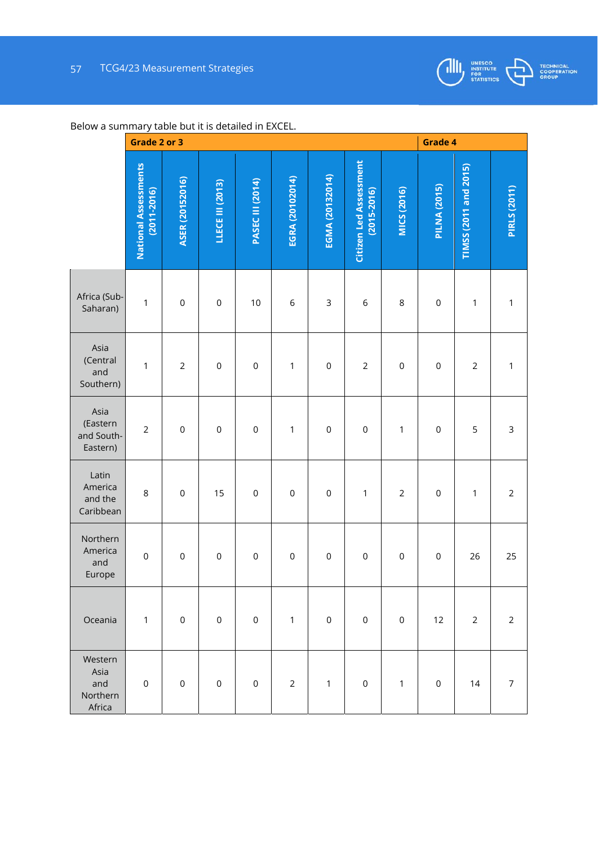![](_page_56_Picture_1.jpeg)

![](_page_56_Picture_2.jpeg)

| , , , , , , , , , , , , , , , ,              | Grade 2 or 3                                   |                 |                     |                         |                 |                     |                                                  |                |                     | Grade 4               |                     |  |  |  |
|----------------------------------------------|------------------------------------------------|-----------------|---------------------|-------------------------|-----------------|---------------------|--------------------------------------------------|----------------|---------------------|-----------------------|---------------------|--|--|--|
|                                              | <b>National Assessments</b><br>$(2011 - 2016)$ | ASER (20152016) | LLECE III (2013)    | <b>PASEC III (2014)</b> | EGRA (20102014) | EGMA (20132014)     | <b>Citizen Led Assessment</b><br>$(2015 - 2016)$ | MICS (2016)    | <b>PILNA (2015)</b> | TIMSS (2011 and 2015) | <b>PIRLS (2011)</b> |  |  |  |
| Africa (Sub-<br>Saharan)                     | 1                                              | $\mathbf 0$     | $\mathbf 0$         | 10                      | $\,$ 6          | $\mathsf 3$         | $\,$ 6                                           | 8              | $\mathbf 0$         | $\mathbf 1$           | 1                   |  |  |  |
| Asia<br>(Central<br>and<br>Southern)         | 1                                              | $\overline{2}$  | $\mathsf 0$         | $\mathsf{O}\xspace$     | $\mathbf 1$     | $\mathbf 0$         | $\overline{2}$                                   | $\mathbf 0$    | $\mathsf 0$         | $\overline{c}$        | 1                   |  |  |  |
| Asia<br>(Eastern<br>and South-<br>Eastern)   | $\overline{2}$                                 | $\mathbf 0$     | $\mathsf{O}\xspace$ | $\mathsf{O}\xspace$     | $\mathbf 1$     | $\mathsf{O}\xspace$ | $\mathsf{O}\xspace$                              | $\mathbf 1$    | $\mathsf 0$         | 5                     | $\mathsf 3$         |  |  |  |
| Latin<br>America<br>and the<br>Caribbean     | 8                                              | $\mathbf 0$     | 15                  | $\mathbf 0$             | $\mathsf 0$     | $\mathbf 0$         | $\mathbf 1$                                      | $\overline{2}$ | $\mathsf 0$         | $\mathbf 1$           | $\overline{2}$      |  |  |  |
| Northern<br>America<br>and<br>Europe         | $\mathsf 0$                                    | $\mathbf 0$     | $\mathbf 0$         | $\mathbf 0$             | $\mathbf 0$     | $\mathbf 0$         | $\mathsf 0$                                      | $\mathsf 0$    | $\boldsymbol{0}$    | 26                    | 25                  |  |  |  |
| Oceania                                      | 1                                              | $\mathbf 0$     | $\mathsf 0$         | $\mathsf 0$             | $\mathbf{1}$    | $\mathbf 0$         | $\mathbf 0$                                      | $\mathsf 0$    | 12                  | $\overline{2}$        | $\overline{2}$      |  |  |  |
| Western<br>Asia<br>and<br>Northern<br>Africa | $\mathbf 0$                                    | $\mathbf 0$     | $\mathsf 0$         | $\mathbf 0$             | $\overline{2}$  | $\mathbf{1}$        | $\mathsf 0$                                      | $\mathbf{1}$   | $\mathsf 0$         | 14                    | $\overline{7}$      |  |  |  |

# Below a summary table but it is detailed in EXCEL.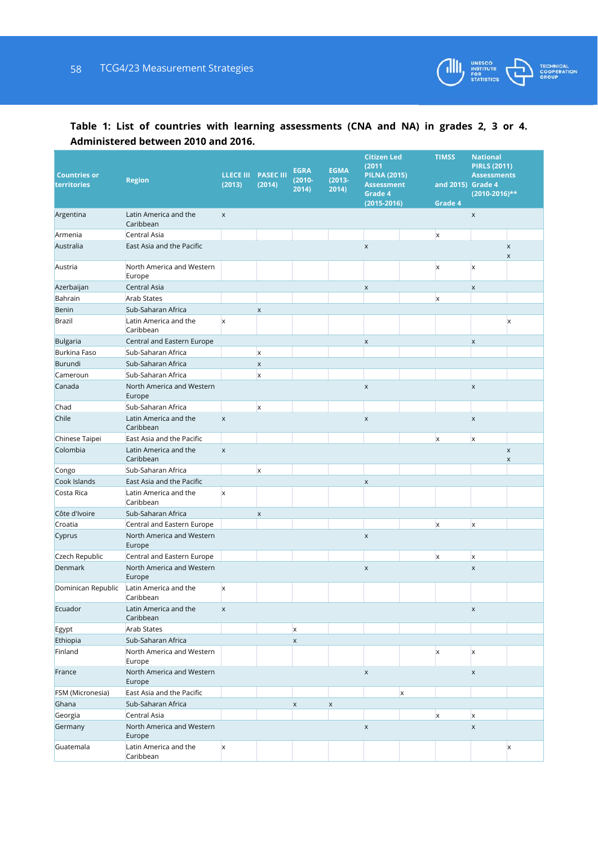![](_page_57_Picture_1.jpeg)

# **Table 1: List of countries with learning assessments (CNA and NA) in grades 2, 3 or 4. Administered between 2010 and 2016.**

| <b>Countries or</b><br>territories | <b>Region</b>                                             | (2013)         | <b>LLECE III PASEC III</b><br>(2014) | <b>EGRA</b><br>$(2010 -$<br>2014) | <b>EGMA</b><br>$(2013 -$<br>2014) | <b>Citizen Led</b><br>(2011)<br><b>PILNA (2015)</b><br><b>Assessment</b><br>Grade 4<br>$(2015 - 2016)$ |                           | <b>TIMSS</b><br>and 2015) Grade 4<br>Grade 4 | <b>National</b><br><b>PIRLS (2011)</b><br><b>Assessments</b><br>$(2010-2016)$ ** |                                  |
|------------------------------------|-----------------------------------------------------------|----------------|--------------------------------------|-----------------------------------|-----------------------------------|--------------------------------------------------------------------------------------------------------|---------------------------|----------------------------------------------|----------------------------------------------------------------------------------|----------------------------------|
| Argentina                          | Latin America and the<br>Caribbean                        | X              |                                      |                                   |                                   |                                                                                                        |                           |                                              | $\pmb{\times}$                                                                   |                                  |
| Armenia                            | Central Asia                                              |                |                                      |                                   |                                   |                                                                                                        |                           | $\boldsymbol{\mathsf{x}}$                    |                                                                                  |                                  |
| Australia                          | East Asia and the Pacific                                 |                |                                      |                                   |                                   | $\pmb{\times}$                                                                                         |                           |                                              |                                                                                  | $\mathsf X$<br>$\pmb{\times}$    |
| Austria                            | North America and Western<br>Europe                       |                |                                      |                                   |                                   |                                                                                                        |                           | X                                            | $\boldsymbol{\mathsf{x}}$                                                        |                                  |
| Azerbaijan                         | Central Asia                                              |                |                                      |                                   |                                   | $\pmb{\times}$                                                                                         |                           |                                              | X                                                                                |                                  |
| Bahrain                            | <b>Arab States</b>                                        |                |                                      |                                   |                                   |                                                                                                        |                           | X                                            |                                                                                  |                                  |
| Benin                              | Sub-Saharan Africa                                        |                | $\pmb{\times}$                       |                                   |                                   |                                                                                                        |                           |                                              |                                                                                  |                                  |
| Brazil                             | Latin America and the<br>Caribbean                        | $\mathsf{x}$   |                                      |                                   |                                   |                                                                                                        |                           |                                              |                                                                                  | X                                |
| <b>Bulgaria</b>                    | Central and Eastern Europe                                |                |                                      |                                   |                                   | $\pmb{\times}$                                                                                         |                           |                                              | X                                                                                |                                  |
| <b>Burkina Faso</b>                | Sub-Saharan Africa                                        |                | X                                    |                                   |                                   |                                                                                                        |                           |                                              |                                                                                  |                                  |
| Burundi                            | Sub-Saharan Africa                                        |                | $\pmb{\times}$                       |                                   |                                   |                                                                                                        |                           |                                              |                                                                                  |                                  |
| Cameroun<br>Canada                 | Sub-Saharan Africa<br>North America and Western<br>Europe |                | $\mathsf{x}$                         |                                   |                                   | $\pmb{\times}$                                                                                         |                           |                                              | X                                                                                |                                  |
| Chad                               | Sub-Saharan Africa                                        |                | $\mathsf{x}$                         |                                   |                                   |                                                                                                        |                           |                                              |                                                                                  |                                  |
| Chile                              | Latin America and the<br>Caribbean                        | $\mathsf X$    |                                      |                                   |                                   | $\pmb{\times}$                                                                                         |                           |                                              | $\boldsymbol{\mathsf{x}}$                                                        |                                  |
| Chinese Taipei                     | East Asia and the Pacific                                 |                |                                      |                                   |                                   |                                                                                                        |                           | x                                            | $\mathsf{x}$                                                                     |                                  |
| Colombia                           | Latin America and the<br>Caribbean                        | $\pmb{\times}$ |                                      |                                   |                                   |                                                                                                        |                           |                                              |                                                                                  | $\pmb{\times}$<br>$\pmb{\times}$ |
| Congo                              | Sub-Saharan Africa                                        |                | $\mathsf{x}$                         |                                   |                                   |                                                                                                        |                           |                                              |                                                                                  |                                  |
| Cook Islands                       | East Asia and the Pacific                                 |                |                                      |                                   |                                   | $\pmb{\times}$                                                                                         |                           |                                              |                                                                                  |                                  |
| Costa Rica                         | Latin America and the<br>Caribbean                        | $\mathsf{x}$   |                                      |                                   |                                   |                                                                                                        |                           |                                              |                                                                                  |                                  |
| Côte d'Ivoire                      | Sub-Saharan Africa                                        |                | $\pmb{\times}$                       |                                   |                                   |                                                                                                        |                           |                                              |                                                                                  |                                  |
| Croatia                            | Central and Eastern Europe                                |                |                                      |                                   |                                   |                                                                                                        |                           | $\mathsf{x}$                                 | X                                                                                |                                  |
| Cyprus                             | North America and Western<br>Europe                       |                |                                      |                                   |                                   | $\pmb{\times}$                                                                                         |                           |                                              |                                                                                  |                                  |
| Czech Republic                     | Central and Eastern Europe                                |                |                                      |                                   |                                   |                                                                                                        |                           | $\mathsf{x}$                                 | $\boldsymbol{\mathsf{x}}$                                                        |                                  |
| Denmark                            | North America and Western<br>Europe                       |                |                                      |                                   |                                   | $\pmb{\times}$                                                                                         |                           |                                              | X                                                                                |                                  |
| Dominican Republic                 | Latin America and the<br>Caribbean                        | X              |                                      |                                   |                                   |                                                                                                        |                           |                                              |                                                                                  |                                  |
| Ecuador                            | Latin America and the<br>Caribbean                        | X              |                                      |                                   |                                   |                                                                                                        |                           |                                              | X                                                                                |                                  |
| Egypt                              | Arab States                                               |                |                                      | X                                 |                                   |                                                                                                        |                           |                                              |                                                                                  |                                  |
| Ethiopia                           | Sub-Saharan Africa                                        |                |                                      | $\mathsf X$                       |                                   |                                                                                                        |                           |                                              |                                                                                  |                                  |
| Finland                            | North America and Western<br>Europe                       |                |                                      |                                   |                                   |                                                                                                        |                           | X                                            | X                                                                                |                                  |
| France                             | North America and Western<br>Europe                       |                |                                      |                                   |                                   | $\mathsf X$                                                                                            |                           |                                              | X                                                                                |                                  |
| FSM (Micronesia)                   | East Asia and the Pacific                                 |                |                                      |                                   |                                   |                                                                                                        | $\boldsymbol{\mathsf{x}}$ |                                              |                                                                                  |                                  |
| Ghana                              | Sub-Saharan Africa                                        |                |                                      | $\mathsf X$                       | $\mathsf X$                       |                                                                                                        |                           |                                              |                                                                                  |                                  |
| Georgia                            | Central Asia                                              |                |                                      |                                   |                                   |                                                                                                        |                           | X                                            | X                                                                                |                                  |
| Germany                            | North America and Western<br>Europe                       |                |                                      |                                   |                                   | $\pmb{\times}$                                                                                         |                           |                                              | $\boldsymbol{\mathsf{x}}$                                                        |                                  |
| Guatemala                          | Latin America and the<br>Caribbean                        | X              |                                      |                                   |                                   |                                                                                                        |                           |                                              |                                                                                  | X                                |